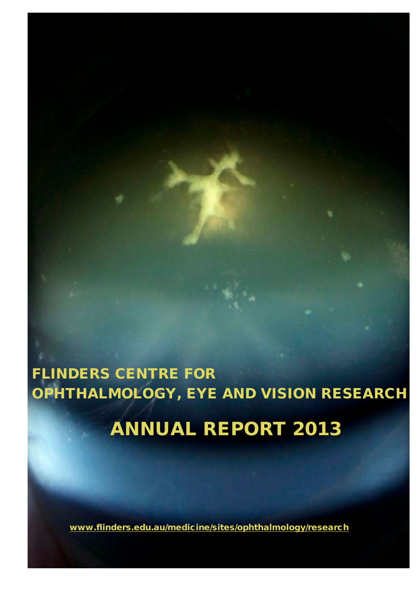# FLINDERS CENTRE FOR OPHTHALMOLOGY, EYE AND VISION RESEARCH ANNUAL REPORT 2013

www.flinders.edu.au/medicine/sites/ophthalmology/research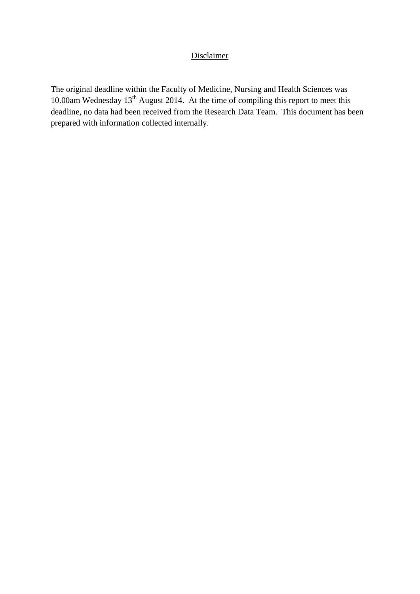### Disclaimer

The original deadline within the Faculty of Medicine, Nursing and Health Sciences was 10.00am Wednesday 13<sup>th</sup> August 2014. At the time of compiling this report to meet this deadline, no data had been received from the Research Data Team. This document has been prepared with information collected internally.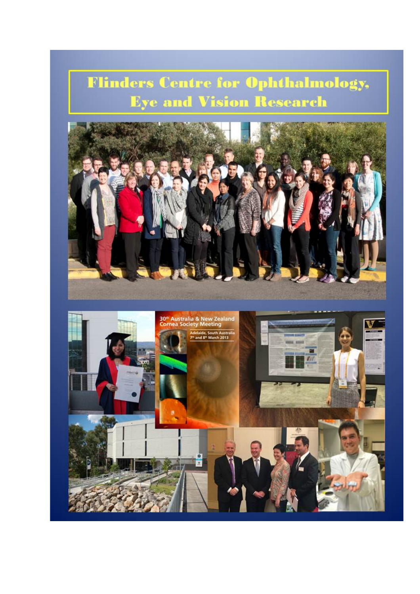**Flinders Centre for Ophthalmology, Eye and Vision Research** 



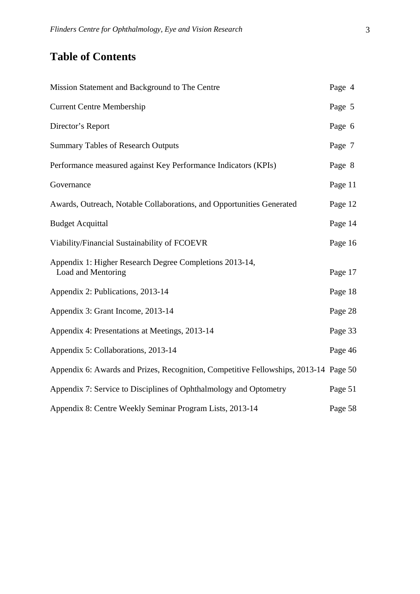# **Table of Contents**

| Mission Statement and Background to The Centre                                       | Page 4  |
|--------------------------------------------------------------------------------------|---------|
| <b>Current Centre Membership</b>                                                     | Page 5  |
| Director's Report                                                                    | Page 6  |
| <b>Summary Tables of Research Outputs</b>                                            | Page 7  |
| Performance measured against Key Performance Indicators (KPIs)                       | Page 8  |
| Governance                                                                           | Page 11 |
| Awards, Outreach, Notable Collaborations, and Opportunities Generated                | Page 12 |
| <b>Budget Acquittal</b>                                                              | Page 14 |
| Viability/Financial Sustainability of FCOEVR                                         | Page 16 |
| Appendix 1: Higher Research Degree Completions 2013-14,<br>Load and Mentoring        | Page 17 |
| Appendix 2: Publications, 2013-14                                                    | Page 18 |
| Appendix 3: Grant Income, 2013-14                                                    | Page 28 |
| Appendix 4: Presentations at Meetings, 2013-14                                       | Page 33 |
| Appendix 5: Collaborations, 2013-14                                                  | Page 46 |
| Appendix 6: Awards and Prizes, Recognition, Competitive Fellowships, 2013-14 Page 50 |         |
| Appendix 7: Service to Disciplines of Ophthalmology and Optometry                    | Page 51 |
| Appendix 8: Centre Weekly Seminar Program Lists, 2013-14                             | Page 58 |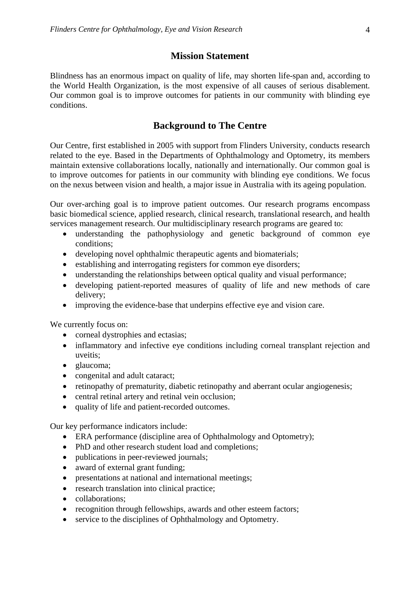#### **Mission Statement**

Blindness has an enormous impact on quality of life, may shorten life-span and, according to the World Health Organization, is the most expensive of all causes of serious disablement. Our common goal is to improve outcomes for patients in our community with blinding eye conditions.

#### **Background to The Centre**

Our Centre, first established in 2005 with support from Flinders University, conducts research related to the eye. Based in the Departments of Ophthalmology and Optometry, its members maintain extensive collaborations locally, nationally and internationally. Our common goal is to improve outcomes for patients in our community with blinding eye conditions. We focus on the nexus between vision and health, a major issue in Australia with its ageing population.

Our over-arching goal is to improve patient outcomes. Our research programs encompass basic biomedical science, applied research, clinical research, translational research, and health services management research. Our multidisciplinary research programs are geared to:

- understanding the pathophysiology and genetic background of common eye conditions;
- developing novel ophthalmic therapeutic agents and biomaterials;
- establishing and interrogating registers for common eye disorders;
- understanding the relationships between optical quality and visual performance;
- developing patient-reported measures of quality of life and new methods of care delivery;
- improving the evidence-base that underpins effective eye and vision care.

We currently focus on:

- corneal dystrophies and ectasias;
- inflammatory and infective eye conditions including corneal transplant rejection and uveitis;
- glaucoma;
- congenital and adult cataract;
- retinopathy of prematurity, diabetic retinopathy and aberrant ocular angiogenesis;
- central retinal artery and retinal vein occlusion;
- quality of life and patient-recorded outcomes.

Our key performance indicators include:

- ERA performance (discipline area of Ophthalmology and Optometry);
- PhD and other research student load and completions;
- publications in peer-reviewed journals;
- award of external grant funding;
- presentations at national and international meetings;
- research translation into clinical practice;
- collaborations:
- recognition through fellowships, awards and other esteem factors;
- service to the disciplines of Ophthalmology and Optometry.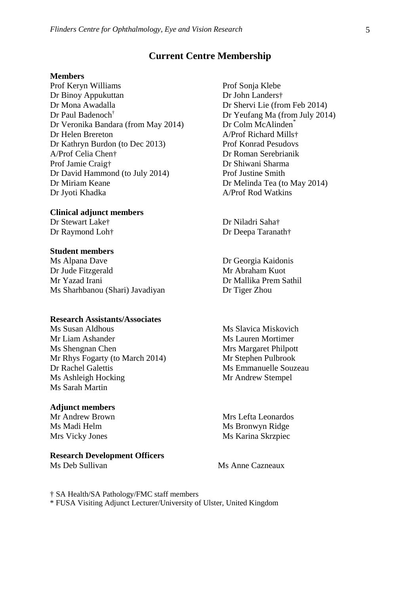#### **Current Centre Membership**

#### **Members**

Prof Keryn Williams Dr Binoy Appukuttan Dr Mona Awadalla Dr Paul Badenoch† Dr Veronika Bandara (from May 2014) Dr Helen Brereton Dr Kathryn Burdon (to Dec 2013) A/Prof Celia Chen† Prof Jamie Craig† Dr David Hammond (to July 2014) Dr Miriam Keane Dr Jyoti Khadka

**Clinical adjunct members** Dr Stewart Lake†

Dr Raymond Loh†

#### **Student members**

Ms Alpana Dave Dr Jude Fitzgerald Mr Yazad Irani Ms Sharhbanou (Shari) Javadiyan

#### **Research Assistants/Associates**

Ms Susan Aldhous Mr Liam Ashander Ms Shengnan Chen Mr Rhys Fogarty (to March 2014) Dr Rachel Galettis Ms Ashleigh Hocking Ms Sarah Martin

#### **Adjunct members**

Mr Andrew Brown Ms Madi Helm Mrs Vicky Jones

#### **Research Development Officers**

Prof Sonja Klebe Dr John Landers† Dr Shervi Lie (from Feb 2014) Dr Yeufang Ma (from July 2014) Dr Colm McAlinden<sup>\*</sup> A/Prof Richard Mills† Prof Konrad Pesudovs Dr Roman Serebrianik Dr Shiwani Sharma Prof Justine Smith Dr Melinda Tea (to May 2014) A/Prof Rod Watkins

Dr Niladri Saha† Dr Deepa Taranath†

Dr Georgia Kaidonis Mr Abraham Kuot Dr Mallika Prem Sathil Dr Tiger Zhou

Ms Slavica Miskovich Ms Lauren Mortimer Mrs Margaret Philpott Mr Stephen Pulbrook Ms Emmanuelle Souzeau Mr Andrew Stempel

Mrs Lefta Leonardos Ms Bronwyn Ridge Ms Karina Skrzpiec

Ms Deb Sullivan Ms Anne Cazneaux

† SA Health/SA Pathology/FMC staff members

\* FUSA Visiting Adjunct Lecturer/University of Ulster, United Kingdom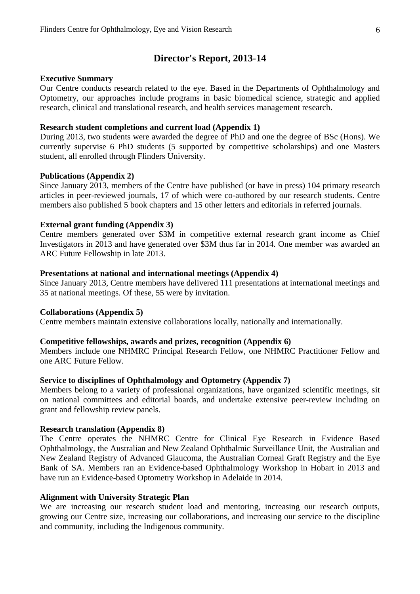#### **Director's Report, 2013-14**

#### **Executive Summary**

Our Centre conducts research related to the eye. Based in the Departments of Ophthalmology and Optometry, our approaches include programs in basic biomedical science, strategic and applied research, clinical and translational research, and health services management research.

#### **Research student completions and current load (Appendix 1)**

During 2013, two students were awarded the degree of PhD and one the degree of BSc (Hons). We currently supervise 6 PhD students (5 supported by competitive scholarships) and one Masters student, all enrolled through Flinders University.

#### **Publications (Appendix 2)**

Since January 2013, members of the Centre have published (or have in press) 104 primary research articles in peer-reviewed journals, 17 of which were co-authored by our research students. Centre members also published 5 book chapters and 15 other letters and editorials in referred journals.

#### **External grant funding (Appendix 3)**

Centre members generated over \$3M in competitive external research grant income as Chief Investigators in 2013 and have generated over \$3M thus far in 2014. One member was awarded an ARC Future Fellowship in late 2013.

#### **Presentations at national and international meetings (Appendix 4)**

Since January 2013, Centre members have delivered 111 presentations at international meetings and 35 at national meetings. Of these, 55 were by invitation.

#### **Collaborations (Appendix 5)**

Centre members maintain extensive collaborations locally, nationally and internationally.

#### **Competitive fellowships, awards and prizes, recognition (Appendix 6)**

Members include one NHMRC Principal Research Fellow, one NHMRC Practitioner Fellow and one ARC Future Fellow.

#### **Service to disciplines of Ophthalmology and Optometry (Appendix 7)**

Members belong to a variety of professional organizations, have organized scientific meetings, sit on national committees and editorial boards, and undertake extensive peer-review including on grant and fellowship review panels.

#### **Research translation (Appendix 8)**

The Centre operates the NHMRC Centre for Clinical Eye Research in Evidence Based Ophthalmology, the Australian and New Zealand Ophthalmic Surveillance Unit, the Australian and New Zealand Registry of Advanced Glaucoma, the Australian Corneal Graft Registry and the Eye Bank of SA. Members ran an Evidence-based Ophthalmology Workshop in Hobart in 2013 and have run an Evidence-based Optometry Workshop in Adelaide in 2014.

#### **Alignment with University Strategic Plan**

We are increasing our research student load and mentoring, increasing our research outputs, growing our Centre size, increasing our collaborations, and increasing our service to the discipline and community, including the Indigenous community.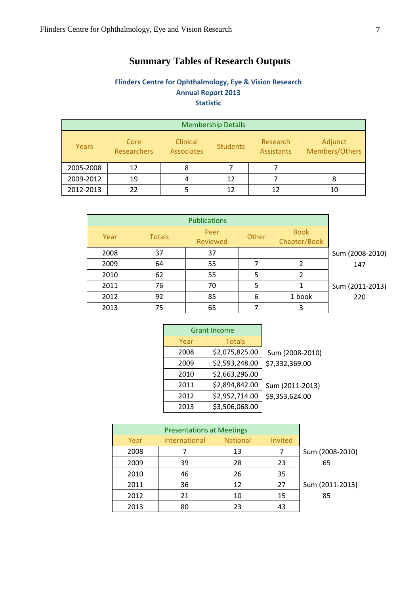# **Summary Tables of Research Outputs**

### **Flinders Centre for Ophthalmology, Eye & Vision Research Annual Report 2013 Statistic**

| <b>Membership Details</b> |                     |                                      |                 |                               |                           |  |
|---------------------------|---------------------|--------------------------------------|-----------------|-------------------------------|---------------------------|--|
| Years                     | Core<br>Researchers | <b>Clinical</b><br><b>Associates</b> | <b>Students</b> | Research<br><b>Assistants</b> | Adjunct<br>Members/Others |  |
| 2005-2008                 | 12                  |                                      |                 |                               |                           |  |
| 2009-2012                 | 19                  | $\sqrt{2}$                           | 12              |                               | 8                         |  |
| 2012-2013                 | 22                  |                                      | 12              | 12                            |                           |  |

|      |               | <b>Publications</b>     |       |                             |                 |
|------|---------------|-------------------------|-------|-----------------------------|-----------------|
| Year | <b>Totals</b> | Peer<br><b>Reviewed</b> | Other | <b>Book</b><br>Chapter/Book |                 |
| 2008 | 37            | 37                      |       |                             | Sum (2008-2010) |
| 2009 | 64            | 55                      |       | 2                           | 147             |
| 2010 | 62            | 55                      | 5     | 2                           |                 |
| 2011 | 76            | 70                      | 5     |                             | Sum (2011-2013) |
| 2012 | 92            | 85                      | 6     | 1 book                      | 220             |
| 2013 | 75            | 65                      |       | 3                           |                 |

| <b>Grant Income</b> |                |                 |
|---------------------|----------------|-----------------|
| Year                | <b>Totals</b>  |                 |
| 2008                | \$2,075,825.00 | Sum (2008-2010) |
| 2009                | \$2,593,248.00 | \$7,332,369.00  |
| 2010                | \$2,663,296.00 |                 |
| 2011                | \$2,894,842.00 | Sum (2011-2013) |
| 2012                | \$2,952,714.00 | \$9,353,624.00  |
| 2013                | \$3,506,068.00 |                 |

| Year | <b>International</b> | <b>National</b> | Invited |                 |
|------|----------------------|-----------------|---------|-----------------|
| 2008 |                      | 13              |         | Sum (2008-2010) |
| 2009 | 39                   | 28              | 23      | 65              |
| 2010 | 46                   | 26              | 35      |                 |
| 2011 | 36                   | 12              | 27      | Sum (2011-2013) |
| 2012 | 21                   | 10              | 15      | 85              |
| 2013 | 80                   | 23              | 43      |                 |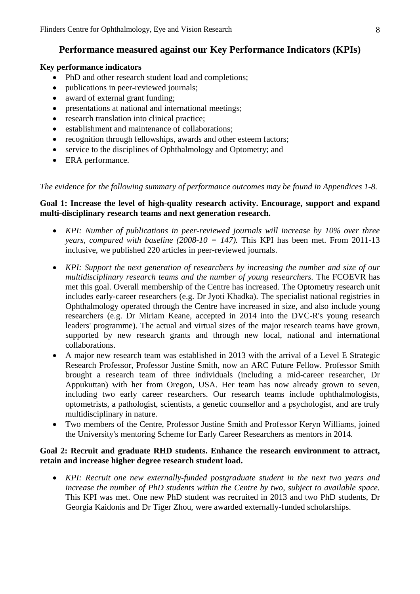# **Performance measured against our Key Performance Indicators (KPIs)**

#### **Key performance indicators**

- PhD and other research student load and completions;
- publications in peer-reviewed journals;
- award of external grant funding;
- presentations at national and international meetings;
- research translation into clinical practice;
- establishment and maintenance of collaborations:
- recognition through fellowships, awards and other esteem factors;
- service to the disciplines of Ophthalmology and Optometry; and
- ERA performance.

*The evidence for the following summary of performance outcomes may be found in Appendices 1-8.*

#### **Goal 1: Increase the level of high-quality research activity. Encourage, support and expand multi-disciplinary research teams and next generation research.**

- *KPI: Number of publications in peer-reviewed journals will increase by 10% over three years, compared with baseline (2008-10 = 147).* This KPI has been met. From 2011-13 inclusive, we published 220 articles in peer-reviewed journals.
- *KPI: Support the next generation of researchers by increasing the number and size of our multidisciplinary research teams and the number of young researchers.* The FCOEVR has met this goal. Overall membership of the Centre has increased. The Optometry research unit includes early-career researchers (e.g. Dr Jyoti Khadka). The specialist national registries in Ophthalmology operated through the Centre have increased in size, and also include young researchers (e.g. Dr Miriam Keane, accepted in 2014 into the DVC-R's young research leaders' programme). The actual and virtual sizes of the major research teams have grown, supported by new research grants and through new local, national and international collaborations.
- A major new research team was established in 2013 with the arrival of a Level E Strategic Research Professor, Professor Justine Smith, now an ARC Future Fellow. Professor Smith brought a research team of three individuals (including a mid-career researcher, Dr Appukuttan) with her from Oregon, USA. Her team has now already grown to seven, including two early career researchers. Our research teams include ophthalmologists, optometrists, a pathologist, scientists, a genetic counsellor and a psychologist, and are truly multidisciplinary in nature.
- Two members of the Centre, Professor Justine Smith and Professor Keryn Williams, joined the University's mentoring Scheme for Early Career Researchers as mentors in 2014.

#### **Goal 2: Recruit and graduate RHD students. Enhance the research environment to attract, retain and increase higher degree research student load.**

• *KPI: Recruit one new externally-funded postgraduate student in the next two years and increase the number of PhD students within the Centre by two, subject to available space.* This KPI was met. One new PhD student was recruited in 2013 and two PhD students, Dr Georgia Kaidonis and Dr Tiger Zhou, were awarded externally-funded scholarships.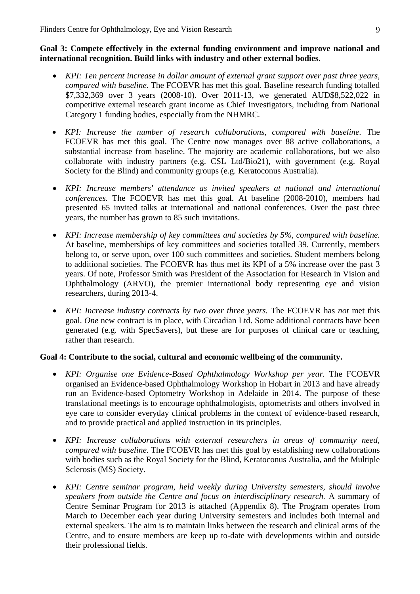#### **Goal 3: Compete effectively in the external funding environment and improve national and international recognition. Build links with industry and other external bodies.**

- *KPI: Ten percent increase in dollar amount of external grant support over past three years, compared with baseline.* The FCOEVR has met this goal. Baseline research funding totalled \$7,332,369 over 3 years (2008-10). Over 2011-13, we generated AUD\$8,522,022 in competitive external research grant income as Chief Investigators, including from National Category 1 funding bodies, especially from the NHMRC.
- *KPI: Increase the number of research collaborations, compared with baseline.* The FCOEVR has met this goal. The Centre now manages over 88 active collaborations, a substantial increase from baseline. The majority are academic collaborations, but we also collaborate with industry partners (e.g. CSL Ltd/Bio21), with government (e.g. Royal Society for the Blind) and community groups (e.g. Keratoconus Australia).
- *KPI: Increase members' attendance as invited speakers at national and international conferences.* The FCOEVR has met this goal. At baseline (2008-2010), members had presented 65 invited talks at international and national conferences. Over the past three years, the number has grown to 85 such invitations.
- *KPI: Increase membership of key committees and societies by 5%, compared with baseline.*  At baseline, memberships of key committees and societies totalled 39. Currently, members belong to, or serve upon, over 100 such committees and societies. Student members belong to additional societies. The FCOEVR has thus met its KPI of a 5% increase over the past 3 years. Of note, Professor Smith was President of the Association for Research in Vision and Ophthalmology (ARVO), the premier international body representing eye and vision researchers, during 2013-4.
- *KPI: Increase industry contracts by two over three years.* The FCOEVR has *not* met this goal. *One* new contract is in place, with Circadian Ltd. Some additional contracts have been generated (e.g. with SpecSavers), but these are for purposes of clinical care or teaching, rather than research.

#### **Goal 4: Contribute to the social, cultural and economic wellbeing of the community.**

- *KPI: Organise one Evidence-Based Ophthalmology Workshop per year.* The FCOEVR organised an Evidence-based Ophthalmology Workshop in Hobart in 2013 and have already run an Evidence-based Optometry Workshop in Adelaide in 2014. The purpose of these translational meetings is to encourage ophthalmologists, optometrists and others involved in eye care to consider everyday clinical problems in the context of evidence-based research, and to provide practical and applied instruction in its principles.
- *KPI: Increase collaborations with external researchers in areas of community need, compared with baseline.* The FCOEVR has met this goal by establishing new collaborations with bodies such as the Royal Society for the Blind, Keratoconus Australia, and the Multiple Sclerosis (MS) Society.
- *KPI: Centre seminar program, held weekly during University semesters, should involve speakers from outside the Centre and focus on interdisciplinary research.* A summary of Centre Seminar Program for 2013 is attached (Appendix 8). The Program operates from March to December each year during University semesters and includes both internal and external speakers. The aim is to maintain links between the research and clinical arms of the Centre, and to ensure members are keep up to-date with developments within and outside their professional fields.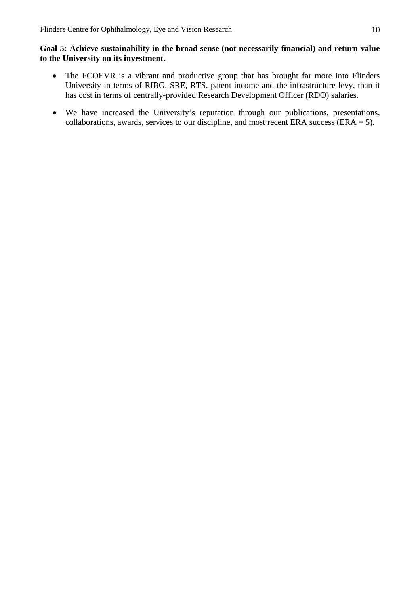#### **Goal 5: Achieve sustainability in the broad sense (not necessarily financial) and return value to the University on its investment.**

- The FCOEVR is a vibrant and productive group that has brought far more into Flinders University in terms of RIBG, SRE, RTS, patent income and the infrastructure levy, than it has cost in terms of centrally-provided Research Development Officer (RDO) salaries.
- We have increased the University's reputation through our publications, presentations, collaborations, awards, services to our discipline, and most recent ERA success (ERA  $=$  5).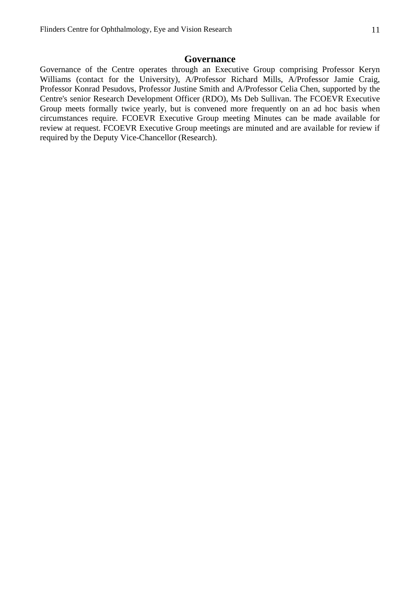#### **Governance**

Governance of the Centre operates through an Executive Group comprising Professor Keryn Williams (contact for the University), A/Professor Richard Mills, A/Professor Jamie Craig, Professor Konrad Pesudovs, Professor Justine Smith and A/Professor Celia Chen, supported by the Centre's senior Research Development Officer (RDO), Ms Deb Sullivan. The FCOEVR Executive Group meets formally twice yearly, but is convened more frequently on an ad hoc basis when circumstances require. FCOEVR Executive Group meeting Minutes can be made available for review at request. FCOEVR Executive Group meetings are minuted and are available for review if required by the Deputy Vice-Chancellor (Research).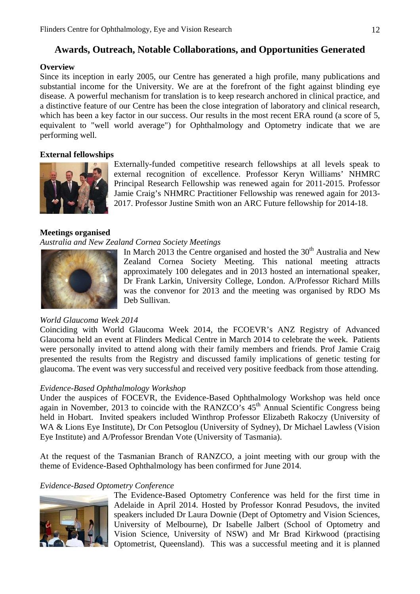# **Awards, Outreach, Notable Collaborations, and Opportunities Generated**

#### **Overview**

Since its inception in early 2005, our Centre has generated a high profile, many publications and substantial income for the University. We are at the forefront of the fight against blinding eye disease. A powerful mechanism for translation is to keep research anchored in clinical practice, and a distinctive feature of our Centre has been the close integration of laboratory and clinical research, which has been a key factor in our success. Our results in the most recent ERA round (a score of 5, equivalent to "well world average") for Ophthalmology and Optometry indicate that we are performing well.

#### **External fellowships**



Externally-funded competitive research fellowships at all levels speak to external recognition of excellence. Professor Keryn Williams' NHMRC Principal Research Fellowship was renewed again for 2011-2015. Professor Jamie Craig's NHMRC Practitioner Fellowship was renewed again for 2013- 2017. Professor Justine Smith won an ARC Future fellowship for 2014-18.

#### **Meetings organised**

#### *Australia and New Zealand Cornea Society Meetings*



In March 2013 the Centre organised and hosted the  $30<sup>th</sup>$  Australia and New Zealand Cornea Society Meeting. This national meeting attracts approximately 100 delegates and in 2013 hosted an international speaker, Dr Frank Larkin, University College, London. A/Professor Richard Mills was the convenor for 2013 and the meeting was organised by RDO Ms Deb Sullivan.

#### *World Glaucoma Week 2014*

Coinciding with World Glaucoma Week 2014, the FCOEVR's ANZ Registry of Advanced Glaucoma held an event at Flinders Medical Centre in March 2014 to celebrate the week. Patients were personally invited to attend along with their family members and friends. Prof Jamie Craig presented the results from the Registry and discussed family implications of genetic testing for glaucoma. The event was very successful and received very positive feedback from those attending.

#### *Evidence-Based Ophthalmology Workshop*

Under the auspices of FOCEVR, the Evidence-Based Ophthalmology Workshop was held once again in November, 2013 to coincide with the RANZCO's  $45<sup>th</sup>$  Annual Scientific Congress being held in Hobart. Invited speakers included Winthrop Professor Elizabeth Rakoczy (University of WA & Lions Eye Institute), Dr Con Petsoglou (University of Sydney), Dr Michael Lawless (Vision Eye Institute) and A/Professor Brendan Vote (University of Tasmania).

At the request of the Tasmanian Branch of RANZCO, a joint meeting with our group with the theme of Evidence-Based Ophthalmology has been confirmed for June 2014.

#### *Evidence-Based Optometry Conference*



The Evidence-Based Optometry Conference was held for the first time in Adelaide in April 2014. Hosted by Professor Konrad Pesudovs, the invited speakers included Dr Laura Downie (Dept of Optometry and Vision Sciences, University of Melbourne), Dr Isabelle Jalbert (School of Optometry and Vision Science, University of NSW) and Mr Brad Kirkwood (practising Optometrist, Queensland). This was a successful meeting and it is planned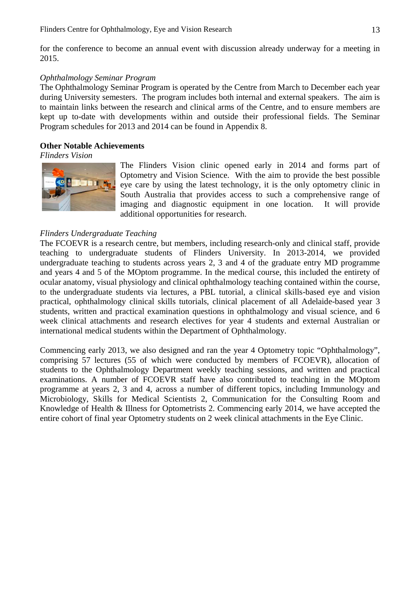for the conference to become an annual event with discussion already underway for a meeting in 2015.

#### *Ophthalmology Seminar Program*

The Ophthalmology Seminar Program is operated by the Centre from March to December each year during University semesters. The program includes both internal and external speakers. The aim is to maintain links between the research and clinical arms of the Centre, and to ensure members are kept up to-date with developments within and outside their professional fields. The Seminar Program schedules for 2013 and 2014 can be found in Appendix 8.

#### **Other Notable Achievements**

*Flinders Vision* 



The Flinders Vision clinic opened early in 2014 and forms part of Optometry and Vision Science. With the aim to provide the best possible eye care by using the latest technology, it is the only optometry clinic in South Australia that provides access to such a comprehensive range of imaging and diagnostic equipment in one location. It will provide additional opportunities for research.

#### *Flinders Undergraduate Teaching*

The FCOEVR is a research centre, but members, including research-only and clinical staff, provide teaching to undergraduate students of Flinders University. In 2013-2014, we provided undergraduate teaching to students across years 2, 3 and 4 of the graduate entry MD programme and years 4 and 5 of the MOptom programme. In the medical course, this included the entirety of ocular anatomy, visual physiology and clinical ophthalmology teaching contained within the course, to the undergraduate students via lectures, a PBL tutorial, a clinical skills-based eye and vision practical, ophthalmology clinical skills tutorials, clinical placement of all Adelaide-based year 3 students, written and practical examination questions in ophthalmology and visual science, and 6 week clinical attachments and research electives for year 4 students and external Australian or international medical students within the Department of Ophthalmology.

Commencing early 2013, we also designed and ran the year 4 Optometry topic "Ophthalmology", comprising 57 lectures (55 of which were conducted by members of FCOEVR), allocation of students to the Ophthalmology Department weekly teaching sessions, and written and practical examinations. A number of FCOEVR staff have also contributed to teaching in the MOptom programme at years 2, 3 and 4, across a number of different topics, including Immunology and Microbiology, Skills for Medical Scientists 2, Communication for the Consulting Room and Knowledge of Health & Illness for Optometrists 2. Commencing early 2014, we have accepted the entire cohort of final year Optometry students on 2 week clinical attachments in the Eye Clinic.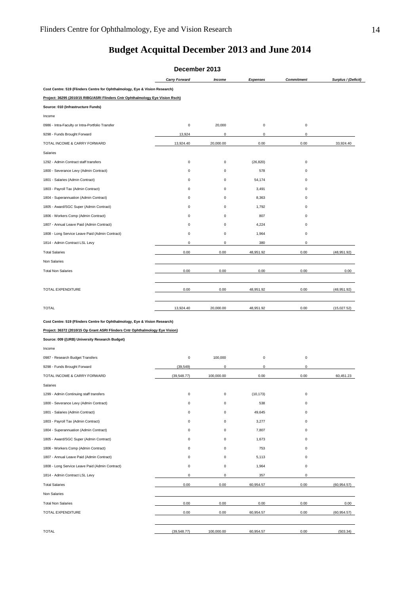# **Budget Acquittal December 2013 and June 2014**

|                                                                                | December 2013        |             |                     |                   |                     |
|--------------------------------------------------------------------------------|----------------------|-------------|---------------------|-------------------|---------------------|
|                                                                                | <b>Carry Forward</b> | Income      | <b>Expenses</b>     | <b>Commitment</b> | Surplus / (Deficit) |
| Cost Centre: 519 (Flinders Centre for Ophthalmology, Eye & Vision Research)    |                      |             |                     |                   |                     |
| Project: 36295 (2010/15 RIBG/ASRI Flinders Cntr Ophthalmology Eye Vision Rsch) |                      |             |                     |                   |                     |
| Source: 010 (Infrastructure Funds)                                             |                      |             |                     |                   |                     |
| Income                                                                         |                      |             |                     |                   |                     |
| 0986 - Intra-Faculty or Intra-Portfolio Transfer                               | $\mathbf 0$          | 20,000      | $\pmb{0}$           | 0                 |                     |
| 9298 - Funds Brought Forward                                                   | 13,924               | 0           | 0                   | 0                 |                     |
| TOTAL INCOME & CARRY FORWARD                                                   | 13,924.40            | 20,000.00   | 0.00                | 0.00              | 33,924.40           |
| Salaries                                                                       |                      |             |                     |                   |                     |
| 1292 - Admin Contract staff transfers                                          | $\mathbf 0$          | 0           | (26, 820)           | 0                 |                     |
| 1800 - Severance Levy (Admin Contract)                                         | 0                    | $\pmb{0}$   | 578                 | 0                 |                     |
| 1801 - Salaries (Admin Contract)                                               | 0                    | 0           | 54,174              | 0                 |                     |
| 1803 - Payroll Tax (Admin Contract)                                            | 0                    | 0           | 3,491               | 0                 |                     |
| 1804 - Superannuation (Admin Contract)                                         | 0                    | 0           | 8,363               | 0                 |                     |
| 1805 - Award/SGC Super (Admin Contract)                                        | $\Omega$             | 0           | 1,792               | $\Omega$          |                     |
| 1806 - Workers Comp (Admin Contract)                                           | $\Omega$             | 0           | 807                 | $\Omega$          |                     |
| 1807 - Annual Leave Paid (Admin Contract)                                      | $\Omega$             | 0           | 4,224               | $\Omega$          |                     |
| 1808 - Long Service Leave Paid (Admin Contract)                                | 0                    | 0           | 1,964               | 0                 |                     |
| 1814 - Admin Contract LSL Levy                                                 | 0                    | 0           | 380                 | 0                 |                     |
| <b>Total Salaries</b>                                                          | 0.00                 | 0.00        | 48,951.92           | 0.00              | (48,951.92)         |
| Non Salaries                                                                   |                      |             |                     |                   |                     |
| <b>Total Non Salaries</b>                                                      | 0.00                 | 0.00        | 0.00                | 0.00              | 0.00                |
|                                                                                |                      |             |                     |                   |                     |
|                                                                                |                      |             |                     |                   |                     |
| TOTAL EXPENDITURE                                                              | 0.00                 | 0.00        | 48,951.92           | 0.00              | (48,951.92)         |
| <b>TOTAL</b>                                                                   | 13,924.40            | 20,000.00   | 48,951.92           | 0.00              | (15,027.52)         |
|                                                                                |                      |             |                     |                   |                     |
| Cost Centre: 519 (Flinders Centre for Ophthalmology, Eye & Vision Research)    |                      |             |                     |                   |                     |
| Project: 36372 (2010/15 Op Grant ASRI Flinders Cntr Ophthalmology Eye Vision)  |                      |             |                     |                   |                     |
| Source: 009 ((URB) University Research Budget)                                 |                      |             |                     |                   |                     |
| Income                                                                         |                      |             |                     |                   |                     |
| 0987 - Research Budget Transfers                                               | $\mathbf 0$          | 100,000     | $\bf 0$             | 0                 |                     |
| 9298 - Funds Brought Forward                                                   | (39, 549)            | $\mathsf 0$ | $\mathsf{O}\xspace$ | 0                 |                     |
| TOTAL INCOME & CARRY FORWARD                                                   | (39, 548.77)         | 100,000.00  | 0.00                | 0.00              | 60,451.23           |
| Salaries                                                                       |                      |             |                     |                   |                     |
| 1299 - Admin Continuing staff transfers                                        | 0                    | 0           | (10, 173)           | 0                 |                     |
| 1800 - Severance Levy (Admin Contract)                                         | $\mathbf 0$          | 0           | 538                 | 0                 |                     |
| 1801 - Salaries (Admin Contract)                                               | 0                    | 0           | 49,645              | 0                 |                     |
| 1803 - Payroll Tax (Admin Contract)                                            | $\mathbf 0$          | $\mathbf 0$ | 3,277               | 0                 |                     |
| 1804 - Superannuation (Admin Contract)                                         | 0                    | 0           | 7,807               | 0                 |                     |
| 1805 - Award/SGC Super (Admin Contract)                                        | 0                    | 0           | 1,673               | $\Omega$          |                     |
| 1806 - Workers Comp (Admin Contract)                                           | 0                    | 0           | 753                 | 0                 |                     |
| 1807 - Annual Leave Paid (Admin Contract)                                      | $\Omega$             | 0           | 5,113               | $\Omega$          |                     |
| 1808 - Long Service Leave Paid (Admin Contract)                                | 0                    | 0           | 1,964               | 0                 |                     |
| 1814 - Admin Contract LSL Levy                                                 | $\pmb{0}$            | $\pmb{0}$   | 357                 | 0                 |                     |
| <b>Total Salaries</b>                                                          | 0.00                 | 0.00        | 60,954.57           | 0.00              | (60, 954.57)        |
| Non Salaries                                                                   |                      |             |                     |                   |                     |
| <b>Total Non Salaries</b>                                                      | 0.00                 | 0.00        | 0.00                | 0.00              | 0.00                |
| TOTAL EXPENDITURE                                                              | 0.00                 | 0.00        | 60,954.57           | 0.00              | (60, 954.57)        |
|                                                                                |                      |             |                     |                   |                     |
| <b>TOTAL</b>                                                                   |                      |             |                     |                   |                     |
|                                                                                | (39, 548.77)         | 100,000.00  | 60,954.57           | 0.00              | (503.34)            |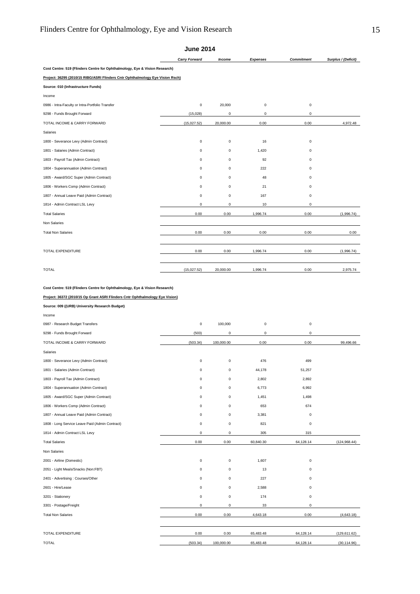|                                                                                | <b>Carry Forward</b> | <b>Income</b> | <b>Expenses</b> | <b>Commitment</b> | Surplus / (Deficit) |  |  |
|--------------------------------------------------------------------------------|----------------------|---------------|-----------------|-------------------|---------------------|--|--|
| Cost Centre: 519 (Flinders Centre for Ophthalmology, Eye & Vision Research)    |                      |               |                 |                   |                     |  |  |
| Project: 36295 (2010/15 RIBG/ASRI Flinders Cntr Ophthalmology Eye Vision Rsch) |                      |               |                 |                   |                     |  |  |
| Source: 010 (Infrastructure Funds)                                             |                      |               |                 |                   |                     |  |  |
| Income                                                                         |                      |               |                 |                   |                     |  |  |
| 0986 - Intra-Faculty or Intra-Portfolio Transfer                               | $\mathsf 0$          | 20,000        | 0               | 0                 |                     |  |  |
| 9298 - Funds Brought Forward                                                   | (15,028)             | 0             | 0               | $\mathbf 0$       |                     |  |  |
| TOTAL INCOME & CARRY FORWARD                                                   | (15,027.52)          | 20,000.00     | 0.00            | 0.00              | 4,972.48            |  |  |
| Salaries                                                                       |                      |               |                 |                   |                     |  |  |
| 1800 - Severance Levy (Admin Contract)                                         | $\mathsf 0$          | 0             | 16              | 0                 |                     |  |  |
| 1801 - Salaries (Admin Contract)                                               | $\mathsf 0$          | 0             | 1,420           | $\mathbf 0$       |                     |  |  |
| 1803 - Payroll Tax (Admin Contract)                                            | $\mathbf 0$          | 0             | 92              | $\mathbf 0$       |                     |  |  |
| 1804 - Superannuation (Admin Contract)                                         | 0                    | 0             | 222             | 0                 |                     |  |  |
| 1805 - Award/SGC Super (Admin Contract)                                        | $\mathbf 0$          | 0             | 48              | $\mathbf 0$       |                     |  |  |
| 1806 - Workers Comp (Admin Contract)                                           | 0                    | 0             | 21              | 0                 |                     |  |  |
| 1807 - Annual Leave Paid (Admin Contract)                                      | $\mathsf 0$          | 0             | 167             | 0                 |                     |  |  |
| 1814 - Admin Contract LSL Levy                                                 | $\mathbf 0$          | 0             | 10              | $\Omega$          |                     |  |  |
| <b>Total Salaries</b>                                                          | 0.00                 | 0.00          | 1,996.74        | 0.00              | (1,996.74)          |  |  |
| Non Salaries                                                                   |                      |               |                 |                   |                     |  |  |
| <b>Total Non Salaries</b>                                                      | 0.00                 | 0.00          | 0.00            | 0.00              | 0.00                |  |  |
|                                                                                |                      |               |                 |                   |                     |  |  |
| TOTAL EXPENDITURE                                                              | 0.00                 | 0.00          | 1,996.74        | 0.00              | (1,996.74)          |  |  |
|                                                                                |                      |               |                 |                   |                     |  |  |
| <b>TOTAL</b>                                                                   | (15,027.52)          | 20,000.00     | 1,996.74        | 0.00              | 2,975.74            |  |  |
|                                                                                |                      |               |                 |                   |                     |  |  |

**Cost Centre: 519 (Flinders Centre for Ophthalmology, Eye & Vision Research)**

**Project: 36372 (2010/15 Op Grant ASRI Flinders Cntr Ophthalmology Eye Vision)**

**Source: 009 ((URB) University Research Budget)**

| Income                                          |             |             |             |             |               |
|-------------------------------------------------|-------------|-------------|-------------|-------------|---------------|
| 0987 - Research Budget Transfers                | $\mathbf 0$ | 100,000     | $\mathbf 0$ | 0           |               |
| 9298 - Funds Brought Forward                    | (503)       | $\mathbf 0$ | $\mathbf 0$ | $\mathbf 0$ |               |
| TOTAL INCOME & CARRY FORWARD                    | (503.34)    | 100,000.00  | 0.00        | 0.00        | 99,496.66     |
| Salaries                                        |             |             |             |             |               |
| 1800 - Severance Levy (Admin Contract)          | $\mathbf 0$ | 0           | 476         | 499         |               |
| 1801 - Salaries (Admin Contract)                | 0           | 0           | 44,178      | 51,257      |               |
| 1803 - Payroll Tax (Admin Contract)             | 0           | 0           | 2,802       | 2,892       |               |
| 1804 - Superannuation (Admin Contract)          | $\mathbf 0$ | $\mathbf 0$ | 6,773       | 6,992       |               |
| 1805 - Award/SGC Super (Admin Contract)         | $\mathsf 0$ | 0           | 1,451       | 1,498       |               |
| 1806 - Workers Comp (Admin Contract)            | 0           | 0           | 653         | 674         |               |
| 1807 - Annual Leave Paid (Admin Contract)       | $\mathbf 0$ | $\mathbf 0$ | 3,381       | 0           |               |
| 1808 - Long Service Leave Paid (Admin Contract) | 0           | 0           | 821         | 0           |               |
| 1814 - Admin Contract LSL Levy                  | 0           | 0           | 305         | 315         |               |
| <b>Total Salaries</b>                           | 0.00        | 0.00        | 60,840.30   | 64,128.14   | (124, 968.44) |
| Non Salaries                                    |             |             |             |             |               |
| 2001 - Airline (Domestic)                       | $\mathbf 0$ | 0           | 1,607       | $\mathsf 0$ |               |
| 2051 - Light Meals/Snacks (Non:FBT)             | 0           | 0           | 13          | 0           |               |
| 2401 - Advertising : Courses/Other              | 0           | 0           | 227         | 0           |               |
| 2601 - Hire/Lease                               | $\mathbf 0$ | $\mathbf 0$ | 2,588       | $\mathbf 0$ |               |
| 3201 - Stationery                               | 0           | 0           | 174         | 0           |               |
| 3301 - Postage/Freight                          | 0           | 0           | 33          | $\mathbf 0$ |               |
| <b>Total Non Salaries</b>                       | 0.00        | 0.00        | 4,643.18    | 0.00        | (4,643.18)    |
|                                                 |             |             |             |             |               |
| TOTAL EXPENDITURE                               | 0.00        | 0.00        | 65,483.48   | 64,128.14   | (129, 611.62) |
| <b>TOTAL</b>                                    | (503.34)    | 100,000.00  | 65,483.48   | 64,128.14   | (30, 114.96)  |

#### **June 2014**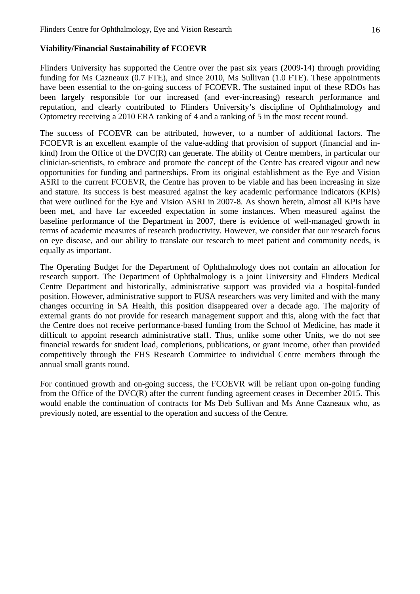#### **Viability/Financial Sustainability of FCOEVR**

Flinders University has supported the Centre over the past six years (2009-14) through providing funding for Ms Cazneaux (0.7 FTE), and since 2010, Ms Sullivan (1.0 FTE). These appointments have been essential to the on-going success of FCOEVR. The sustained input of these RDOs has been largely responsible for our increased (and ever-increasing) research performance and reputation, and clearly contributed to Flinders University's discipline of Ophthalmology and Optometry receiving a 2010 ERA ranking of 4 and a ranking of 5 in the most recent round.

The success of FCOEVR can be attributed, however, to a number of additional factors. The FCOEVR is an excellent example of the value-adding that provision of support (financial and inkind) from the Office of the DVC(R) can generate. The ability of Centre members, in particular our clinician-scientists, to embrace and promote the concept of the Centre has created vigour and new opportunities for funding and partnerships. From its original establishment as the Eye and Vision ASRI to the current FCOEVR, the Centre has proven to be viable and has been increasing in size and stature. Its success is best measured against the key academic performance indicators (KPIs) that were outlined for the Eye and Vision ASRI in 2007-8. As shown herein, almost all KPIs have been met, and have far exceeded expectation in some instances. When measured against the baseline performance of the Department in 2007, there is evidence of well-managed growth in terms of academic measures of research productivity. However, we consider that our research focus on eye disease, and our ability to translate our research to meet patient and community needs, is equally as important.

The Operating Budget for the Department of Ophthalmology does not contain an allocation for research support. The Department of Ophthalmology is a joint University and Flinders Medical Centre Department and historically, administrative support was provided via a hospital-funded position. However, administrative support to FUSA researchers was very limited and with the many changes occurring in SA Health, this position disappeared over a decade ago. The majority of external grants do not provide for research management support and this, along with the fact that the Centre does not receive performance-based funding from the School of Medicine, has made it difficult to appoint research administrative staff. Thus, unlike some other Units, we do not see financial rewards for student load, completions, publications, or grant income, other than provided competitively through the FHS Research Committee to individual Centre members through the annual small grants round.

For continued growth and on-going success, the FCOEVR will be reliant upon on-going funding from the Office of the DVC(R) after the current funding agreement ceases in December 2015. This would enable the continuation of contracts for Ms Deb Sullivan and Ms Anne Cazneaux who, as previously noted, are essential to the operation and success of the Centre.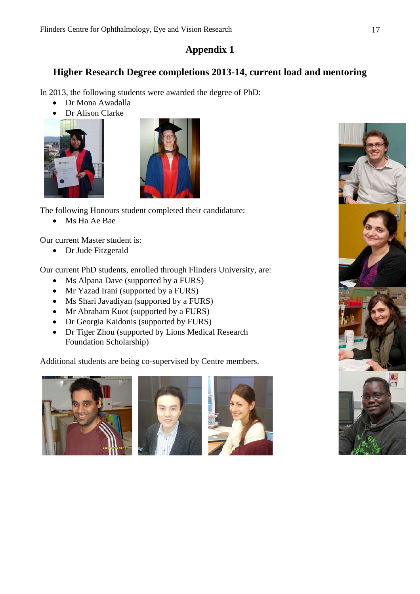# **Appendix 1**

# **Higher Research Degree completions 2013-14, current load and mentoring**

In 2013, the following students were awarded the degree of PhD:

- Dr Mona Awadalla
- Dr Alison Clarke





The following Honours student completed their candidature:

• Ms Ha Ae Bae

Our current Master student is:

• Dr Jude Fitzgerald

Our current PhD students, enrolled through Flinders University, are:

- Ms Alpana Dave (supported by a FURS)
- Mr Yazad Irani (supported by a FURS)
- Ms Shari Javadiyan (supported by a FURS)
- Mr Abraham Kuot (supported by a FURS)
- Dr Georgia Kaidonis (supported by FURS)
- Dr Tiger Zhou (supported by Lions Medical Research Foundation Scholarship)

Additional students are being co-supervised by Centre members.







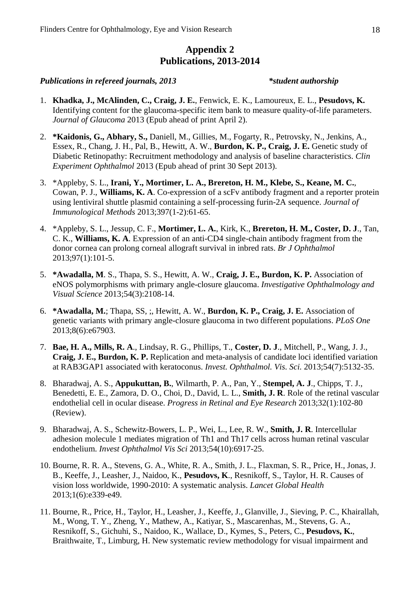# **Appendix 2 Publications, 2013-2014**

#### *Publications in refereed journals, 2013 \*student authorship*

- 1. **Khadka, J., McAlinden, C., Craig, J. E.**, Fenwick, E. K., Lamoureux, E. L., **Pesudovs, K.** Identifying content for the glaucoma-specific item bank to measure quality-of-life parameters. *Journal of Glaucoma* 2013 (Epub ahead of print April 2).
- 2. **\*Kaidonis, G., Abhary, S.,** Daniell, M., Gillies, M., Fogarty, R., Petrovsky, N., Jenkins, A., Essex, R., Chang, J. H., Pal, B., Hewitt, A. W., **Burdon, K. P., Craig, J. E.** Genetic study of Diabetic Retinopathy: Recruitment methodology and analysis of baseline characteristics. *Clin Experiment Ophthalmol* 2013 (Epub ahead of print 30 Sept 2013).
- 3. \*Appleby, S. L., **Irani, Y., Mortimer, L. A., Brereton, H. M., Klebe, S., Keane, M. C.**, Cowan, P. J., **Williams, K. A**. Co-expression of a scFv antibody fragment and a reporter protein using lentiviral shuttle plasmid containing a self-processing furin-2A sequence. *Journal of Immunological Methods* 2013;397(1-2):61-65.
- 4. \*Appleby, S. L., Jessup, C. F., **Mortimer, L. A.**, Kirk, K., **Brereton, H. M., Coster, D. J**., Tan, C. K., **Williams, K. A**. Expression of an anti-CD4 single-chain antibody fragment from the donor cornea can prolong corneal allograft survival in inbred rats. *Br J Ophthalmol* 2013;97(1):101-5.
- 5. **\*Awadalla, M**. S., Thapa, S. S., Hewitt, A. W., **Craig, J. E., Burdon, K. P.** Association of eNOS polymorphisms with primary angle-closure glaucoma. *Investigative Ophthalmology and Visual Science* 2013;54(3):2108-14.
- 6. **\*Awadalla, M.**; Thapa, SS, ;, Hewitt, A. W., **Burdon, K. P., Craig, J. E.** Association of genetic variants with primary angle-closure glaucoma in two different populations. *PLoS One* 2013;8(6):e67903.
- 7. **Bae, H. A., Mills, R. A**., Lindsay, R. G., Phillips, T., **Coster, D. J**., Mitchell, P., Wang, J. J., **Craig, J. E., Burdon, K. P.** Replication and meta-analysis of candidate loci identified variation at RAB3GAP1 associated with keratoconus. *Invest. Ophthalmol. Vis. Sci.* 2013;54(7):5132-35.
- 8. Bharadwaj, A. S., **Appukuttan, B.**, Wilmarth, P. A., Pan, Y., **Stempel, A. J**., Chipps, T. J., Benedetti, E. E., Zamora, D. O., Choi, D., David, L. L., **Smith, J. R**. Role of the retinal vascular endothelial cell in ocular disease. *Progress in Retinal and Eye Research* 2013;32(1):102-80 (Review).
- 9. Bharadwaj, A. S., Schewitz-Bowers, L. P., Wei, L., Lee, R. W., **Smith, J. R**. Intercellular adhesion molecule 1 mediates migration of Th1 and Th17 cells across human retinal vascular endothelium. *Invest Ophthalmol Vis Sci* 2013;54(10):6917-25.
- 10. Bourne, R. R. A., Stevens, G. A., White, R. A., Smith, J. L., Flaxman, S. R., Price, H., Jonas, J. B., Keeffe, J., Leasher, J., Naidoo, K., **Pesudovs, K**., Resnikoff, S., Taylor, H. R. Causes of vision loss worldwide, 1990-2010: A systematic analysis. *Lancet Global Health* 2013;1(6):e339-e49.
- 11. Bourne, R., Price, H., Taylor, H., Leasher, J., Keeffe, J., Glanville, J., Sieving, P. C., Khairallah, M., Wong, T. Y., Zheng, Y., Mathew, A., Katiyar, S., Mascarenhas, M., Stevens, G. A., Resnikoff, S., Gichuhi, S., Naidoo, K., Wallace, D., Kymes, S., Peters, C., **Pesudovs, K.**, Braithwaite, T., Limburg, H. New systematic review methodology for visual impairment and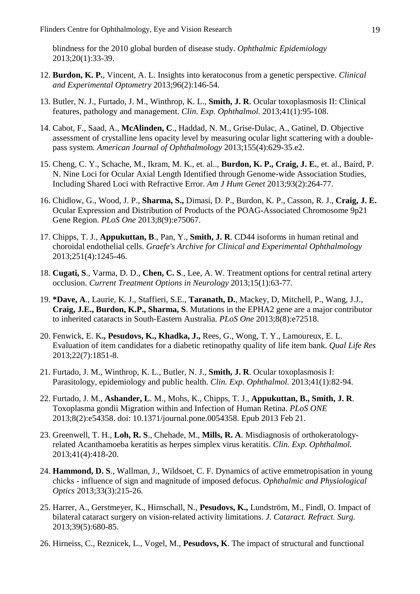blindness for the 2010 global burden of disease study. *Ophthalmic Epidemiology* 2013;20(1):33-39.

- 12. **Burdon, K. P.**, Vincent, A. L. Insights into keratoconus from a genetic perspective. *Clinical and Experimental Optometry* 2013;96(2):146-54.
- 13. Butler, N. J., Furtado, J. M., Winthrop, K. L., **Smith, J. R**. Ocular toxoplasmosis II: Clinical features, pathology and management. *Clin. Exp. Ophthalmol.* 2013;41(1):95-108.
- 14. Cabot, F., Saad, A., **McAlinden, C**., Haddad, N. M., Grise-Dulac, A., Gatinel, D. Objective assessment of crystalline lens opacity level by measuring ocular light scattering with a doublepass system. *American Journal of Ophthalmology* 2013;155(4):629-35.e2.
- 15. Cheng, C. Y., Schache, M., Ikram, M. K., et. al.., **Burdon, K. P., Craig, J. E.**, et. al., Baird, P. N. Nine Loci for Ocular Axial Length Identified through Genome-wide Association Studies, Including Shared Loci with Refractive Error. *Am J Hum Genet* 2013;93(2):264-77.
- 16. Chidlow, G., Wood, J. P., **Sharma, S.,** Dimasi, D. P., Burdon, K. P., Casson, R. J., **Craig, J. E.** Ocular Expression and Distribution of Products of the POAG-Associated Chromosome 9p21 Gene Region. *PLoS One* 2013;8(9):e75067.
- 17. Chipps, T. J., **Appukuttan, B**., Pan, Y., **Smith, J. R**. CD44 isoforms in human retinal and choroidal endothelial cells. *Graefe's Archive for Clinical and Experimental Ophthalmology* 2013;251(4):1245-46.
- 18. **Cugati, S**., Varma, D. D., **Chen, C. S**., Lee, A. W. Treatment options for central retinal artery occlusion. *Current Treatment Options in Neurology* 2013;15(1):63-77.
- 19. **\*Dave, A**., Laurie, K. J., Staffieri, S.E., **Taranath, D.**, Mackey, D, Mitchell, P., Wang, J.J., **Craig, J.E., Burdon, K.P., Sharma, S**. Mutations in the EPHA2 gene are a major contributor to inherited cataracts in South-Eastern Australia. *PLoS One* 2013;8(8):e72518.
- 20. Fenwick, E. K**., Pesudovs, K., Khadka, J.,** Rees, G., Wong, T. Y., Lamoureux, E. L. Evaluation of item candidates for a diabetic retinopathy quality of life item bank. *Qual Life Res* 2013;22(7):1851-8.
- 21. Furtado, J. M., Winthrop, K. L., Butler, N. J., **Smith, J. R**. Ocular toxoplasmosis I: Parasitology, epidemiology and public health. *Clin. Exp. Ophthalmol.* 2013;41(1):82-94.
- 22. Furtado, J. M., **Ashander, L**. M., Mohs, K., Chipps, T. J., **Appukuttan, B., Smith, J. R**. Toxoplasma gondii Migration within and Infection of Human Retina. *PLoS ONE* 2013;8(2):e54358. doi: 10.1371/journal.pone.0054358. Epub 2013 Feb 21.
- 23. Greenwell, T. H., **Loh, R. S**., Chehade, M., **Mills, R. A**. Misdiagnosis of orthokeratologyrelated Acanthamoeba keratitis as herpes simplex virus keratitis. *Clin. Exp. Ophthalmol.* 2013;41(4):418-20.
- 24. **Hammond, D. S**., Wallman, J., Wildsoet, C. F. Dynamics of active emmetropisation in young chicks - influence of sign and magnitude of imposed defocus. *Ophthalmic and Physiological Optics* 2013;33(3):215-26.
- 25. Harrer, A., Gerstmeyer, K., Hirnschall, N., **Pesudovs, K.,** Lundström, M., Findl, O. Impact of bilateral cataract surgery on vision-related activity limitations. *J. Cataract. Refract. Surg.* 2013;39(5):680-85.
- 26. Hirneiss, C., Reznicek, L., Vogel, M., **Pesudovs, K**. The impact of structural and functional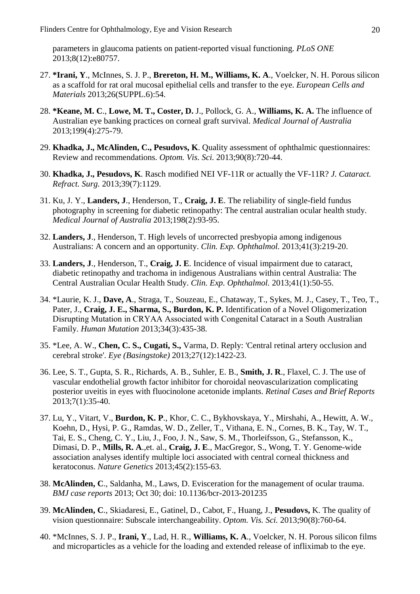parameters in glaucoma patients on patient-reported visual functioning. *PLoS ONE* 2013;8(12):e80757.

- 27. **\*Irani, Y**., McInnes, S. J. P., **Brereton, H. M., Williams, K. A**., Voelcker, N. H. Porous silicon as a scaffold for rat oral mucosal epithelial cells and transfer to the eye. *European Cells and Materials* 2013;26(SUPPL.6):54.
- 28. **\*Keane, M. C**., **Lowe, M. T., Coster, D.** J., Pollock, G. A., **Williams, K. A.** The influence of Australian eye banking practices on corneal graft survival. *Medical Journal of Australia* 2013;199(4):275-79.
- 29. **Khadka, J., McAlinden, C., Pesudovs, K**. Quality assessment of ophthalmic questionnaires: Review and recommendations. *Optom. Vis. Sci.* 2013;90(8):720-44.
- 30. **Khadka, J., Pesudovs, K**. Rasch modified NEI VF-11R or actually the VF-11R? *J. Cataract. Refract. Surg.* 2013;39(7):1129.
- 31. Ku, J. Y., **Landers, J**., Henderson, T., **Craig, J. E**. The reliability of single-field fundus photography in screening for diabetic retinopathy: The central australian ocular health study. *Medical Journal of Australia* 2013;198(2):93-95.
- 32. **Landers, J**., Henderson, T. High levels of uncorrected presbyopia among indigenous Australians: A concern and an opportunity. *Clin. Exp. Ophthalmol.* 2013;41(3):219-20.
- 33. **Landers, J**., Henderson, T., **Craig, J. E**. Incidence of visual impairment due to cataract, diabetic retinopathy and trachoma in indigenous Australians within central Australia: The Central Australian Ocular Health Study. *Clin. Exp. Ophthalmol.* 2013;41(1):50-55.
- 34. \*Laurie, K. J., **Dave, A**., Straga, T., Souzeau, E., Chataway, T., Sykes, M. J., Casey, T., Teo, T., Pater, J., **Craig, J. E., Sharma, S., Burdon, K. P.** Identification of a Novel Oligomerization Disrupting Mutation in CRYΑA Associated with Congenital Cataract in a South Australian Family. *Human Mutation* 2013;34(3):435-38.
- 35. \*Lee, A. W., **Chen, C. S., Cugati, S.,** Varma, D. Reply: 'Central retinal artery occlusion and cerebral stroke'. *Eye (Basingstoke)* 2013;27(12):1422-23.
- 36. Lee, S. T., Gupta, S. R., Richards, A. B., Suhler, E. B., **Smith, J. R**., Flaxel, C. J. The use of vascular endothelial growth factor inhibitor for choroidal neovascularization complicating posterior uveitis in eyes with fluocinolone acetonide implants. *Retinal Cases and Brief Reports* 2013;7(1):35-40.
- 37. Lu, Y., Vitart, V., **Burdon, K. P**., Khor, C. C., Bykhovskaya, Y., Mirshahi, A., Hewitt, A. W., Koehn, D., Hysi, P. G., Ramdas, W. D., Zeller, T., Vithana, E. N., Cornes, B. K., Tay, W. T., Tai, E. S., Cheng, C. Y., Liu, J., Foo, J. N., Saw, S. M., Thorleifsson, G., Stefansson, K., Dimasi, D. P., **Mills, R. A**.,et. al., **Craig, J. E**., MacGregor, S., Wong, T. Y. Genome-wide association analyses identify multiple loci associated with central corneal thickness and keratoconus. *Nature Genetics* 2013;45(2):155-63.
- 38. **McAlinden, C**., Saldanha, M., Laws, D. Evisceration for the management of ocular trauma. *BMJ case reports* 2013; Oct 30; doi: 10.1136/bcr-2013-201235
- 39. **McAlinden, C**., Skiadaresi, E., Gatinel, D., Cabot, F., Huang, J., **Pesudovs,** K. The quality of vision questionnaire: Subscale interchangeability. *Optom. Vis. Sci.* 2013;90(8):760-64.
- 40. \*McInnes, S. J. P., **Irani, Y**., Lad, H. R., **Williams, K. A**., Voelcker, N. H. Porous silicon films and microparticles as a vehicle for the loading and extended release of infliximab to the eye.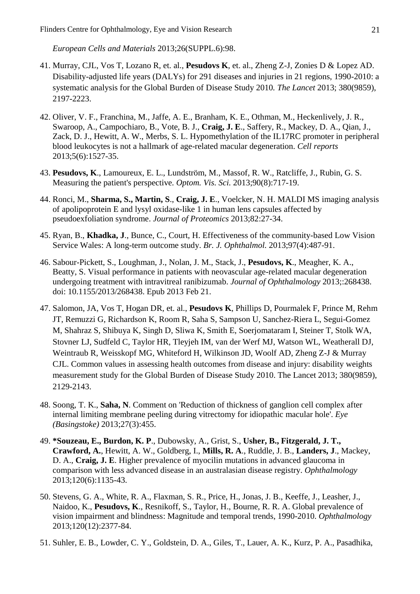*European Cells and Materials* 2013;26(SUPPL.6):98.

- 41. Murray, CJL, Vos T, Lozano R, et. al., **Pesudovs K**, et. al., Zheng Z-J, Zonies D & Lopez AD. Disability-adjusted life years (DALYs) for 291 diseases and injuries in 21 regions, 1990-2010: a systematic analysis for the Global Burden of Disease Study 2010*. The Lancet* 2013; 380(9859), 2197-2223.
- 42. Oliver, V. F., Franchina, M., Jaffe, A. E., Branham, K. E., Othman, M., Heckenlively, J. R., Swaroop, A., Campochiaro, B., Vote, B. J., **Craig, J. E**., Saffery, R., Mackey, D. A., Qian, J., Zack, D. J., Hewitt, A. W., Merbs, S. L. Hypomethylation of the IL17RC promoter in peripheral blood leukocytes is not a hallmark of age-related macular degeneration. *Cell reports* 2013;5(6):1527-35.
- 43. **Pesudovs, K**., Lamoureux, E. L., Lundström, M., Massof, R. W., Ratcliffe, J., Rubin, G. S. Measuring the patient's perspective. *Optom. Vis. Sci.* 2013;90(8):717-19.
- 44. Ronci, M., **Sharma, S., Martin, S**., **Craig, J. E**., Voelcker, N. H. MALDI MS imaging analysis of apolipoprotein E and lysyl oxidase-like 1 in human lens capsules affected by pseudoexfoliation syndrome. *Journal of Proteomics* 2013;82:27-34.
- 45. Ryan, B., **Khadka, J**., Bunce, C., Court, H. Effectiveness of the community-based Low Vision Service Wales: A long-term outcome study. *Br. J. Ophthalmol.* 2013;97(4):487-91.
- 46. Sabour-Pickett, S., Loughman, J., Nolan, J. M., Stack, J., **Pesudovs, K**., Meagher, K. A., Beatty, S. Visual performance in patients with neovascular age-related macular degeneration undergoing treatment with intravitreal ranibizumab. *Journal of Ophthalmology* 2013;:268438. doi: 10.1155/2013/268438. Epub 2013 Feb 21.
- 47. Salomon, JA, Vos T, Hogan DR, et. al., **Pesudovs K**, Phillips D, Pourmalek F, Prince M, Rehm JT, Remuzzi G, Richardson K, Room R, Saha S, Sampson U, Sanchez-Riera L, Segui-Gomez M, Shahraz S, Shibuya K, Singh D, Sliwa K, Smith E, Soerjomataram I, Steiner T, Stolk WA, Stovner LJ, Sudfeld C, Taylor HR, Tleyjeh IM, van der Werf MJ, Watson WL, Weatherall DJ, Weintraub R, Weisskopf MG, Whiteford H, Wilkinson JD, Woolf AD, Zheng Z-J & Murray CJL. Common values in assessing health outcomes from disease and injury: disability weights measurement study for the Global Burden of Disease Study 2010. The Lancet 2013; 380(9859), 2129-2143.
- 48. Soong, T. K., **Saha, N**. Comment on 'Reduction of thickness of ganglion cell complex after internal limiting membrane peeling during vitrectomy for idiopathic macular hole'. *Eye (Basingstoke)* 2013;27(3):455.
- 49. **\*Souzeau, E., Burdon, K. P**., Dubowsky, A., Grist, S., **Usher, B., Fitzgerald, J. T., Crawford, A.**, Hewitt, A. W., Goldberg, I., **Mills, R. A**., Ruddle, J. B., **Landers, J**., Mackey, D. A., **Craig, J. E**. Higher prevalence of myocilin mutations in advanced glaucoma in comparison with less advanced disease in an australasian disease registry. *Ophthalmology* 2013;120(6):1135-43.
- 50. Stevens, G. A., White, R. A., Flaxman, S. R., Price, H., Jonas, J. B., Keeffe, J., Leasher, J., Naidoo, K., **Pesudovs, K**., Resnikoff, S., Taylor, H., Bourne, R. R. A. Global prevalence of vision impairment and blindness: Magnitude and temporal trends, 1990-2010. *Ophthalmology* 2013;120(12):2377-84.
- 51. Suhler, E. B., Lowder, C. Y., Goldstein, D. A., Giles, T., Lauer, A. K., Kurz, P. A., Pasadhika,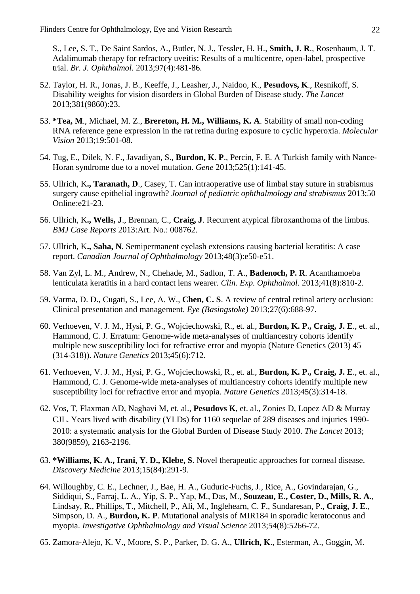S., Lee, S. T., De Saint Sardos, A., Butler, N. J., Tessler, H. H., **Smith, J. R**., Rosenbaum, J. T. Adalimumab therapy for refractory uveitis: Results of a multicentre, open-label, prospective trial. *Br. J. Ophthalmol.* 2013;97(4):481-86.

- 52. Taylor, H. R., Jonas, J. B., Keeffe, J., Leasher, J., Naidoo, K., **Pesudovs, K**., Resnikoff, S. Disability weights for vision disorders in Global Burden of Disease study. *The Lancet* 2013;381(9860):23.
- 53. **\*Tea, M**., Michael, M. Z., **Brereton, H. M., Williams, K. A**. Stability of small non-coding RNA reference gene expression in the rat retina during exposure to cyclic hyperoxia. *Molecular Vision* 2013;19:501-08.
- 54. Tug, E., Dilek, N. F., Javadiyan, S., **Burdon, K. P**., Percin, F. E. A Turkish family with Nance-Horan syndrome due to a novel mutation. *Gene* 2013;525(1):141-45.
- 55. Ullrich, K**., Taranath, D**., Casey, T. Can intraoperative use of limbal stay suture in strabismus surgery cause epithelial ingrowth? *Journal of pediatric ophthalmology and strabismus* 2013;50 Online:e21-23.
- 56. Ullrich, K**., Wells, J**., Brennan, C., **Craig, J**. Recurrent atypical fibroxanthoma of the limbus. *BMJ Case Reports* 2013:Art. No.: 008762.
- 57. Ullrich, K**., Saha, N**. Semipermanent eyelash extensions causing bacterial keratitis: A case report. *Canadian Journal of Ophthalmology* 2013;48(3):e50-e51.
- 58. Van Zyl, L. M., Andrew, N., Chehade, M., Sadlon, T. A., **Badenoch, P. R**. Acanthamoeba lenticulata keratitis in a hard contact lens wearer. *Clin. Exp. Ophthalmol.* 2013;41(8):810-2.
- 59. Varma, D. D., Cugati, S., Lee, A. W., **Chen, C. S**. A review of central retinal artery occlusion: Clinical presentation and management. *Eye (Basingstoke)* 2013;27(6):688-97.
- 60. Verhoeven, V. J. M., Hysi, P. G., Wojciechowski, R., et. al., **Burdon, K. P., Craig, J. E**., et. al., Hammond, C. J. Erratum: Genome-wide meta-analyses of multiancestry cohorts identify multiple new susceptibility loci for refractive error and myopia (Nature Genetics (2013) 45 (314-318)). *Nature Genetics* 2013;45(6):712.
- 61. Verhoeven, V. J. M., Hysi, P. G., Wojciechowski, R., et. al., **Burdon, K. P., Craig, J. E**., et. al., Hammond, C. J. Genome-wide meta-analyses of multiancestry cohorts identify multiple new susceptibility loci for refractive error and myopia. *Nature Genetics* 2013;45(3):314-18.
- 62. Vos, T, Flaxman AD, Naghavi M, et. al., **Pesudovs K**, et. al., Zonies D, Lopez AD & Murray CJL. Years lived with disability (YLDs) for 1160 sequelae of 289 diseases and injuries 1990- 2010: a systematic analysis for the Global Burden of Disease Study 2010. *The Lancet* 2013; 380(9859), 2163-2196.
- 63. **\*Williams, K. A., Irani, Y. D., Klebe, S**. Novel therapeutic approaches for corneal disease. *Discovery Medicine* 2013;15(84):291-9.
- 64. Willoughby, C. E., Lechner, J., Bae, H. A., Guduric-Fuchs, J., Rice, A., Govindarajan, G., Siddiqui, S., Farraj, L. A., Yip, S. P., Yap, M., Das, M., **Souzeau, E., Coster, D., Mills, R. A.**, Lindsay, R., Phillips, T., Mitchell, P., Ali, M., Inglehearn, C. F., Sundaresan, P., **Craig, J. E**., Simpson, D. A., **Burdon, K. P**. Mutational analysis of MIR184 in sporadic keratoconus and myopia. *Investigative Ophthalmology and Visual Science* 2013;54(8):5266-72.
- 65. Zamora-Alejo, K. V., Moore, S. P., Parker, D. G. A., **Ullrich, K**., Esterman, A., Goggin, M.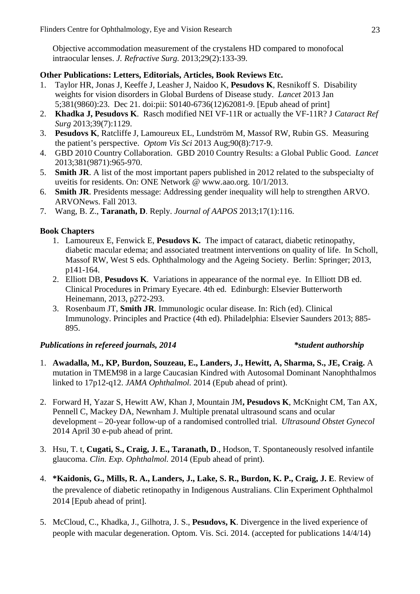Objective accommodation measurement of the crystalens HD compared to monofocal intraocular lenses. *J. Refractive Surg.* 2013;29(2):133-39.

#### **Other Publications: Letters, Editorials, Articles, Book Reviews Etc.**

- 1. Taylor HR, Jonas J, Keeffe J, Leasher J, Naidoo K, **Pesudovs K**, Resnikoff S. Disability weights for vision disorders in Global Burdens of Disease study. *Lancet* 2013 Jan 5;381(9860):23. Dec 21. doi:pii: S0140-6736(12)62081-9. [Epub ahead of print]
- 2. **Khadka J, Pesudovs K**. Rasch modified NEI VF-11R or actually the VF-11R? J *Cataract Ref Surg* 2013;39(7):1129.
- 3. **Pesudovs K**, Ratcliffe J, Lamoureux EL, Lundström M, Massof RW, Rubin GS. Measuring the patient's perspective. *Optom Vis Sci* 2013 Aug;90(8):717-9.
- 4. GBD 2010 Country Collaboration. GBD 2010 Country Results: a Global Public Good. *Lancet* 2013;381(9871):965-970.
- 5. **Smith JR**. A list of the most important papers published in 2012 related to the subspecialty of uveitis for residents. On: ONE Network @ www.aao.org. 10/1/2013.
- 6. **Smith JR**. Presidents message: Addressing gender inequality will help to strengthen ARVO. ARVONews. Fall 2013.
- 7. Wang, B. Z., **Taranath, D**. Reply. *Journal of AAPOS* 2013;17(1):116.

#### **Book Chapters**

- 1. Lamoureux E, Fenwick E, **Pesudovs K.** The impact of cataract, diabetic retinopathy, diabetic macular edema; and associated treatment interventions on quality of life. In Scholl, Massof RW, West S eds. Ophthalmology and the Ageing Society. Berlin: Springer; 2013, p141-164.
- 2. Elliott DB, **Pesudovs K**. Variations in appearance of the normal eye. In Elliott DB ed. Clinical Procedures in Primary Eyecare. 4th ed. Edinburgh: Elsevier Butterworth Heinemann, 2013, p272-293.
- 3. Rosenbaum JT, **Smith JR**. Immunologic ocular disease. In: Rich (ed). Clinical Immunology. Principles and Practice (4th ed). Philadelphia: Elsevier Saunders 2013; 885- 895.

#### *Publications in refereed journals, 2014 \*student authorship*

- 1. **Awadalla, M., KP, Burdon, Souzeau, E., Landers, J., Hewitt, A, Sharma, S., JE, Craig.** A mutation in TMEM98 in a large Caucasian Kindred with Autosomal Dominant Nanophthalmos linked to 17p12-q12. *JAMA Ophthalmol.* 2014 (Epub ahead of print).
- 2. Forward H, Yazar S, Hewitt AW, Khan J, Mountain JM**, Pesudovs K**, McKnight CM, Tan AX, Pennell C, Mackey DA, Newnham J. Multiple prenatal ultrasound scans and ocular development – 20-year follow-up of a randomised controlled trial. *Ultrasound Obstet Gynecol*  2014 April 30 e-pub ahead of print.
- 3. Hsu, T. t, **Cugati, S., Craig, J. E., Taranath, D**., Hodson, T. Spontaneously resolved infantile glaucoma. *Clin. Exp. Ophthalmol.* 2014 (Epub ahead of print).
- 4. **\*Kaidonis, G., Mills, R. A., Landers, J., Lake, S. R., Burdon, K. P., Craig, J. E**. Review of the prevalence of diabetic retinopathy in Indigenous Australians. Clin Experiment Ophthalmol 2014 [Epub ahead of print].
- 5. McCloud, C., Khadka, J., Gilhotra, J. S., **Pesudovs, K**. Divergence in the lived experience of people with macular degeneration. Optom. Vis. Sci. 2014. (accepted for publications 14/4/14)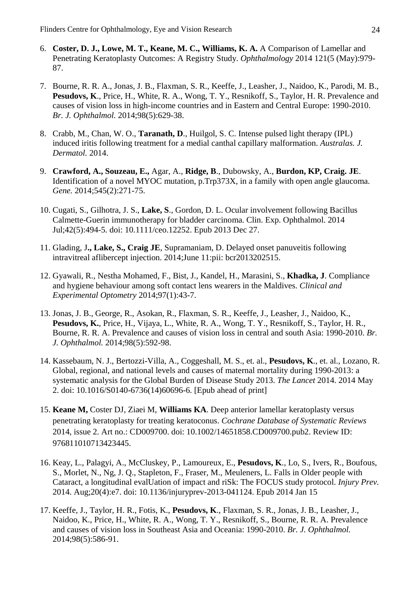- 6. **Coster, D. J., Lowe, M. T., Keane, M. C., Williams, K. A.** A Comparison of Lamellar and Penetrating Keratoplasty Outcomes: A Registry Study. *Ophthalmology* 2014 121(5 (May):979- 87.
- 7. Bourne, R. R. A., Jonas, J. B., Flaxman, S. R., Keeffe, J., Leasher, J., Naidoo, K., Parodi, M. B., **Pesudovs, K**., Price, H., White, R. A., Wong, T. Y., Resnikoff, S., Taylor, H. R. Prevalence and causes of vision loss in high-income countries and in Eastern and Central Europe: 1990-2010. *Br. J. Ophthalmol.* 2014;98(5):629-38.
- 8. Crabb, M., Chan, W. O., **Taranath, D**., Huilgol, S. C. Intense pulsed light therapy (IPL) induced iritis following treatment for a medial canthal capillary malformation. *Australas. J. Dermatol.* 2014.
- 9. **Crawford, A., Souzeau, E.,** Agar, A., **Ridge, B**., Dubowsky, A., **Burdon, KP, Craig. JE**. Identification of a novel MYOC mutation, p.Trp373X, in a family with open angle glaucoma. *Gene.* 2014;545(2):271-75.
- 10. Cugati, S., Gilhotra, J. S., **Lake, S**., Gordon, D. L. Ocular involvement following Bacillus Calmette-Guerin immunotherapy for bladder carcinoma. Clin. Exp. Ophthalmol. 2014 Jul;42(5):494-5. doi: 10.1111/ceo.12252. Epub 2013 Dec 27.
- 11. Glading, J**., Lake, S., Craig JE**, Supramaniam, D. Delayed onset panuveitis following intravitreal aflibercept injection. 2014;June 11:pii: bcr2013202515.
- 12. Gyawali, R., Nestha Mohamed, F., Bist, J., Kandel, H., Marasini, S., **Khadka, J**. Compliance and hygiene behaviour among soft contact lens wearers in the Maldives. *Clinical and Experimental Optometry* 2014;97(1):43-7.
- 13. Jonas, J. B., George, R., Asokan, R., Flaxman, S. R., Keeffe, J., Leasher, J., Naidoo, K., **Pesudovs, K.**, Price, H., Vijaya, L., White, R. A., Wong, T. Y., Resnikoff, S., Taylor, H. R., Bourne, R. R. A. Prevalence and causes of vision loss in central and south Asia: 1990-2010. *Br. J. Ophthalmol.* 2014;98(5):592-98.
- 14. Kassebaum, N. J., Bertozzi-Villa, A., Coggeshall, M. S., et. al., **Pesudovs, K**., et. al., Lozano, R. Global, regional, and national levels and causes of maternal mortality during 1990-2013: a systematic analysis for the Global Burden of Disease Study 2013. *The Lancet* 2014. 2014 May 2. doi: 10.1016/S0140-6736(14)60696-6. [Epub ahead of print]
- 15. **Keane M,** Coster DJ, Ziaei M, **Williams KA**. Deep anterior lamellar keratoplasty versus penetrating keratoplasty for treating keratoconus. *Cochrane Database of Systematic Reviews* 2014, issue 2. Art no.: CD009700. doi: 10.1002/14651858.CD009700.pub2. Review ID: 976811010713423445.
- 16. Keay, L., Palagyi, A., McCluskey, P., Lamoureux, E., **Pesudovs, K**., Lo, S., Ivers, R., Boufous, S., Morlet, N., Ng, J. Q., Stapleton, F., Fraser, M., Meuleners, L. Falls in Older people with Cataract, a longitudinal evalUation of impact and riSk: The FOCUS study protocol. *Injury Prev.* 2014. Aug;20(4):e7. doi: 10.1136/injuryprev-2013-041124. Epub 2014 Jan 15
- 17. Keeffe, J., Taylor, H. R., Fotis, K., **Pesudovs, K**., Flaxman, S. R., Jonas, J. B., Leasher, J., Naidoo, K., Price, H., White, R. A., Wong, T. Y., Resnikoff, S., Bourne, R. R. A. Prevalence and causes of vision loss in Southeast Asia and Oceania: 1990-2010. *Br. J. Ophthalmol.* 2014;98(5):586-91.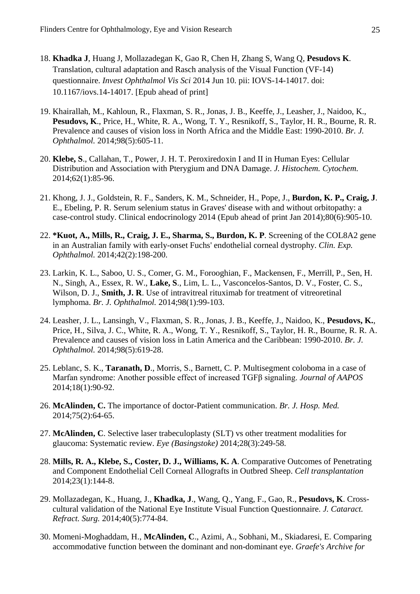- 18. **Khadka J**, Huang J, Mollazadegan K, Gao R, Chen H, Zhang S, Wang Q, **Pesudovs K**. Translation, cultural adaptation and Rasch analysis of the Visual Function (VF-14) questionnaire. *Invest Ophthalmol Vis Sci* 2014 Jun 10. pii: IOVS-14-14017. doi: 10.1167/iovs.14-14017. [Epub ahead of print]
- 19. Khairallah, M., Kahloun, R., Flaxman, S. R., Jonas, J. B., Keeffe, J., Leasher, J., Naidoo, K., **Pesudovs, K**., Price, H., White, R. A., Wong, T. Y., Resnikoff, S., Taylor, H. R., Bourne, R. R. Prevalence and causes of vision loss in North Africa and the Middle East: 1990-2010. *Br. J. Ophthalmol.* 2014;98(5):605-11.
- 20. **Klebe, S**., Callahan, T., Power, J. H. T. Peroxiredoxin I and II in Human Eyes: Cellular Distribution and Association with Pterygium and DNA Damage. *J. Histochem. Cytochem.* 2014;62(1):85-96.
- 21. Khong, J. J., Goldstein, R. F., Sanders, K. M., Schneider, H., Pope, J., **Burdon, K. P., Craig, J**. E., Ebeling, P. R. Serum selenium status in Graves' disease with and without orbitopathy: a case-control study. Clinical endocrinology 2014 (Epub ahead of print Jan 2014);80(6):905-10.
- 22. **\*Kuot, A., Mills, R., Craig, J. E., Sharma, S., Burdon, K. P**. Screening of the COL8A2 gene in an Australian family with early-onset Fuchs' endothelial corneal dystrophy. *Clin. Exp. Ophthalmol.* 2014;42(2):198-200.
- 23. Larkin, K. L., Saboo, U. S., Comer, G. M., Forooghian, F., Mackensen, F., Merrill, P., Sen, H. N., Singh, A., Essex, R. W., **Lake, S**., Lim, L. L., Vasconcelos-Santos, D. V., Foster, C. S., Wilson, D. J., **Smith, J. R**. Use of intravitreal rituximab for treatment of vitreoretinal lymphoma. *Br. J. Ophthalmol.* 2014;98(1):99-103.
- 24. Leasher, J. L., Lansingh, V., Flaxman, S. R., Jonas, J. B., Keeffe, J., Naidoo, K., **Pesudovs, K.**, Price, H., Silva, J. C., White, R. A., Wong, T. Y., Resnikoff, S., Taylor, H. R., Bourne, R. R. A. Prevalence and causes of vision loss in Latin America and the Caribbean: 1990-2010. *Br. J. Ophthalmol.* 2014;98(5):619-28.
- 25. Leblanc, S. K., **Taranath, D**., Morris, S., Barnett, C. P. Multisegment coloboma in a case of Marfan syndrome: Another possible effect of increased TGFβ signaling. *Journal of AAPOS* 2014;18(1):90-92.
- 26. **McAlinden, C.** The importance of doctor-Patient communication. *Br. J. Hosp. Med.* 2014;75(2):64-65.
- 27. **McAlinden, C**. Selective laser trabeculoplasty (SLT) vs other treatment modalities for glaucoma: Systematic review. *Eye (Basingstoke)* 2014;28(3):249-58.
- 28. **Mills, R. A., Klebe, S., Coster, D. J., Williams, K. A**. Comparative Outcomes of Penetrating and Component Endothelial Cell Corneal Allografts in Outbred Sheep. *Cell transplantation* 2014;23(1):144-8.
- 29. Mollazadegan, K., Huang, J., **Khadka, J**., Wang, Q., Yang, F., Gao, R., **Pesudovs, K**. Crosscultural validation of the National Eye Institute Visual Function Questionnaire. *J. Cataract. Refract. Surg.* 2014;40(5):774-84.
- 30. Momeni-Moghaddam, H., **McAlinden, C**., Azimi, A., Sobhani, M., Skiadaresi, E. Comparing accommodative function between the dominant and non-dominant eye. *Graefe's Archive for*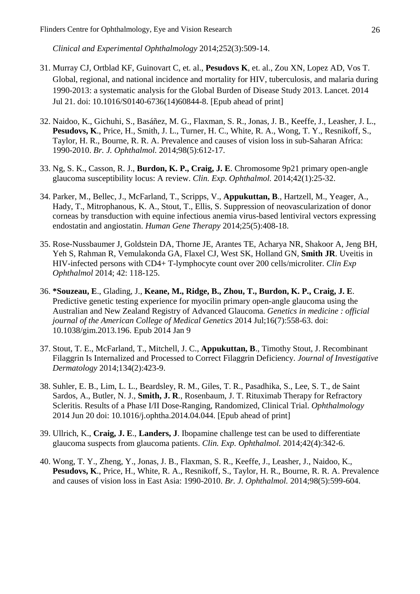*Clinical and Experimental Ophthalmology* 2014;252(3):509-14.

- 31. Murray CJ, Ortblad KF, Guinovart C, et. al., **Pesudovs K**, et. al., Zou XN, Lopez AD, Vos T. Global, regional, and national incidence and mortality for HIV, tuberculosis, and malaria during 1990-2013: a systematic analysis for the Global Burden of Disease Study 2013. Lancet. 2014 Jul 21. doi: 10.1016/S0140-6736(14)60844-8. [Epub ahead of print]
- 32. Naidoo, K., Gichuhi, S., Basáñez, M. G., Flaxman, S. R., Jonas, J. B., Keeffe, J., Leasher, J. L., **Pesudovs, K**., Price, H., Smith, J. L., Turner, H. C., White, R. A., Wong, T. Y., Resnikoff, S., Taylor, H. R., Bourne, R. R. A. Prevalence and causes of vision loss in sub-Saharan Africa: 1990-2010. *Br. J. Ophthalmol.* 2014;98(5):612-17.
- 33. Ng, S. K., Casson, R. J., **Burdon, K. P., Craig, J. E**. Chromosome 9p21 primary open-angle glaucoma susceptibility locus: A review. *Clin. Exp. Ophthalmol.* 2014;42(1):25-32.
- 34. Parker, M., Bellec, J., McFarland, T., Scripps, V., **Appukuttan, B**., Hartzell, M., Yeager, A., Hady, T., Mitrophanous, K. A., Stout, T., Ellis, S. Suppression of neovascularization of donor corneas by transduction with equine infectious anemia virus-based lentiviral vectors expressing endostatin and angiostatin. *Human Gene Therapy* 2014;25(5):408-18.
- 35. Rose-Nussbaumer J, Goldstein DA, Thorne JE, Arantes TE, Acharya NR, Shakoor A, Jeng BH, Yeh S, Rahman R, Vemulakonda GA, Flaxel CJ, West SK, Holland GN, **Smith JR**. Uveitis in HIV-infected persons with CD4+ T-lymphocyte count over 200 cells/microliter. *Clin Exp Ophthalmol* 2014; 42: 118-125.
- 36. **\*Souzeau, E**., Glading, J., **Keane, M., Ridge, B., Zhou, T., Burdon, K. P., Craig, J. E**. Predictive genetic testing experience for myocilin primary open-angle glaucoma using the Australian and New Zealand Registry of Advanced Glaucoma. *Genetics in medicine : official journal of the American College of Medical Genetics* 2014 Jul;16(7):558-63. doi: 10.1038/gim.2013.196. Epub 2014 Jan 9
- 37. Stout, T. E., McFarland, T., Mitchell, J. C., **Appukuttan, B**., Timothy Stout, J. Recombinant Filaggrin Is Internalized and Processed to Correct Filaggrin Deficiency. *Journal of Investigative Dermatology* 2014;134(2):423-9.
- 38. Suhler, E. B., Lim, L. L., Beardsley, R. M., Giles, T. R., Pasadhika, S., Lee, S. T., de Saint Sardos, A., Butler, N. J., **Smith, J. R**., Rosenbaum, J. T. Rituximab Therapy for Refractory Scleritis. Results of a Phase I/II Dose-Ranging, Randomized, Clinical Trial. *Ophthalmology* 2014 Jun 20 doi: 10.1016/j.ophtha.2014.04.044. [Epub ahead of print]
- 39. Ullrich, K., **Craig, J. E**., **Landers, J**. Ibopamine challenge test can be used to differentiate glaucoma suspects from glaucoma patients. *Clin. Exp. Ophthalmol.* 2014;42(4):342-6.
- 40. Wong, T. Y., Zheng, Y., Jonas, J. B., Flaxman, S. R., Keeffe, J., Leasher, J., Naidoo, K., **Pesudovs, K**., Price, H., White, R. A., Resnikoff, S., Taylor, H. R., Bourne, R. R. A. Prevalence and causes of vision loss in East Asia: 1990-2010. *Br. J. Ophthalmol.* 2014;98(5):599-604.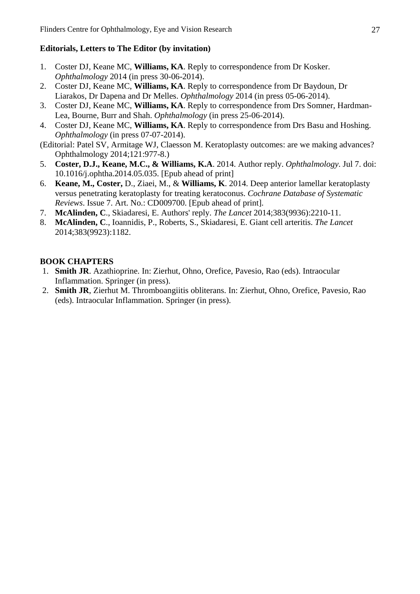#### **Editorials, Letters to The Editor (by invitation)**

- 1. Coster DJ, Keane MC, **Williams, KA**. Reply to correspondence from Dr Kosker. *Ophthalmology* 2014 (in press 30-06-2014).
- 2. Coster DJ, Keane MC, **Williams, KA**. Reply to correspondence from Dr Baydoun, Dr Liarakos, Dr Dapena and Dr Melles. *Ophthalmology* 2014 (in press 05-06-2014).
- 3. Coster DJ, Keane MC, **Williams, KA**. Reply to correspondence from Drs Somner, Hardman-Lea, Bourne, Burr and Shah. *Ophthalmology* (in press 25-06-2014).
- 4. Coster DJ, Keane MC, **Williams, KA**. Reply to correspondence from Drs Basu and Hoshing. *Ophthalmology* (in press 07-07-2014).
- (Editorial: Patel SV, Armitage WJ, Claesson M. Keratoplasty outcomes: are we making advances? Ophthalmology 2014;121:977-8.)
- 5. **Coster, D.J., Keane, M.C., & Williams, K.A**. 2014. Author reply. *Ophthalmology*. Jul 7. doi: 10.1016/j.ophtha.2014.05.035. [Epub ahead of print]
- 6. **Keane, M., Coster,** D., Ziaei, M., & **Williams, K**. 2014. Deep anterior lamellar keratoplasty versus penetrating keratoplasty for treating keratoconus. *Cochrane Database of Systematic Reviews*. Issue 7. Art. No.: CD009700. [Epub ahead of print].
- 7. **McAlinden, C**., Skiadaresi, E. Authors' reply. *The Lancet* 2014;383(9936):2210-11.
- 8. **McAlinden, C**., Ioannidis, P., Roberts, S., Skiadaresi, E. Giant cell arteritis. *The Lancet* 2014;383(9923):1182.

#### **BOOK CHAPTERS**

- 1. **Smith JR**. Azathioprine. In: Zierhut, Ohno, Orefice, Pavesio, Rao (eds). Intraocular Inflammation. Springer (in press).
- 2. **Smith JR**, Zierhut M. Thromboangiitis obliterans. In: Zierhut, Ohno, Orefice, Pavesio, Rao (eds). Intraocular Inflammation. Springer (in press).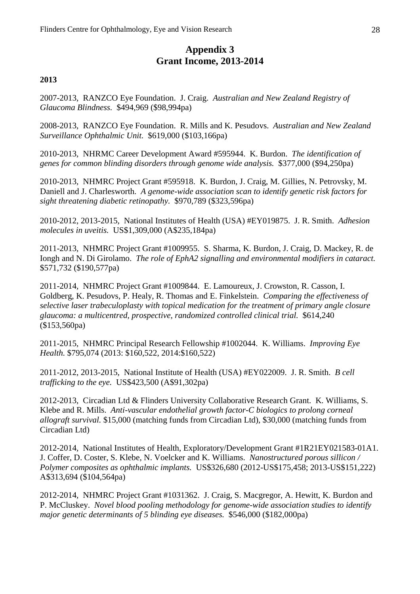# **Appendix 3 Grant Income, 2013-2014**

#### **2013**

2007-2013, RANZCO Eye Foundation. J. Craig. *Australian and New Zealand Registry of Glaucoma Blindness.* \$494,969 (\$98,994pa)

2008-2013, RANZCO Eye Foundation. R. Mills and K. Pesudovs. *Australian and New Zealand Surveillance Ophthalmic Unit.* \$619,000 (\$103,166pa)

2010-2013, NHRMC Career Development Award #595944. K. Burdon. *The identification of genes for common blinding disorders through genome wide analysis.* \$377,000 (\$94,250pa)

2010-2013, NHMRC Project Grant #595918. K. Burdon, J. Craig, M. Gillies, N. Petrovsky, M. Daniell and J. Charlesworth. *A genome-wide association scan to identify genetic risk factors for sight threatening diabetic retinopathy.* \$970,789 (\$323,596pa)

2010-2012, 2013-2015, National Institutes of Health (USA) #EY019875. J. R. Smith. *Adhesion molecules in uveitis.* US\$1,309,000 (A\$235,184pa)

2011-2013, NHMRC Project Grant #1009955. S. Sharma, K. Burdon, J. Craig, D. Mackey, R. de Iongh and N. Di Girolamo. *The role of EphA2 signalling and environmental modifiers in cataract.* \$571,732 (\$190,577pa)

2011-2014, NHMRC Project Grant #1009844. E. Lamoureux, J. Crowston, R. Casson, I. Goldberg, K. Pesudovs, P. Healy, R. Thomas and E. Finkelstein. *Comparing the effectiveness of selective laser trabeculoplasty with topical medication for the treatment of primary angle closure glaucoma: a multicentred, prospective, randomized controlled clinical trial.* \$614,240 (\$153,560pa)

2011-2015, NHMRC Principal Research Fellowship #1002044. K. Williams. *Improving Eye Health.* \$795,074 (2013: \$160,522, 2014:\$160,522)

2011-2012, 2013-2015, National Institute of Health (USA) #EY022009. J. R. Smith. *B cell trafficking to the eye.* US\$423,500 (A\$91,302pa)

2012-2013, Circadian Ltd & Flinders University Collaborative Research Grant. K. Williams, S. Klebe and R. Mills. *Anti-vascular endothelial growth factor-C biologics to prolong corneal allograft survival.* \$15,000 (matching funds from Circadian Ltd), \$30,000 (matching funds from Circadian Ltd)

2012-2014, National Institutes of Health, Exploratory/Development Grant #1R21EY021583-01A1. J. Coffer, D. Coster, S. Klebe, N. Voelcker and K. Williams. *Nanostructured porous sillicon / Polymer composites as ophthalmic implants.* US\$326,680 (2012-US\$175,458; 2013-US\$151,222) A\$313,694 (\$104,564pa)

2012-2014, NHMRC Project Grant #1031362. J. Craig, S. Macgregor, A. Hewitt, K. Burdon and P. McCluskey. *Novel blood pooling methodology for genome-wide association studies to identify major genetic determinants of 5 blinding eye diseases.* \$546,000 (\$182,000pa)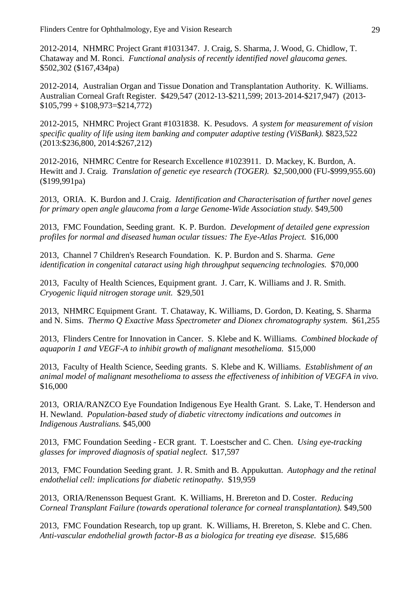2012-2014, NHMRC Project Grant #1031347. J. Craig, S. Sharma, J. Wood, G. Chidlow, T. Chataway and M. Ronci. *Functional analysis of recently identified novel glaucoma genes.* \$502,302 (\$167,434pa)

2012-2014, Australian Organ and Tissue Donation and Transplantation Authority. K. Williams. Australian Corneal Graft Register. \$429,547 (2012-13-\$211,599; 2013-2014-\$217,947) (2013-  $$105,799 + $108,973 = $214,772$ 

2012-2015, NHMRC Project Grant #1031838. K. Pesudovs. *A system for measurement of vision specific quality of life using item banking and computer adaptive testing (ViSBank).* \$823,522 (2013:\$236,800, 2014:\$267,212)

2012-2016, NHMRC Centre for Research Excellence #1023911. D. Mackey, K. Burdon, A. Hewitt and J. Craig. *Translation of genetic eye research (TOGER).* \$2,500,000 (FU-\$999,955.60) (\$199,991pa)

2013, ORIA. K. Burdon and J. Craig. *Identification and Characterisation of further novel genes for primary open angle glaucoma from a large Genome-Wide Association study.* \$49,500

2013, FMC Foundation, Seeding grant. K. P. Burdon. *Development of detailed gene expression profiles for normal and diseased human ocular tissues: The Eye-Atlas Project.* \$16,000

2013, Channel 7 Children's Research Foundation. K. P. Burdon and S. Sharma. *Gene identification in congenital cataract using high throughput sequencing technologies.* \$70,000

2013, Faculty of Health Sciences, Equipment grant. J. Carr, K. Williams and J. R. Smith. *Cryogenic liquid nitrogen storage unit.* \$29,501

2013, NHMRC Equipment Grant. T. Chataway, K. Williams, D. Gordon, D. Keating, S. Sharma and N. Sims. *Thermo Q Exactive Mass Spectrometer and Dionex chromatography system.* \$61,255

2013, Flinders Centre for Innovation in Cancer. S. Klebe and K. Williams. *Combined blockade of aquaporin 1 and VEGF-A to inhibit growth of malignant mesothelioma.* \$15,000

2013, Faculty of Health Science, Seeding grants. S. Klebe and K. Williams. *Establishment of an animal model of malignant mesothelioma to assess the effectiveness of inhibition of VEGFA in vivo.* \$16,000

2013, ORIA/RANZCO Eye Foundation Indigenous Eye Health Grant. S. Lake, T. Henderson and H. Newland. *Population-based study of diabetic vitrectomy indications and outcomes in Indigenous Australians.* \$45,000

2013, FMC Foundation Seeding - ECR grant. T. Loestscher and C. Chen. *Using eye-tracking glasses for improved diagnosis of spatial neglect.* \$17,597

2013, FMC Foundation Seeding grant. J. R. Smith and B. Appukuttan. *Autophagy and the retinal endothelial cell: implications for diabetic retinopathy.* \$19,959

2013, ORIA/Renensson Bequest Grant. K. Williams, H. Brereton and D. Coster. *Reducing Corneal Transplant Failure (towards operational tolerance for corneal transplantation).* \$49,500

2013, FMC Foundation Research, top up grant. K. Williams, H. Brereton, S. Klebe and C. Chen. *Anti-vascular endothelial growth factor-B as a biologica for treating eye disease.* \$15,686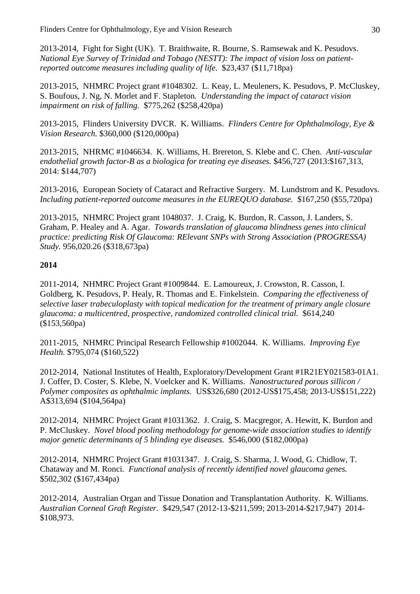2013-2014, Fight for Sight (UK). T. Braithwaite, R. Bourne, S. Ramsewak and K. Pesudovs. *National Eye Survey of Trinidad and Tobago (NESTT): The impact of vision loss on patientreported outcome measures including quality of life.* \$23,437 (\$11,718pa)

2013-2015, NHMRC Project grant #1048302. L. Keay, L. Meuleners, K. Pesudovs, P. McCluskey, S. Boufous, J. Ng, N. Morlet and F. Stapleton. *Understanding the impact of cataract vision impairment on risk of falling.* \$775,262 (\$258,420pa)

2013-2015, Flinders University DVCR. K. Williams. *Flinders Centre for Ophthalmology, Eye & Vision Research.* \$360,000 (\$120,000pa)

2013-2015, NHRMC #1046634. K. Williams, H. Brereton, S. Klebe and C. Chen. *Anti-vascular endothelial growth factor-B as a biologica for treating eye diseases.* \$456,727 (2013:\$167,313, 2014: \$144,707)

2013-2016, European Society of Cataract and Refractive Surgery. M. Lundstrom and K. Pesudovs. *Including patient-reported outcome measures in the EUREQUO database.* \$167,250 (\$55,720pa)

2013-2015, NHMRC Project grant 1048037. J. Craig, K. Burdon, R. Casson, J. Landers, S. Graham, P. Healey and A. Agar. *Towards translation of glaucoma blindness genes into clinical practice: predicting Risk Of Glaucoma: RElevant SNPs with Strong Association (PROGRESSA) Study.* 956,020.26 (\$318,673pa)

#### **2014**

2011-2014, NHMRC Project Grant #1009844. E. Lamoureux, J. Crowston, R. Casson, I. Goldberg, K. Pesudovs, P. Healy, R. Thomas and E. Finkelstein. *Comparing the effectiveness of selective laser trabeculoplasty with topical medication for the treatment of primary angle closure glaucoma: a multicentred, prospective, randomized controlled clinical trial.* \$614,240 (\$153,560pa)

2011-2015, NHMRC Principal Research Fellowship #1002044. K. Williams. *Improving Eye Health.* \$795,074 (\$160,522)

2012-2014, National Institutes of Health, Exploratory/Development Grant #1R21EY021583-01A1. J. Coffer, D. Coster, S. Klebe, N. Voelcker and K. Williams. *Nanostructured porous sillicon / Polymer composites as ophthalmic implants.* US\$326,680 (2012-US\$175,458; 2013-US\$151,222) A\$313,694 (\$104,564pa)

2012-2014, NHMRC Project Grant #1031362. J. Craig, S. Macgregor, A. Hewitt, K. Burdon and P. McCluskey. *Novel blood pooling methodology for genome-wide association studies to identify major genetic determinants of 5 blinding eye diseases.* \$546,000 (\$182,000pa)

2012-2014, NHMRC Project Grant #1031347. J. Craig, S. Sharma, J. Wood, G. Chidlow, T. Chataway and M. Ronci. *Functional analysis of recently identified novel glaucoma genes.* \$502,302 (\$167,434pa)

2012-2014, Australian Organ and Tissue Donation and Transplantation Authority. K. Williams. *Australian Corneal Graft Register.* \$429,547 (2012-13-\$211,599; 2013-2014-\$217,947) 2014- \$108,973.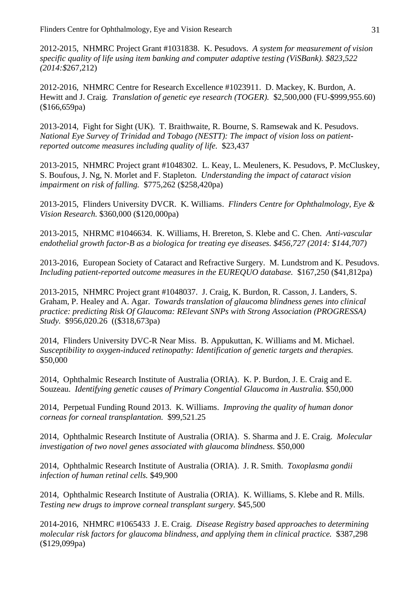2012-2015, NHMRC Project Grant #1031838. K. Pesudovs. *A system for measurement of vision specific quality of life using item banking and computer adaptive testing (ViSBank). \$823,522 (2014:\$*267,212)

2012-2016, NHMRC Centre for Research Excellence #1023911. D. Mackey, K. Burdon, A. Hewitt and J. Craig. *Translation of genetic eye research (TOGER).* \$2,500,000 (FU-\$999,955.60) (\$166,659pa)

2013-2014, Fight for Sight (UK). T. Braithwaite, R. Bourne, S. Ramsewak and K. Pesudovs. *National Eye Survey of Trinidad and Tobago (NESTT): The impact of vision loss on patientreported outcome measures including quality of life.* \$23,437

2013-2015, NHMRC Project grant #1048302. L. Keay, L. Meuleners, K. Pesudovs, P. McCluskey, S. Boufous, J. Ng, N. Morlet and F. Stapleton. *Understanding the impact of cataract vision impairment on risk of falling.* \$775,262 (\$258,420pa)

2013-2015, Flinders University DVCR. K. Williams. *Flinders Centre for Ophthalmology, Eye & Vision Research.* \$360,000 (\$120,000pa)

2013-2015, NHRMC #1046634. K. Williams, H. Brereton, S. Klebe and C. Chen. *Anti-vascular endothelial growth factor-B as a biologica for treating eye diseases. \$456,727 (2014: \$144,707)*

2013-2016, European Society of Cataract and Refractive Surgery. M. Lundstrom and K. Pesudovs. *Including patient-reported outcome measures in the EUREQUO database.* \$167,250 (\$41,812pa)

2013-2015, NHMRC Project grant #1048037. J. Craig, K. Burdon, R. Casson, J. Landers, S. Graham, P. Healey and A. Agar. *Towards translation of glaucoma blindness genes into clinical practice: predicting Risk Of Glaucoma: RElevant SNPs with Strong Association (PROGRESSA) Study.* \$956,020.26 ((\$318,673pa)

2014, Flinders University DVC-R Near Miss. B. Appukuttan, K. Williams and M. Michael. *Susceptibility to oxygen-induced retinopathy: Identification of genetic targets and therapies.* \$50,000

2014, Ophthalmic Research Institute of Australia (ORIA). K. P. Burdon, J. E. Craig and E. Souzeau. *Identifying genetic causes of Primary Congential Glaucoma in Australia.* \$50,000

2014, Perpetual Funding Round 2013. K. Williams. *Improving the quality of human donor corneas for corneal transplantation.* \$99,521.25

2014, Ophthalmic Research Institute of Australia (ORIA). S. Sharma and J. E. Craig. *Molecular investigation of two novel genes associated with glaucoma blindness.* \$50,000

2014, Ophthalmic Research Institute of Australia (ORIA). J. R. Smith. *Toxoplasma gondii infection of human retinal cells.* \$49,900

2014, Ophthalmic Research Institute of Australia (ORIA). K. Williams, S. Klebe and R. Mills. *Testing new drugs to improve corneal transplant surgery.* \$45,500

2014-2016, NHMRC #1065433 J. E. Craig. *Disease Registry based approaches to determining molecular risk factors for glaucoma blindness, and applying them in clinical practice.* \$387,298 (\$129,099pa)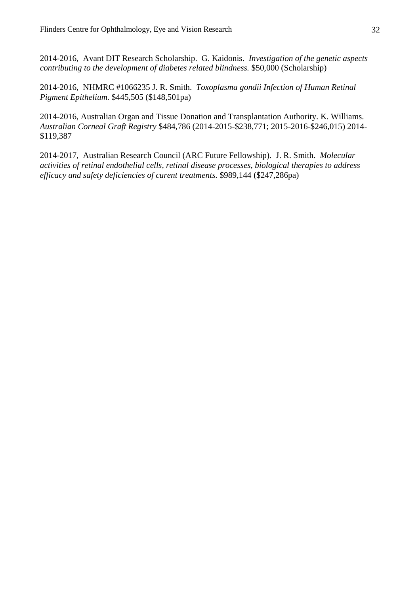2014-2016, Avant DIT Research Scholarship. G. Kaidonis. *Investigation of the genetic aspects contributing to the development of diabetes related blindness.* \$50,000 (Scholarship)

2014-2016, NHMRC #1066235 J. R. Smith. *Toxoplasma gondii Infection of Human Retinal Pigment Epithelium.* \$445,505 (\$148,501pa)

2014-2016, Australian Organ and Tissue Donation and Transplantation Authority. K. Williams. *Australian Corneal Graft Registry* \$484,786 (2014-2015-\$238,771; 2015-2016-\$246,015) 2014- \$119,387

2014-2017, Australian Research Council (ARC Future Fellowship). J. R. Smith. *Molecular activities of retinal endothelial cells, retinal disease processes, biological therapies to address efficacy and safety deficiencies of curent treatments.* \$989,144 (\$247,286pa)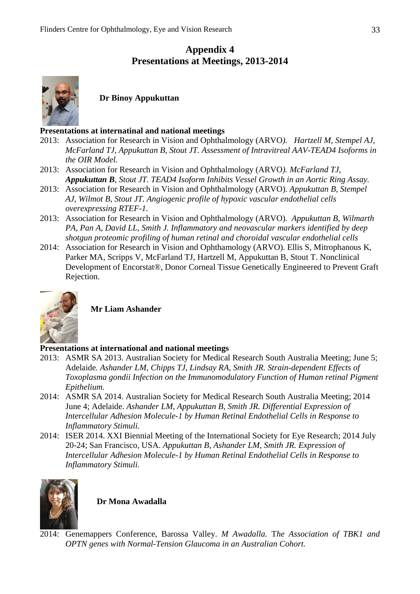# **Appendix 4 Presentations at Meetings, 2013-2014**



**Dr Binoy Appukuttan**

#### **Presentations at internatinal and national meetings**

- 2013: Association for Research in Vision and Ophthalmology (ARVO*). Hartzell M, Stempel AJ, McFarland TJ, Appukuttan B, Stout JT. Assessment of Intravitreal AAV-TEAD4 Isoforms in the OIR Model.*
- 2013: Association for Research in Vision and Ophthalmology (ARVO*). McFarland TJ, Appukuttan B, Stout JT. TEAD4 Isoform Inhibits Vessel Growth in an Aortic Ring Assay.*
- 2013: Association for Research in Vision and Ophthalmology (ARVO). *Appukuttan B, Stempel AJ, Wilmot B, Stout JT. Angiogenic profile of hypoxic vascular endothelial cells overexpressing RTEF-1.*
- 2013: Association for Research in Vision and Ophthalmology (ARVO). *Appukuttan B, Wilmarth PA, Pan A, David LL, Smith J. Inflammatory and neovascular markers identified by deep shotgun proteomic profiling of human retinal and choroidal vascular endothelial cells*
- 2014: Association for Research in Vision and Ophthamology (ARVO). Ellis S, Mitrophanous K, Parker MA, Scripps V, McFarland TJ, Hartzell M, Appukuttan B, Stout T. Nonclinical Development of Encorstat®, Donor Corneal Tissue Genetically Engineered to Prevent Graft Rejection.



**Mr Liam Ashander**

#### **Presentations at international and national meetings**

- 2013: ASMR SA 2013. Australian Society for Medical Research South Australia Meeting; June 5; Adelaide*. Ashander LM, Chipps TJ, Lindsay RA, Smith JR. Strain-dependent Effects of Toxoplasma gondii Infection on the Immunomodulatory Function of Human retinal Pigment Epithelium.*
- 2014: ASMR SA 2014. Australian Society for Medical Research South Australia Meeting; 2014 June 4; Adelaide. *Ashander LM, Appukuttan B, Smith JR. Differential Expression of Intercellular Adhesion Molecule-1 by Human Retinal Endothelial Cells in Response to Inflammatory Stimuli.*
- 2014: ISER 2014. XXI Biennial Meeting of the International Society for Eye Research; 2014 July 20-24; San Francisco, USA. *Appukuttan B, Ashander LM, Smith JR. Expression of Intercellular Adhesion Molecule-1 by Human Retinal Endothelial Cells in Response to Inflammatory Stimuli.*



**Dr Mona Awadalla**

2014: Genemappers Conference, Barossa Valley. *M Awadalla.* T*he Association of TBK1 and OPTN genes with Normal-Tension Glaucoma in an Australian Cohort.*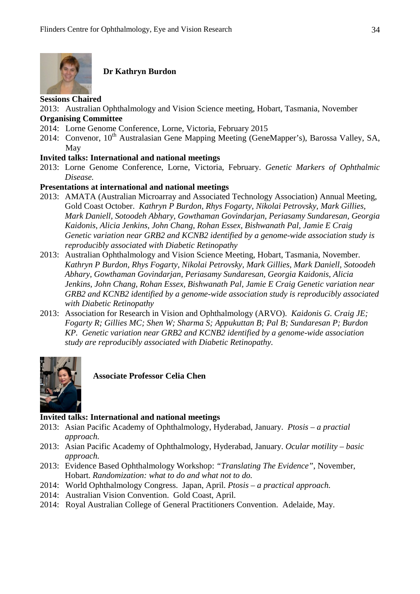

#### **Dr Kathryn Burdon**

#### **Sessions Chaired**

2013: Australian Ophthalmology and Vision Science meeting, Hobart, Tasmania, November **Organising Committee**

- 2014: Lorne Genome Conference, Lorne, Victoria, February 2015
- 2014: Convenor,  $10^{th}$  Australasian Gene Mapping Meeting (GeneMapper's), Barossa Valley, SA, May

#### **Invited talks: International and national meetings**

2013: Lorne Genome Conference, Lorne, Victoria, February. *Genetic Markers of Ophthalmic Disease.*

#### **Presentations at international and national meetings**

- 2013: AMATA (Australian Microarray and Associated Technology Association) Annual Meeting, Gold Coast October. *Kathryn P Burdon, Rhys Fogarty, Nikolai Petrovsky, Mark Gillies, Mark Daniell, Sotoodeh Abhary, Gowthaman Govindarjan, Periasamy Sundaresan, Georgia Kaidonis, Alicia Jenkins, John Chang, Rohan Essex, Bishwanath Pal, Jamie E Craig Genetic variation near GRB2 and KCNB2 identified by a genome-wide association study is reproducibly associated with Diabetic Retinopathy*
- 2013: Australian Ophthalmology and Vision Science Meeting, Hobart, Tasmania, November. *Kathryn P Burdon, Rhys Fogarty, Nikolai Petrovsky, Mark Gillies, Mark Daniell, Sotoodeh Abhary, Gowthaman Govindarjan, Periasamy Sundaresan, Georgia Kaidonis, Alicia Jenkins, John Chang, Rohan Essex, Bishwanath Pal, Jamie E Craig Genetic variation near GRB2 and KCNB2 identified by a genome-wide association study is reproducibly associated with Diabetic Retinopathy*
- 2013: Association for Research in Vision and Ophthalmology (ARVO). *Kaidonis G. Craig JE; Fogarty R; Gillies MC; Shen W; Sharma S; Appukuttan B; Pal B; Sundaresan P; Burdon KP. Genetic variation near GRB2 and KCNB2 identified by a genome-wide association study are reproducibly associated with Diabetic Retinopathy.*



**Associate Professor Celia Chen**

#### **Invited talks: International and national meetings**

- 2013: Asian Pacific Academy of Ophthalmology, Hyderabad, January. *Ptosis – a practial approach.*
- 2013: Asian Pacific Academy of Ophthalmology, Hyderabad, January. *Ocular motility – basic approach.*
- 2013: Evidence Based Ophthalmology Workshop: *"Translating The Evidence"*, November, Hobart. *Randomization: what to do and what not to do.*
- 2014: World Ophthalmology Congress. Japan, April. *Ptosis – a practical approach.*
- 2014: Australian Vision Convention. Gold Coast, April.
- 2014: Royal Australian College of General Practitioners Convention. Adelaide, May.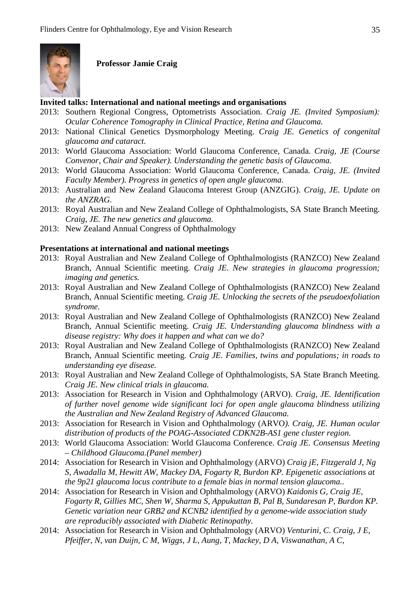

**Professor Jamie Craig**

#### **Invited talks: International and national meetings and organisations**

- 2013: Southern Regional Congress, Optometrists Association. *Craig JE. (Invited Symposium): Ocular Coherence Tomography in Clinical Practice, Retina and Glaucoma.*
- 2013: National Clinical Genetics Dysmorphology Meeting. *Craig JE. Genetics of congenital glaucoma and cataract.*
- 2013: World Glaucoma Association: World Glaucoma Conference, Canada. *Craig, JE (Course Convenor, Chair and Speaker). Understanding the genetic basis of Glaucoma.*
- 2013: World Glaucoma Association: World Glaucoma Conference, Canada. *Craig, JE. (Invited Faculty Member). Progress in genetics of open angle glaucoma.*
- 2013: Australian and New Zealand Glaucoma Interest Group (ANZGIG). *Craig, JE. Update on the ANZRAG.*
- 2013: Royal Australian and New Zealand College of Ophthalmologists, SA State Branch Meeting. *Craig, JE. The new genetics and glaucoma.*
- 2013: New Zealand Annual Congress of Ophthalmology

#### **Presentations at international and national meetings**

- 2013: Royal Australian and New Zealand College of Ophthalmologists (RANZCO) New Zealand Branch, Annual Scientific meeting. *Craig JE. New strategies in glaucoma progression; imaging and genetics.*
- 2013: Royal Australian and New Zealand College of Ophthalmologists (RANZCO) New Zealand Branch, Annual Scientific meeting. *Craig JE. Unlocking the secrets of the pseudoexfoliation syndrome.*
- 2013: Royal Australian and New Zealand College of Ophthalmologists (RANZCO) New Zealand Branch, Annual Scientific meeting. *Craig JE. Understanding glaucoma blindness with a disease registry: Why does it happen and what can we do?*
- 2013: Royal Australian and New Zealand College of Ophthalmologists (RANZCO) New Zealand Branch, Annual Scientific meeting. *Craig JE. Families, twins and populations; in roads to understanding eye disease.*
- 2013: Royal Australian and New Zealand College of Ophthalmologists, SA State Branch Meeting. *Craig JE. New clinical trials in glaucoma.*
- 2013: Association for Research in Vision and Ophthalmology (ARVO). *Craig, JE. Identification of further novel genome wide significant loci for open angle glaucoma blindness utilizing the Australian and New Zealand Registry of Advanced Glaucoma.*
- 2013: Association for Research in Vision and Ophthalmology (ARVO*). Craig, JE. Human ocular distribution of products of the POAG-Associated CDKN2B-AS1 gene cluster region.*
- 2013: World Glaucoma Association: World Glaucoma Conference. *Craig JE. Consensus Meeting – Childhood Glaucoma.(Panel member)*
- 2014: Association for Research in Vision and Ophthalmology (ARVO) *Craig jE, Fitzgerald J, Ng S, Awadalla M, Hewitt AW, Mackey DA, Fogarty R, Burdon KP. Epigenetic associations at the 9p21 glaucoma locus contribute to a female bias in normal tension glaucoma..*
- 2014: Association for Research in Vision and Ophthalmology (ARVO) *Kaidonis G, Craig JE, Fogarty R, Gillies MC, Shen W, Sharma S, Appukuttan B, Pal B, Sundaresan P, Burdon KP. Genetic variation near GRB2 and KCNB2 identified by a genome-wide association study are reproducibly associated with Diabetic Retinopathy.*
- 2014: Association for Research in Vision and Ophthalmology (ARVO) *Venturini, C. Craig, J E, Pfeiffer, N, van Duijn, C M, Wiggs, J L, Aung, T, Mackey, D A, Viswanathan, A C,*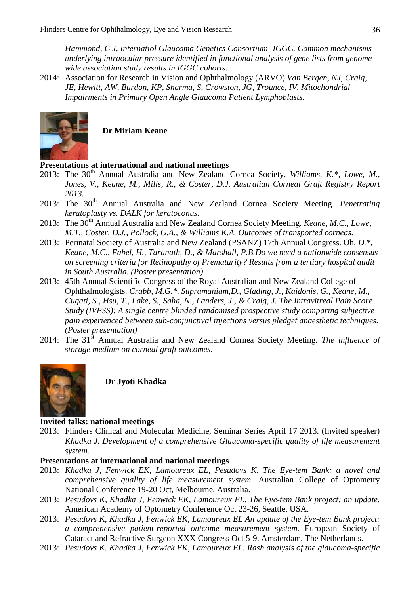*Hammond, C J, Internatiol Glaucoma Genetics Consortium- IGGC. Common mechanisms underlying intraocular pressure identified in functional analysis of gene lists from genomewide association study results in IGGC cohorts.*

2014: Association for Research in Vision and Ophthalmology (ARVO) *Van Bergen, NJ, Craig, JE, Hewitt, AW, Burdon, KP, Sharma, S, Crowston, JG, Trounce, IV. Mitochondrial Impairments in Primary Open Angle Glaucoma Patient Lymphoblasts.* 



**Dr Miriam Keane**

#### **Presentations at international and national meetings**

- 2013: The 30<sup>th</sup> Annual Australia and New Zealand Cornea Society. *Williams, K.\*, Lowe, M.*, *Jones, V., Keane, M., Mills, R., & Coster, D.J. Australian Corneal Graft Registry Report 2013.*
- 2013: The 30<sup>th</sup> Annual Australia and New Zealand Cornea Society Meeting. *Penetrating keratoplasty vs. DALK for keratoconus.*
- 2013: The 30<sup>th</sup> Annual Australia and New Zealand Cornea Society Meeting. *Keane, M.C., Lowe, M.T., Coster, D.J., Pollock, G.A., & Williams K.A. Outcomes of transported corneas.*
- 2013: Perinatal Society of Australia and New Zealand (PSANZ) 17th Annual Congress. Oh, *D.\*, Keane, M.C., Fabel, H., Taranath, D., & Marshall, P.B.Do we need a nationwide consensus on screening criteria for Retinopathy of Prematurity? Results from a tertiary hospital audit in South Australia. (Poster presentation)*
- 2013: 45th Annual Scientific Congress of the Royal Australian and New Zealand College of Ophthalmologists. *Crabb, M.G.\*, Supramaniam,D., Glading, J., Kaidonis, G., Keane, M., Cugati, S., Hsu, T., Lake, S., Saha, N., Landers, J., & Craig, J. The Intravitreal Pain Score Study (IVPSS): A single centre blinded randomised prospective study comparing subjective pain experienced between sub-conjunctival injections versus pledget anaesthetic techniques. (Poster presentation)*
- 2014: The 31st Annual Australia and New Zealand Cornea Society Meeting. *The influence of storage medium on corneal graft outcomes.*



**Dr Jyoti Khadka**

#### **Invited talks: national meetings**

2013: Flinders Clinical and Molecular Medicine, Seminar Series April 17 2013. (Invited speaker) *Khadka J. Development of a comprehensive Glaucoma-specific quality of life measurement system.*

#### **Presentations at international and national meetings**

- 2013: *Khadka J, Fenwick EK, Lamoureux EL, Pesudovs K. The Eye-tem Bank: a novel and comprehensive quality of life measurement system.* Australian College of Optometry National Conference 19-20 Oct, Melbourne, Australia.
- 2013: *Pesudovs K, Khadka J, Fenwick EK, Lamoureux EL. The Eye-tem Bank project: an update.* American Academy of Optometry Conference Oct 23-26, Seattle, USA.
- 2013: *Pesudovs K, Khadka J, Fenwick EK, Lamoureux EL An update of the Eye-tem Bank project: a comprehensive patient-reported outcome measurement system.* European Society of Cataract and Refractive Surgeon XXX Congress Oct 5-9. Amsterdam, The Netherlands.
- 2013: *Pesudovs K. Khadka J, Fenwick EK, Lamoureux EL. Rash analysis of the glaucoma-specific*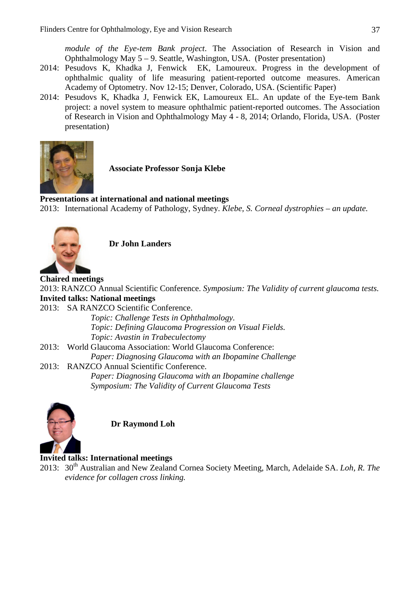*module of the Eye-tem Bank project*. The Association of Research in Vision and Ophthalmology May 5 – 9. Seattle, Washington, USA. (Poster presentation)

- 2014: Pesudovs K, Khadka J, Fenwick EK, Lamoureux. Progress in the development of ophthalmic quality of life measuring patient-reported outcome measures. American Academy of Optometry. Nov 12-15; Denver, Colorado, USA. (Scientific Paper)
- 2014: Pesudovs K, Khadka J, Fenwick EK, Lamoureux EL. An update of the Eye-tem Bank project: a novel system to measure ophthalmic patient-reported outcomes. The Association of Research in Vision and Ophthalmology May 4 - 8, 2014; Orlando, Florida, USA. (Poster presentation)



**Associate Professor Sonja Klebe**

# **Presentations at international and national meetings**

2013: International Academy of Pathology, Sydney. *Klebe, S. Corneal dystrophies – an update.*



**Dr John Landers**

**Chaired meetings** 2013: RANZCO Annual Scientific Conference. *Symposium: The Validity of current glaucoma tests.* **Invited talks: National meetings** 2013: SA RANZCO Scientific Conference. *Topic: Challenge Tests in Ophthalmology. Topic: Defining Glaucoma Progression on Visual Fields. Topic: Avastin in Trabeculectomy* 2013: World Glaucoma Association: World Glaucoma Conference: *Paper: Diagnosing Glaucoma with an Ibopamine Challenge* 2013: RANZCO Annual Scientific Conference. *Paper: Diagnosing Glaucoma with an Ibopamine challenge Symposium: The Validity of Current Glaucoma Tests*



**Dr Raymond Loh**

# **Invited talks: International meetings**

2013: 30<sup>th</sup> Australian and New Zealand Cornea Society Meeting, March, Adelaide SA. Loh, R. The *evidence for collagen cross linking.*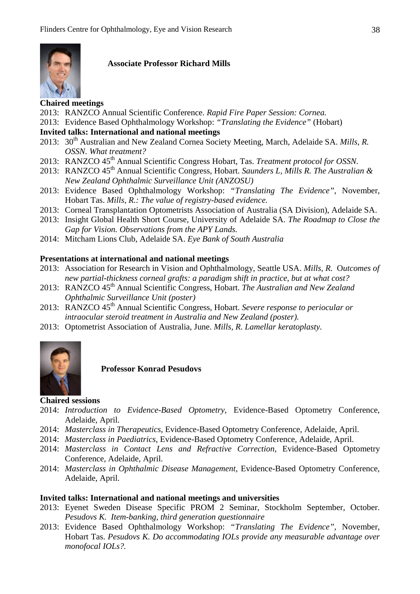

#### **Associate Professor Richard Mills**

### **Chaired meetings**

- 2013: RANZCO Annual Scientific Conference. *Rapid Fire Paper Session: Cornea.*
- 2013: Evidence Based Ophthalmology Workshop: *"Translating the Evidence"* (Hobart)

#### **Invited talks: International and national meetings**

- 2013: 30<sup>th</sup> Australian and New Zealand Cornea Society Meeting, March, Adelaide SA. *Mills, R. OSSN. What treatment?*
- 2013: RANZCO 45<sup>th</sup> Annual Scientific Congress Hobart, Tas. *Treatment protocol for OSSN*.
- 2013: RANZCO 45<sup>th</sup> Annual Scientific Congress, Hobart. *Saunders L, Mills R. The Australian & New Zealand Ophthalmic Surveillance Unit (ANZOSU)*
- 2013: Evidence Based Ophthalmology Workshop: *"Translating The Evidence"*, November, Hobart Tas. *Mills, R.: The value of registry-based evidence.*
- 2013: Corneal Transplantation Optometrists Association of Australia (SA Division), Adelaide SA.
- 2013: Insight Global Health Short Course, University of Adelaide SA. *The Roadmap to Close the Gap for Vision. Observations from the APY Lands.*
- 2014: Mitcham Lions Club, Adelaide SA. *Eye Bank of South Australia*

#### **Presentations at international and national meetings**

- 2013: Association for Research in Vision and Ophthalmology, Seattle USA. *Mills, R.* O*utcomes of new partial-thickness corneal grafts: a paradigm shift in practice, but at what cost?*
- 2013: RANZCO 45<sup>th</sup> Annual Scientific Congress, Hobart. *The Australian and New Zealand Ophthalmic Surveillance Unit (poster)*
- 2013: RANZCO 45<sup>th</sup> Annual Scientific Congress, Hobart. *Severe response to periocular or intraocular steroid treatment in Australia and New Zealand (poster).*
- 2013: Optometrist Association of Australia, June. *Mills, R. Lamellar keratoplasty.*



**Professor Konrad Pesudovs**

#### **Chaired sessions**

- 2014: *Introduction to Evidence-Based Optometry*, Evidence-Based Optometry Conference, Adelaide, April.
- 2014: *Masterclass in Therapeutics*, Evidence-Based Optometry Conference, Adelaide, April.
- 2014: *Masterclass in Paediatrics*, Evidence-Based Optometry Conference, Adelaide, April.
- 2014: *Masterclass in Contact Lens and Refractive Correction*, Evidence-Based Optometry Conference, Adelaide, April.
- 2014: *Masterclass in Ophthalmic Disease Management*, Evidence-Based Optometry Conference, Adelaide, April.

#### **Invited talks: International and national meetings and universities**

- 2013: Eyenet Sweden Disease Specific PROM 2 Seminar, Stockholm September, October. *Pesudovs K. Item-banking, third generation questionnaire*
- 2013: Evidence Based Ophthalmology Workshop: *"Translating The Evidence"*, November, Hobart Tas. *Pesudovs K. Do accommodating IOLs provide any measurable advantage over monofocal IOLs?.*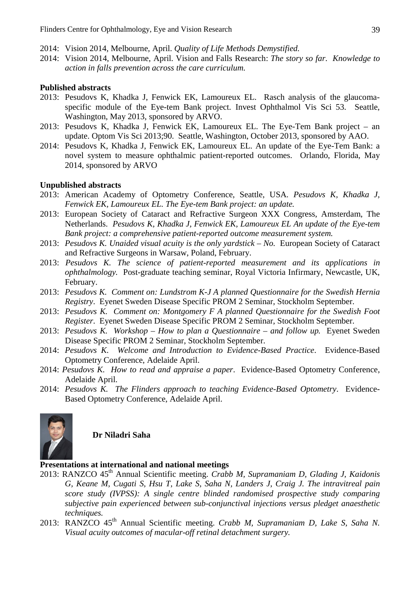- 2014: Vision 2014, Melbourne, April. *Quality of Life Methods Demystified.*
- 2014: Vision 2014, Melbourne, April. Vision and Falls Research: *The story so far. Knowledge to action in falls prevention across the care curriculum.*

#### **Published abstracts**

- 2013: Pesudovs K, Khadka J, Fenwick EK, Lamoureux EL. Rasch analysis of the glaucomaspecific module of the Eye-tem Bank project. Invest Ophthalmol Vis Sci 53. Seattle, Washington, May 2013, sponsored by ARVO.
- 2013: Pesudovs K, Khadka J, Fenwick EK, Lamoureux EL. The Eye-Tem Bank project an update. Optom Vis Sci 2013;90. Seattle, Washington, October 2013, sponsored by AAO.
- 2014: Pesudovs K, Khadka J, Fenwick EK, Lamoureux EL. An update of the Eye-Tem Bank: a novel system to measure ophthalmic patient-reported outcomes. Orlando, Florida, May 2014, sponsored by ARVO

#### **Unpublished abstracts**

- 2013: American Academy of Optometry Conference, Seattle, USA*. Pesudovs K, Khadka J, Fenwick EK, Lamoureux EL. The Eye-tem Bank project: an update.*
- 2013: European Society of Cataract and Refractive Surgeon XXX Congress, Amsterdam, The Netherlands. *Pesudovs K, Khadka J, Fenwick EK, Lamoureux EL An update of the Eye-tem Bank project: a comprehensive patient-reported outcome measurement system.*
- 2013: *Pesudovs K. Unaided visual acuity is the only yardstick – No.* European Society of Cataract and Refractive Surgeons in Warsaw, Poland, February.
- 2013: *Pesudovs K. The science of patient-reported measurement and its applications in ophthalmology.* Post-graduate teaching seminar, Royal Victoria Infirmary, Newcastle, UK, February.
- 2013: *Pesudovs K. Comment on: Lundstrom K-J A planned Questionnaire for the Swedish Hernia Registry*. Eyenet Sweden Disease Specific PROM 2 Seminar, Stockholm September.
- 2013: *Pesudovs K. Comment on: Montgomery F A planned Questionnaire for the Swedish Foot Register*. Eyenet Sweden Disease Specific PROM 2 Seminar, Stockholm September.
- 2013: *Pesudovs K. Workshop – How to plan a Questionnaire – and follow up.* Eyenet Sweden Disease Specific PROM 2 Seminar, Stockholm September.
- 2014: *Pesudovs K. Welcome and Introduction to Evidence-Based Practice*. Evidence-Based Optometry Conference, Adelaide April.
- 2014: *Pesudovs K. How to read and appraise a paper*. Evidence-Based Optometry Conference, Adelaide April.
- 2014: *Pesudovs K. The Flinders approach to teaching Evidence-Based Optometry*. Evidence-Based Optometry Conference, Adelaide April.



#### **Dr Niladri Saha**

#### **Presentations at international and national meetings**

- 2013: RANZCO 45th Annual Scientific meeting. *Crabb M, Supramaniam D, Glading J, Kaidonis G, Keane M, Cugati S, Hsu T, Lake S, Saha N, Landers J, Craig J. The intravitreal pain score study (IVPSS): A single centre blinded randomised prospective study comparing subjective pain experienced between sub-conjunctival injections versus pledget anaesthetic techniques.*
- 2013: RANZCO 45th Annual Scientific meeting. *Crabb M, Supramaniam D, Lake S, Saha N. Visual acuity outcomes of macular-off retinal detachment surgery.*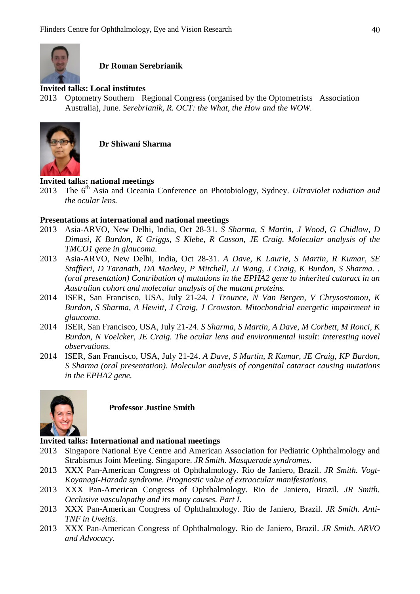

**Dr Roman Serebrianik**

#### **Invited talks: Local institutes**

2013 Optometry Southern Regional Congress (organised by the Optometrists Association Australia), June. *Serebrianik, R. OCT: the What, the How and the WOW.*



**Dr Shiwani Sharma**

# **Invited talks: national meetings**<br>2013 The 6<sup>th</sup> Asia and Oceania

The 6<sup>th</sup> Asia and Oceania Conference on Photobiology, Sydney. *Ultraviolet radiation and the ocular lens.*

#### **Presentations at international and national meetings**

- 2013 Asia-ARVO, New Delhi, India, Oct 28-31. *S Sharma, S Martin, J Wood, G Chidlow, D Dimasi, K Burdon, K Griggs, S Klebe, R Casson, JE Craig. Molecular analysis of the TMCO1 gene in glaucoma.*
- 2013 Asia-ARVO, New Delhi, India, Oct 28-31. *A Dave, K Laurie, S Martin, R Kumar, SE Staffieri, D Taranath, DA Mackey, P Mitchell, JJ Wang, J Craig, K Burdon, S Sharma. . (oral presentation) Contribution of mutations in the EPHA2 gene to inherited cataract in an Australian cohort and molecular analysis of the mutant proteins.*
- 2014 ISER, San Francisco, USA, July 21-24. *I Trounce, N Van Bergen, V Chrysostomou, K Burdon, S Sharma, A Hewitt, J Craig, J Crowston. Mitochondrial energetic impairment in glaucoma.*
- 2014 ISER, San Francisco, USA, July 21-24. *S Sharma, S Martin, A Dave, M Corbett, M Ronci, K Burdon, N Voelcker, JE Craig. The ocular lens and environmental insult: interesting novel observations.*
- 2014 ISER, San Francisco, USA, July 21-24. *A Dave, S Martin, R Kumar, JE Craig, KP Burdon, S Sharma (oral presentation). Molecular analysis of congenital cataract causing mutations in the EPHA2 gene.*



**Professor Justine Smith**

#### **Invited talks: International and national meetings**

- 2013 Singapore National Eye Centre and American Association for Pediatric Ophthalmology and Strabismus Joint Meeting. Singapore. *JR Smith. Masquerade syndromes.*
- 2013 XXX Pan-American Congress of Ophthalmology. Rio de Janiero, Brazil. *JR Smith. Vogt-Koyanagi-Harada syndrome. Prognostic value of extraocular manifestations.*
- 2013 XXX Pan-American Congress of Ophthalmology. Rio de Janiero, Brazil. *JR Smith. Occlusive vasculopathy and its many causes. Part I*.
- 2013 XXX Pan-American Congress of Ophthalmology. Rio de Janiero, Brazil. *JR Smith. Anti-TNF in Uveitis.*
- 2013 XXX Pan-American Congress of Ophthalmology. Rio de Janiero, Brazil. *JR Smith. ARVO and Advocacy.*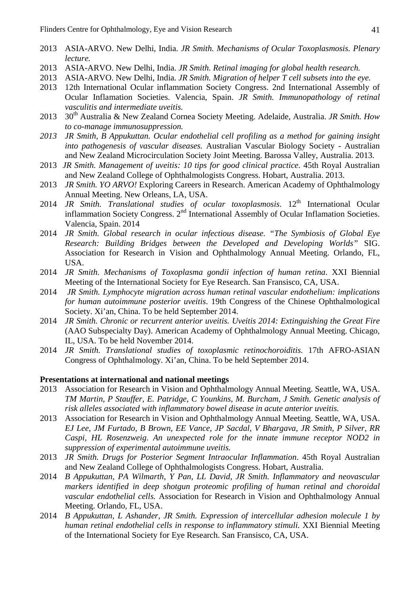- 2013 ASIA-ARVO. New Delhi, India. *JR Smith. Mechanisms of Ocular Toxoplasmosis. Plenary lecture.*
- 2013 ASIA-ARVO. New Delhi, India. *JR Smith. Retinal imaging for global health research.*
- 2013 ASIA-ARVO. New Delhi, India. *JR Smith. Migration of helper T cell subsets into the eye.*
- 2013 12th International Ocular inflammation Society Congress. 2nd International Assembly of Ocular Inflamation Societies. Valencia, Spain. *JR Smith. Immunopathology of retinal vasculitis and intermediate uveitis.*
- 2013 30th Australia & New Zealand Cornea Society Meeting. Adelaide, Australia. *JR Smith. How to co-manage immunosuppression.*
- *2013 JR Smith, B Appukuttan. Ocular endothelial cell profiling as a method for gaining insight into pathogenesis of vascular diseases.* Australian Vascular Biology Society - Australian and New Zealand Microcirculation Society Joint Meeting. Barossa Valley, Australia. 2013.
- 2013 *JR Smith. Management of uveitis: 10 tips for good clinical practice.* 45th Royal Australian and New Zealand College of Ophthalmologists Congress. Hobart, Australia. 2013.
- 2013 *JR Smith. YO ARVO!* Exploring Careers in Research. American Academy of Ophthalmology Annual Meeting. New Orleans, LA, USA.
- 2014 *JR Smith. Translational studies of ocular toxoplasmosis*. 12<sup>th</sup> International Ocular inflammation Society Congress. 2<sup>nd</sup> International Assembly of Ocular Inflamation Societies. Valencia, Spain. 2014
- 2014 *JR Smith. Global research in ocular infectious disease. "The Symbiosis of Global Eye Research: Building Bridges between the Developed and Developing Worlds"* SIG. Association for Research in Vision and Ophthalmology Annual Meeting. Orlando, FL, USA.
- 2014 *JR Smith. Mechanisms of Toxoplasma gondii infection of human retina*. XXI Biennial Meeting of the International Society for Eye Research. San Fransisco, CA, USA.
- 2014 *JR Smith. Lymphocyte migration across human retinal vascular endothelium: implications for human autoimmune posterior uveitis*. 19th Congress of the Chinese Ophthalmological Society. Xi'an, China. To be held September 2014.
- 2014 *JR Smith. Chronic or recurrent anterior uveitis. Uveitis 2014: Extinguishing the Great Fire* (AAO Subspecialty Day). American Academy of Ophthalmology Annual Meeting. Chicago, IL, USA. To be held November 2014.
- 2014 *JR Smith. Translational studies of toxoplasmic retinochoroiditis.* 17th AFRO-ASIAN Congress of Ophthalmology. Xi'an, China. To be held September 2014.

#### **Presentations at international and national meetings**

- 2013 Association for Research in Vision and Ophthalmology Annual Meeting. Seattle, WA, USA. *TM Martin, P Stauffer, E. Patridge, C Younkins, M. Burcham, J Smith. Genetic analysis of risk alleles associated with inflammatory bowel disease in acute anterior uveitis.*
- 2013 Association for Research in Vision and Ophthalmology Annual Meeting. Seattle, WA, USA. *EJ Lee, JM Furtado, B Brown, EE Vance, JP Sacdal, V Bhargava, JR Smith, P Silver, RR Caspi, HL Rosenzweig. An unexpected role for the innate immune receptor NOD2 in suppression of experimental autoimmune uveitis.*
- 2013 *JR Smith. Drugs for Posterior Segment Intraocular Inflammation*. 45th Royal Australian and New Zealand College of Ophthalmologists Congress. Hobart, Australia.
- 2014 *B Appukuttan, PA Wilmarth, Y Pan, LL David, JR Smith. Inflammatory and neovascular markers identified in deep shotgun proteomic profiling of human retinal and choroidal vascular endothelial cells.* Association for Research in Vision and Ophthalmology Annual Meeting. Orlando, FL, USA.
- 2014 *B Appukuttan, L Ashander, JR Smith. Expression of intercellular adhesion molecule 1 by human retinal endothelial cells in response to inflammatory stimuli.* XXI Biennial Meeting of the International Society for Eye Research. San Fransisco, CA, USA.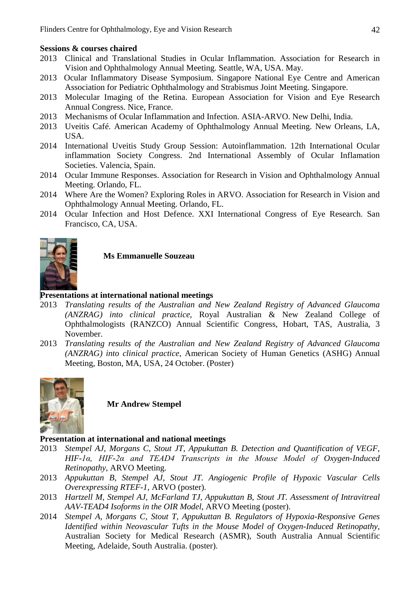#### **Sessions & courses chaired**

- 2013 Clinical and Translational Studies in Ocular Inflammation. Association for Research in Vision and Ophthalmology Annual Meeting. Seattle, WA, USA. May.
- 2013 Ocular Inflammatory Disease Symposium. Singapore National Eye Centre and American Association for Pediatric Ophthalmology and Strabismus Joint Meeting. Singapore.
- 2013 Molecular Imaging of the Retina. European Association for Vision and Eye Research Annual Congress. Nice, France.
- 2013 Mechanisms of Ocular Inflammation and Infection. ASIA-ARVO. New Delhi, India.
- 2013 Uveitis Café. American Academy of Ophthalmology Annual Meeting. New Orleans, LA, USA.
- 2014 International Uveitis Study Group Session: Autoinflammation. 12th International Ocular inflammation Society Congress. 2nd International Assembly of Ocular Inflamation Societies. Valencia, Spain.
- 2014 Ocular Immune Responses. Association for Research in Vision and Ophthalmology Annual Meeting. Orlando, FL.
- 2014 Where Are the Women? Exploring Roles in ARVO. Association for Research in Vision and Ophthalmology Annual Meeting. Orlando, FL.
- 2014 Ocular Infection and Host Defence. XXI International Congress of Eye Research. San Francisco, CA, USA.



**Ms Emmanuelle Souzeau**

#### **Presentations at international national meetings**

- 2013 *Translating results of the Australian and New Zealand Registry of Advanced Glaucoma (ANZRAG) into clinical practice*, Royal Australian & New Zealand College of Ophthalmologists (RANZCO) Annual Scientific Congress, Hobart, TAS, Australia, 3 November.
- 2013 *Translating results of the Australian and New Zealand Registry of Advanced Glaucoma (ANZRAG) into clinical practice*, American Society of Human Genetics (ASHG) Annual Meeting, Boston, MA, USA, 24 October. (Poster)



**Mr Andrew Stempel**

#### **Presentation at international and national meetings**

- 2013 *Stempel AJ, Morgans C, Stout JT, Appukuttan B. Detection and Quantification of VEGF, HIF-1α, HIF-2α and TEAD4 Transcripts in the Mouse Model of Oxygen-Induced Retinopathy*, ARVO Meeting.
- 2013 *Appukuttan B, Stempel AJ, Stout JT. Angiogenic Profile of Hypoxic Vascular Cells Overexpressing RTEF-1*, ARVO (poster).
- 2013 *Hartzell M, Stempel AJ, McFarland TJ, Appukuttan B, Stout JT. Assessment of Intravitreal AAV-TEAD4 Isoforms in the OIR Model*, ARVO Meeting (poster).
- 2014 *Stempel A, Morgans C, Stout T, Appukuttan B. Regulators of Hypoxia-Responsive Genes Identified within Neovascular Tufts in the Mouse Model of Oxygen-Induced Retinopathy*, Australian Society for Medical Research (ASMR), South Australia Annual Scientific Meeting, Adelaide, South Australia. (poster).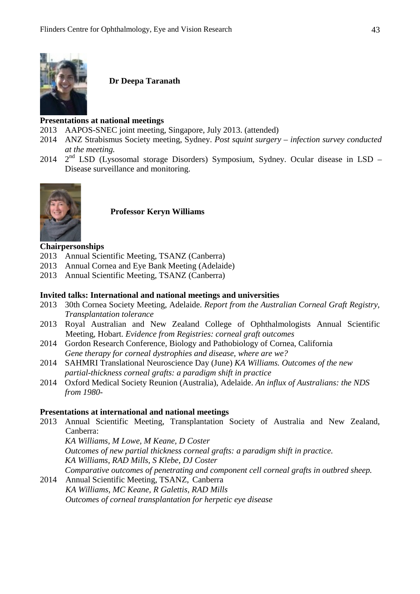

**Dr Deepa Taranath**

#### **Presentations at national meetings**

- 2013 AAPOS-SNEC joint meeting, Singapore, July 2013. (attended)
- 2014 ANZ Strabismus Society meeting, Sydney. *Post squint surgery – infection survey conducted at the meeting.*
- 2014  $2<sup>nd</sup>$  LSD (Lysosomal storage Disorders) Symposium, Sydney. Ocular disease in LSD Disease surveillance and monitoring.



**Professor Keryn Williams**

#### **Chairpersonships**

- 2013 Annual Scientific Meeting, TSANZ (Canberra)
- 2013 Annual Cornea and Eye Bank Meeting (Adelaide)
- 2013 Annual Scientific Meeting, TSANZ (Canberra)

#### **Invited talks: International and national meetings and universities**

- 2013 30th Cornea Society Meeting, Adelaide. *Report from the Australian Corneal Graft Registry, Transplantation tolerance*
- 2013 Royal Australian and New Zealand College of Ophthalmologists Annual Scientific Meeting, Hobart. *Evidence from Registries: corneal graft outcomes*
- 2014 Gordon Research Conference, Biology and Pathobiology of Cornea, California *Gene therapy for corneal dystrophies and disease, where are we?*
- 2014 SAHMRI Translational Neuroscience Day (June) *KA Williams. Outcomes of the new partial-thickness corneal grafts: a paradigm shift in practice*
- 2014 Oxford Medical Society Reunion (Australia), Adelaide. *An influx of Australians: the NDS from 1980-*

#### **Presentations at international and national meetings**

2013 Annual Scientific Meeting, Transplantation Society of Australia and New Zealand, Canberra:

*KA Williams, M Lowe, M Keane, D Coster Outcomes of new partial thickness corneal grafts: a paradigm shift in practice. KA Williams, RAD Mills, S Klebe, DJ Coster Comparative outcomes of penetrating and component cell corneal grafts in outbred sheep.*

2014 Annual Scientific Meeting, TSANZ, Canberra *KA Williams, MC Keane, R Galettis, RAD Mills Outcomes of corneal transplantation for herpetic eye disease*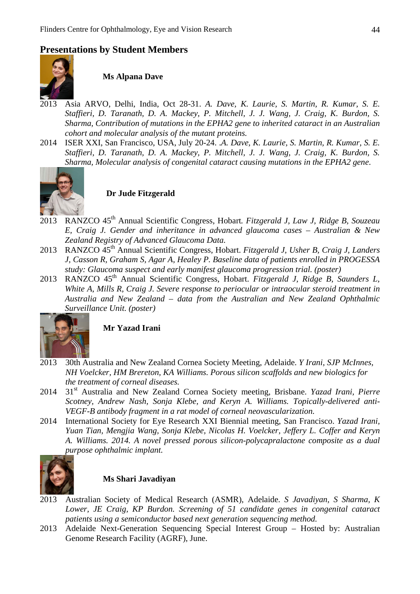# **Presentations by Student Members**



**Ms Alpana Dave**

- 2013 Asia ARVO, Delhi, India, Oct 28-31. *A. Dave, K. Laurie, S. Martin, R. Kumar, S. E. Staffieri, D. Taranath, D. A. Mackey, P. Mitchell, J. J. Wang, J. Craig, K. Burdon, S. Sharma, Contribution of mutations in the EPHA2 gene to inherited cataract in an Australian cohort and molecular analysis of the mutant proteins.*
- 2014 ISER XXI, San Francisco, USA, July 20-24. .*A. Dave, K. Laurie, S. Martin, R. Kumar, S. E. Staffieri, D. Taranath, D. A. Mackey, P. Mitchell, J. J. Wang, J. Craig, K. Burdon, S. Sharma, Molecular analysis of congenital cataract causing mutations in the EPHA2 gene*.



#### **Dr Jude Fitzgerald**

- 2013 RANZCO 45th Annual Scientific Congress, Hobart*. Fitzgerald J, Law J, Ridge B, Souzeau E, Craig J. Gender and inheritance in advanced glaucoma cases – Australian & New Zealand Registry of Advanced Glaucoma Data.*
- 2013 RANZCO 45<sup>th</sup> Annual Scientific Congress, Hobart. *Fitzgerald J, Usher B, Craig J, Landers J, Casson R, Graham S, Agar A, Healey P. Baseline data of patients enrolled in PROGESSA study: Glaucoma suspect and early manifest glaucoma progression trial. (poster)*
- 2013 RANZCO 45<sup>th</sup> Annual Scientific Congress, Hobart. *Fitzgerald J, Ridge B, Saunders L, White A, Mills R, Craig J. Severe response to periocular or intraocular steroid treatment in Australia and New Zealand – data from the Australian and New Zealand Ophthalmic Surveillance Unit. (poster)*



**Mr Yazad Irani**

- 2013 30th Australia and New Zealand Cornea Society Meeting, Adelaide. *Y Irani, SJP McInnes, NH Voelcker, HM Brereton, KA Williams. Porous silicon scaffolds and new biologics for the treatment of corneal diseases.*
- 2014 31st Australia and New Zealand Cornea Society meeting, Brisbane. *Yazad Irani, Pierre Scotney, Andrew Nash, Sonja Klebe, and Keryn A. Williams. Topically-delivered anti-VEGF-B antibody fragment in a rat model of corneal neovascularization.*
- 2014 International Society for Eye Research XXI Biennial meeting, San Francisco. *Yazad Irani, Yuan Tian, Mengjia Wang, Sonja Klebe, Nicolas H. Voelcker, Jeffery L. Coffer and Keryn A. Williams. 2014. A novel pressed porous silicon-polycapralactone composite as a dual purpose ophthalmic implant.*



#### **Ms Shari Javadiyan**

- 2013 Australian Society of Medical Research (ASMR), Adelaide. *S Javadiyan, S Sharma, K Lower, JE Craig, KP Burdon. Screening of 51 candidate genes in congenital cataract patients using a semiconductor based next generation sequencing method.*
- 2013 Adelaide Next-Generation Sequencing Special Interest Group Hosted by: Australian Genome Research Facility (AGRF), June.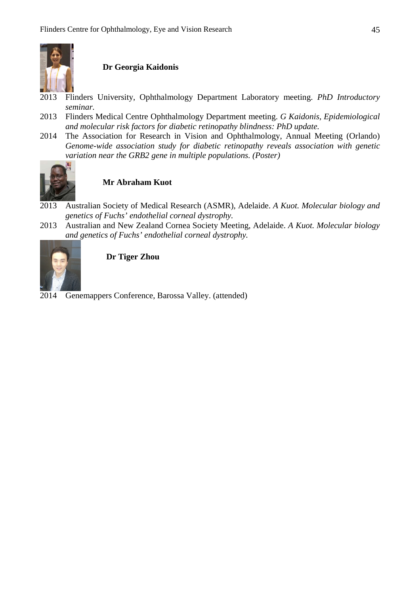

#### **Dr Georgia Kaidonis**

- 2013 Flinders University, Ophthalmology Department Laboratory meeting. *PhD Introductory seminar.*
- 2013 Flinders Medical Centre Ophthalmology Department meeting. *G Kaidonis, Epidemiological and molecular risk factors for diabetic retinopathy blindness: PhD update.*
- 2014 The Association for Research in Vision and Ophthalmology, Annual Meeting (Orlando) *Genome-wide association study for diabetic retinopathy reveals association with genetic variation near the GRB2 gene in multiple populations. (Poster)*



#### **Mr Abraham Kuot**

- 2013 Australian Society of Medical Research (ASMR), Adelaide. *A Kuot. Molecular biology and genetics of Fuchs' endothelial corneal dystrophy.*
- 2013 Australian and New Zealand Cornea Society Meeting, Adelaide. *A Kuot. Molecular biology and genetics of Fuchs' endothelial corneal dystrophy.*



### **Dr Tiger Zhou**

2014 Genemappers Conference, Barossa Valley. (attended)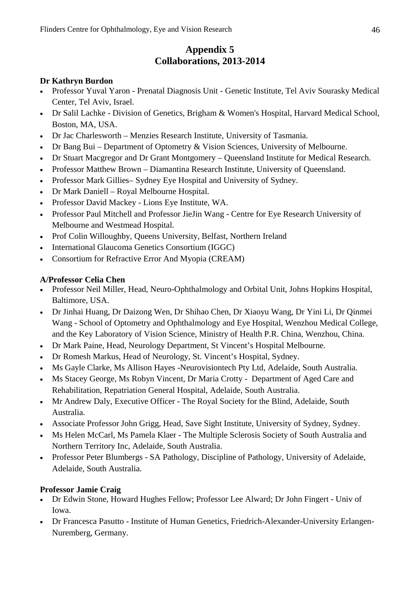# **Appendix 5 Collaborations, 2013-2014**

#### **Dr Kathryn Burdon**

- Professor Yuval Yaron Prenatal Diagnosis Unit Genetic Institute, Tel Aviv Sourasky Medical Center, Tel Aviv, Israel.
- Dr Salil Lachke Division of Genetics, Brigham & Women's Hospital, Harvard Medical School, Boston, MA, USA.
- Dr Jac Charlesworth Menzies Research Institute, University of Tasmania.
- Dr Bang Bui Department of Optometry & Vision Sciences, University of Melbourne.
- Dr Stuart Macgregor and Dr Grant Montgomery Queensland Institute for Medical Research.
- Professor Matthew Brown Diamantina Research Institute, University of Queensland.
- Professor Mark Gillies– Sydney Eye Hospital and University of Sydney.
- Dr Mark Daniell Royal Melbourne Hospital.
- Professor David Mackey Lions Eye Institute, WA.
- Professor Paul Mitchell and Professor JieJin Wang Centre for Eye Research University of Melbourne and Westmead Hospital.
- Prof Colin Willoughby, Queens University, Belfast, Northern Ireland
- International Glaucoma Genetics Consortium (IGGC)
- Consortium for Refractive Error And Myopia (CREAM)

#### **A/Professor Celia Chen**

- Professor Neil Miller, Head, Neuro-Ophthalmology and Orbital Unit, Johns Hopkins Hospital, Baltimore, USA.
- Dr Jinhai Huang, Dr Daizong Wen, Dr Shihao Chen, Dr Xiaoyu Wang, Dr Yini Li, Dr Qinmei Wang - School of Optometry and Ophthalmology and Eye Hospital, Wenzhou Medical College, and the Key Laboratory of Vision Science, Ministry of Health P.R. China, Wenzhou, China.
- Dr Mark Paine, Head, Neurology Department, St Vincent's Hospital Melbourne.
- Dr Romesh Markus, Head of Neurology, St. Vincent's Hospital, Sydney.
- Ms Gayle Clarke, Ms Allison Hayes -Neurovisiontech Pty Ltd, Adelaide, South Australia.
- Ms Stacey George, Ms Robyn Vincent, Dr Maria Crotty Department of Aged Care and Rehabilitation, Repatriation General Hospital, Adelaide, South Australia.
- Mr Andrew Daly, Executive Officer The Royal Society for the Blind, Adelaide, South Australia.
- Associate Professor John Grigg, Head, Save Sight Institute, University of Sydney, Sydney.
- Ms Helen McCarl, Ms Pamela Klaer The Multiple Sclerosis Society of South Australia and Northern Territory Inc, Adelaide, South Australia.
- Professor Peter Blumbergs SA Pathology, Discipline of Pathology, University of Adelaide, Adelaide, South Australia.

#### **Professor Jamie Craig**

- Dr Edwin Stone, Howard Hughes Fellow; Professor Lee Alward; Dr John Fingert Univ of Iowa.
- Dr Francesca Pasutto Institute of Human Genetics, Friedrich-Alexander-University Erlangen-Nuremberg, Germany.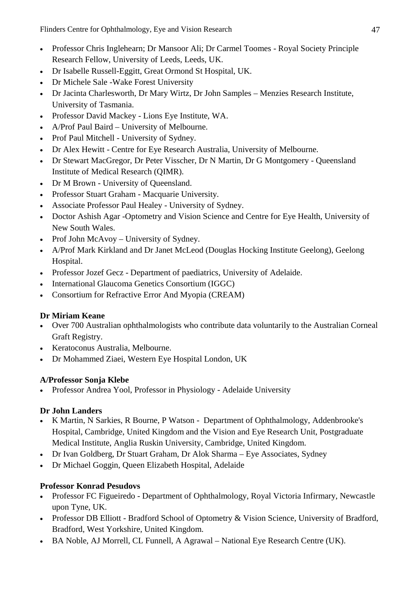Flinders Centre for Ophthalmology, Eye and Vision Research 47

- Professor Chris Inglehearn; Dr Mansoor Ali; Dr Carmel Toomes Royal Society Principle Research Fellow, University of Leeds, Leeds, UK.
- Dr Isabelle Russell-Eggitt, Great Ormond St Hospital, UK.
- Dr Michele Sale -Wake Forest University
- Dr Jacinta Charlesworth, Dr Mary Wirtz, Dr John Samples Menzies Research Institute, University of Tasmania.
- Professor David Mackey Lions Eye Institute, WA.
- A/Prof Paul Baird University of Melbourne.
- Prof Paul Mitchell University of Sydney.
- Dr Alex Hewitt Centre for Eye Research Australia, University of Melbourne.
- Dr Stewart MacGregor, Dr Peter Visscher, Dr N Martin, Dr G Montgomery Queensland Institute of Medical Research (QIMR).
- Dr M Brown University of Queensland.
- Professor Stuart Graham Macquarie University.
- Associate Professor Paul Healey University of Sydney.
- Doctor Ashish Agar -Optometry and Vision Science and Centre for Eye Health, University of New South Wales.
- Prof John McAvoy University of Sydney.
- A/Prof Mark Kirkland and Dr Janet McLeod (Douglas Hocking Institute Geelong), Geelong Hospital.
- Professor Jozef Gecz Department of paediatrics, University of Adelaide.
- International Glaucoma Genetics Consortium (IGGC)
- Consortium for Refractive Error And Myopia (CREAM)

# **Dr Miriam Keane**

- Over 700 Australian ophthalmologists who contribute data voluntarily to the Australian Corneal Graft Registry.
- Keratoconus Australia, Melbourne.
- Dr Mohammed Ziaei, Western Eye Hospital London, UK

### **A/Professor Sonja Klebe**

• Professor Andrea Yool, Professor in Physiology - Adelaide University

### **Dr John Landers**

- K Martin, N Sarkies, R Bourne, P Watson Department of Ophthalmology, Addenbrooke's Hospital, Cambridge, United Kingdom and the Vision and Eye Research Unit, Postgraduate Medical Institute, Anglia Ruskin University, Cambridge, United Kingdom.
- Dr Ivan Goldberg, Dr Stuart Graham, Dr Alok Sharma Eye Associates, Sydney
- Dr Michael Goggin, Queen Elizabeth Hospital, Adelaide

# **Professor Konrad Pesudovs**

- Professor FC Figueiredo Department of Ophthalmology, Royal Victoria Infirmary, Newcastle upon Tyne, UK.
- Professor DB Elliott Bradford School of Optometry & Vision Science, University of Bradford, Bradford, West Yorkshire, United Kingdom.
- BA Noble, AJ Morrell, CL Funnell, A Agrawal National Eye Research Centre (UK).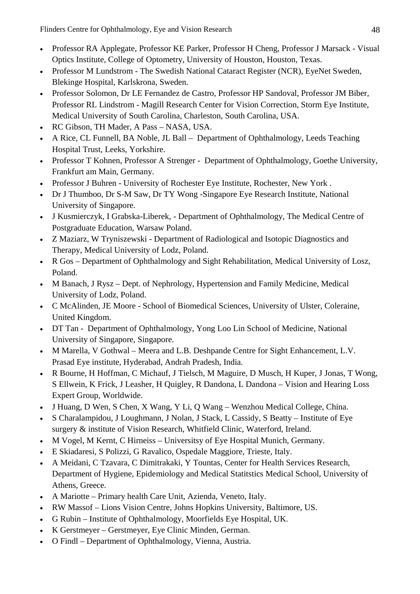- Professor RA Applegate, Professor KE Parker, Professor H Cheng, Professor J Marsack Visual Optics Institute, College of Optometry, University of Houston, Houston, Texas.
- Professor M Lundstrom The Swedish National Cataract Register (NCR), EyeNet Sweden, Blekinge Hospital, Karlskrona, Sweden.
- Professor Solomon, Dr LE Fernandez de Castro, Professor HP Sandoval, Professor JM Biber, Professor RL Lindstrom - Magill Research Center for Vision Correction, Storm Eye Institute, Medical University of South Carolina, Charleston, South Carolina, USA.
- RC Gibson, TH Mader, A Pass NASA, USA.
- A Rice, CL Funnell, BA Noble, JL Ball Department of Ophthalmology, Leeds Teaching Hospital Trust, Leeks, Yorkshire.
- Professor T Kohnen, Professor A Strenger Department of Ophthalmology, Goethe University, Frankfurt am Main, Germany.
- Professor J Buhren University of Rochester Eye Institute, Rochester, New York .
- Dr J Thumboo, Dr S-M Saw, Dr TY Wong -Singapore Eye Research Institute, National University of Singapore.
- J Kusmierczyk, I Grabska-Liberek, Department of Ophthalmology, The Medical Centre of Postgraduate Education, Warsaw Poland.
- Z Maziarz, W Tryniszewski Department of Radiological and Isotopic Diagnostics and Therapy, Medical University of Lodz, Poland.
- R Gos Department of Ophthalmology and Sight Rehabilitation, Medical University of Losz, Poland.
- M Banach, J Rysz Dept. of Nephrology, Hypertension and Family Medicine, Medical University of Lodz, Poland.
- C McAlinden, JE Moore School of Biomedical Sciences, University of Ulster, Coleraine, United Kingdom.
- DT Tan Department of Ophthalmology, Yong Loo Lin School of Medicine, National University of Singapore, Singapore.
- M Marella, V Gothwal Meera and L.B. Deshpande Centre for Sight Enhancement, L.V. Prasad Eye institute, Hyderabad, Andrah Pradesh, India.
- R Bourne, H Hoffman, C Michauf, J Tielsch, M Maguire, D Musch, H Kuper, J Jonas, T Wong, S Ellwein, K Frick, J Leasher, H Quigley, R Dandona, L Dandona – Vision and Hearing Loss Expert Group, Worldwide.
- J Huang, D Wen, S Chen, X Wang, Y Li, Q Wang Wenzhou Medical College, China.
- S Charalampidou, J Loughmann, J Nolan, J Stack, L Cassidy, S Beatty Institute of Eye surgery & institute of Vision Research, Whitfield Clinic, Waterford, Ireland.
- M Vogel, M Kernt, C Hirneiss Universitsy of Eye Hospital Munich, Germany.
- E Skiadaresi, S Polizzi, G Ravalico, Ospedale Maggiore, Trieste, Italy.
- A Meidani, C Tzavara, C Dimitrakaki, Y Tountas, Center for Health Services Research, Department of Hygiene, Epidemiology and Medical Statitstics Medical School, University of Athens, Greece.
- A Mariotte Primary health Care Unit, Azienda, Veneto, Italy.
- RW Massof Lions Vision Centre, Johns Hopkins University, Baltimore, US.
- G Rubin Institute of Ophthalmology, Moorfields Eye Hospital, UK.
- K Gerstmeyer Gerstmeyer, Eye Clinic Minden, German.
- O Findl Department of Ophthalmology, Vienna, Austria.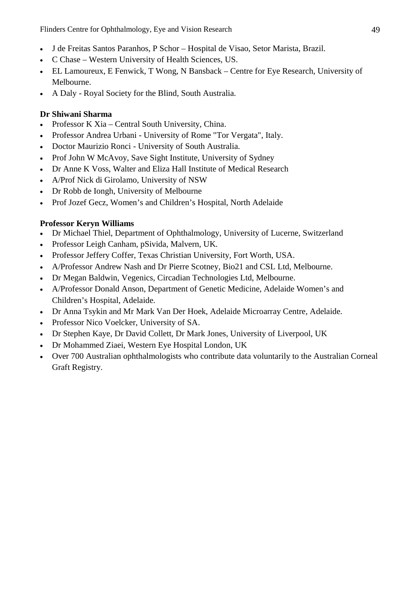Flinders Centre for Ophthalmology, Eye and Vision Research 49

- J de Freitas Santos Paranhos, P Schor Hospital de Visao, Setor Marista, Brazil.
- C Chase Western University of Health Sciences, US.
- EL Lamoureux, E Fenwick, T Wong, N Bansback Centre for Eye Research, University of Melbourne.
- A Daly Royal Society for the Blind, South Australia.

#### **Dr Shiwani Sharma**

- Professor K Xia Central South University, China.
- Professor Andrea Urbani University of Rome "Tor Vergata", Italy.
- Doctor Maurizio Ronci University of South Australia.
- Prof John W McAvoy, Save Sight Institute, University of Sydney
- Dr Anne K Voss, Walter and Eliza Hall Institute of Medical Research
- A/Prof Nick di Girolamo, University of NSW
- Dr Robb de Iongh, University of Melbourne
- Prof Jozef Gecz, Women's and Children's Hospital, North Adelaide

#### **Professor Keryn Williams**

- Dr Michael Thiel, Department of Ophthalmology, University of Lucerne, Switzerland
- Professor Leigh Canham, pSivida, Malvern, UK.
- Professor Jeffery Coffer, Texas Christian University, Fort Worth, USA.
- A/Professor Andrew Nash and Dr Pierre Scotney, Bio21 and CSL Ltd, Melbourne.
- Dr Megan Baldwin, Vegenics, Circadian Technologies Ltd, Melbourne.
- A/Professor Donald Anson, Department of Genetic Medicine, Adelaide Women's and Children's Hospital, Adelaide.
- Dr Anna Tsykin and Mr Mark Van Der Hoek, Adelaide Microarray Centre, Adelaide.
- Professor Nico Voelcker, University of SA.
- Dr Stephen Kaye, Dr David Collett, Dr Mark Jones, University of Liverpool, UK
- Dr Mohammed Ziaei, Western Eye Hospital London, UK
- Over 700 Australian ophthalmologists who contribute data voluntarily to the Australian Corneal Graft Registry.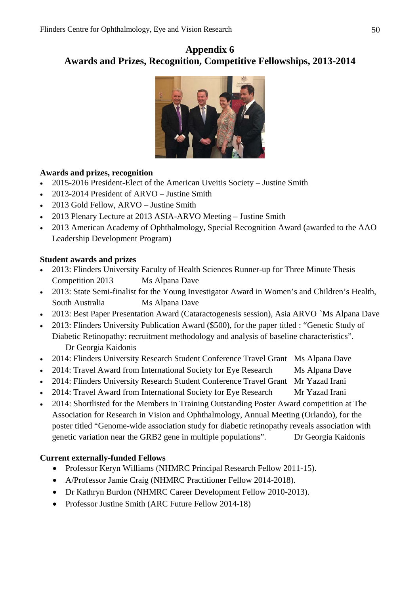# **Appendix 6 Awards and Prizes, Recognition, Competitive Fellowships, 2013-2014**



### **Awards and prizes, recognition**

- 2015-2016 President-Elect of the American Uveitis Society Justine Smith
- 2013-2014 President of ARVO Justine Smith
- 2013 Gold Fellow, ARVO Justine Smith
- 2013 Plenary Lecture at 2013 ASIA-ARVO Meeting Justine Smith
- 2013 American Academy of Ophthalmology, Special Recognition Award (awarded to the AAO Leadership Development Program)

#### **Student awards and prizes**

- 2013: Flinders University Faculty of Health Sciences Runner-up for Three Minute Thesis Competition 2013 Ms Alpana Dave
- 2013: State Semi-finalist for the Young Investigator Award in Women's and Children's Health, South Australia Ms Alpana Dave
- 2013: Best Paper Presentation Award (Cataractogenesis session), Asia ARVO `Ms Alpana Dave
- 2013: Flinders University Publication Award (\$500), for the paper titled : "Genetic Study of Diabetic Retinopathy: recruitment methodology and analysis of baseline characteristics". Dr Georgia Kaidonis
- 2014: Flinders University Research Student Conference Travel Grant Ms Alpana Dave
- 2014: Travel Award from International Society for Eye Research Ms Alpana Dave
- 2014: Flinders University Research Student Conference Travel Grant Mr Yazad Irani
- 2014: Travel Award from International Society for Eye Research Mr Yazad Irani
- 2014: Shortlisted for the Members in Training Outstanding Poster Award competition at The Association for Research in Vision and Ophthalmology, Annual Meeting (Orlando), for the poster titled "Genome-wide association study for diabetic retinopathy reveals association with genetic variation near the GRB2 gene in multiple populations". Dr Georgia Kaidonis

#### **Current externally-funded Fellows**

- Professor Keryn Williams (NHMRC Principal Research Fellow 2011-15).
- A/Professor Jamie Craig (NHMRC Practitioner Fellow 2014-2018).
- Dr Kathryn Burdon (NHMRC Career Development Fellow 2010-2013).
- Professor Justine Smith (ARC Future Fellow 2014-18)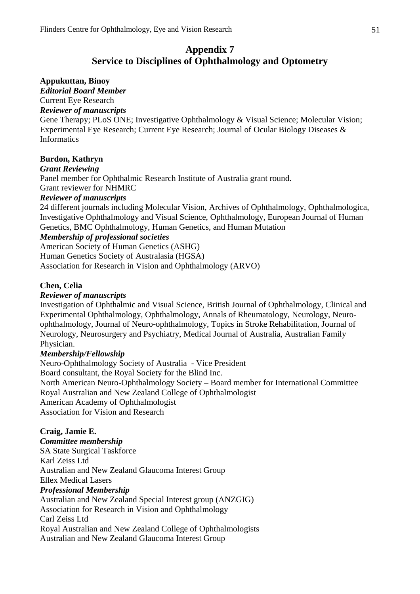# **Appendix 7 Service to Disciplines of Ophthalmology and Optometry**

#### **Appukuttan, Binoy**

*Editorial Board Member*

Current Eye Research

*Reviewer of manuscripts*

Gene Therapy; PLoS ONE; Investigative Ophthalmology & Visual Science; Molecular Vision; Experimental Eye Research; Current Eye Research; Journal of Ocular Biology Diseases & Informatics

#### **Burdon, Kathryn**

#### *Grant Reviewing*

Panel member for Ophthalmic Research Institute of Australia grant round.

Grant reviewer for NHMRC

#### *Reviewer of manuscripts*

24 different journals including Molecular Vision, Archives of Ophthalmology, Ophthalmologica, Investigative Ophthalmology and Visual Science, Ophthalmology, European Journal of Human Genetics, BMC Ophthalmology, Human Genetics, and Human Mutation

#### *Membership of professional societies*

American Society of Human Genetics (ASHG)

Human Genetics Society of Australasia (HGSA)

Association for Research in Vision and Ophthalmology (ARVO)

#### **Chen, Celia**

#### *Reviewer of manuscripts*

Investigation of Ophthalmic and Visual Science, British Journal of Ophthalmology, Clinical and Experimental Ophthalmology, Ophthalmology, Annals of Rheumatology, Neurology, Neuroophthalmology, Journal of Neuro-ophthalmology, Topics in Stroke Rehabilitation, Journal of Neurology, Neurosurgery and Psychiatry, Medical Journal of Australia, Australian Family Physician.

#### *Membership/Fellowship*

Neuro-Ophthalmology Society of Australia - Vice President

Board consultant, the Royal Society for the Blind Inc.

North American Neuro-Ophthalmology Society – Board member for International Committee Royal Australian and New Zealand College of Ophthalmologist American Academy of Ophthalmologist

Association for Vision and Research

#### **Craig, Jamie E.** *Committee membership* SA State Surgical Taskforce Karl Zeiss Ltd Australian and New Zealand Glaucoma Interest Group Ellex Medical Lasers *Professional Membership* Australian and New Zealand Special Interest group (ANZGIG) Association for Research in Vision and Ophthalmology Carl Zeiss Ltd Royal Australian and New Zealand College of Ophthalmologists

Australian and New Zealand Glaucoma Interest Group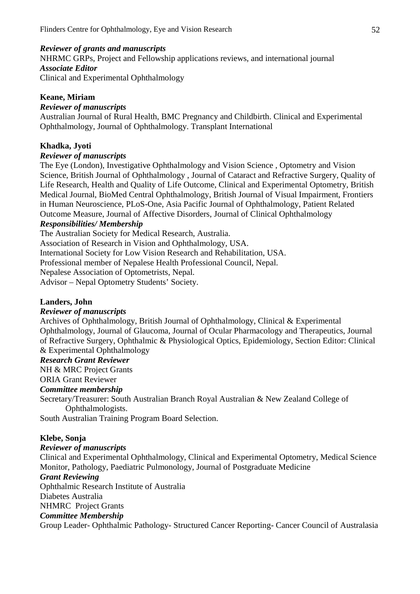#### *Reviewer of grants and manuscripts*

NHRMC GRPs, Project and Fellowship applications reviews, and international journal *Associate Editor* 

Clinical and Experimental Ophthalmology

#### **Keane, Miriam**

#### *Reviewer of manuscripts*

Australian Journal of Rural Health, BMC Pregnancy and Childbirth. Clinical and Experimental Ophthalmology, Journal of Ophthalmology. Transplant International

#### **Khadka, Jyoti**

#### *Reviewer of manuscripts*

The Eye (London), Investigative Ophthalmology and Vision Science , Optometry and Vision Science, British Journal of Ophthalmology , Journal of Cataract and Refractive Surgery, Quality of Life Research, Health and Quality of Life Outcome, Clinical and Experimental Optometry, British Medical Journal, BioMed Central Ophthalmology, British Journal of Visual Impairment, Frontiers in Human Neuroscience, PLoS-One, Asia Pacific Journal of Ophthalmology, Patient Related Outcome Measure, Journal of Affective Disorders, Journal of Clinical Ophthalmology

#### *Responsibilities/ Membership*

The Australian Society for Medical Research, Australia.

Association of Research in Vision and Ophthalmology, USA.

International Society for Low Vision Research and Rehabilitation, USA.

Professional member of Nepalese Health Professional Council, Nepal.

Nepalese Association of Optometrists, Nepal.

Advisor – Nepal Optometry Students' Society.

#### **Landers, John**

#### *Reviewer of manuscripts*

Archives of Ophthalmology, British Journal of Ophthalmology, Clinical & Experimental Ophthalmology, Journal of Glaucoma, Journal of Ocular Pharmacology and Therapeutics, Journal of Refractive Surgery, Ophthalmic & Physiological Optics, Epidemiology, Section Editor: Clinical & Experimental Ophthalmology

#### *Research Grant Reviewer*

NH & MRC Project Grants

ORIA Grant Reviewer

#### *Committee membership*

Secretary/Treasurer: South Australian Branch Royal Australian & New Zealand College of Ophthalmologists.

South Australian Training Program Board Selection.

#### **Klebe, Sonja**

#### *Reviewer of manuscripts*

Clinical and Experimental Ophthalmology, Clinical and Experimental Optometry, Medical Science Monitor, Pathology, Paediatric Pulmonology, Journal of Postgraduate Medicine

#### *Grant Reviewing*

Ophthalmic Research Institute of Australia Diabetes Australia

#### NHMRC Project Grants

#### *Committee Membership*

Group Leader- Ophthalmic Pathology- Structured Cancer Reporting- Cancer Council of Australasia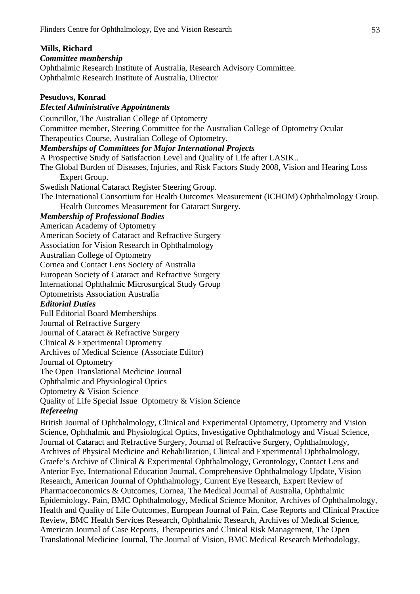#### **Mills, Richard**

#### *Committee membership*

Ophthalmic Research Institute of Australia, Research Advisory Committee. Ophthalmic Research Institute of Australia, Director

#### **Pesudovs, Konrad**

#### *Elected Administrative Appointments*

Councillor, The Australian College of Optometry Committee member, Steering Committee for the Australian College of Optometry Ocular Therapeutics Course, Australian College of Optometry. *Memberships of Committees for Major International Projects* A Prospective Study of Satisfaction Level and Quality of Life after LASIK.. The Global Burden of Diseases, Injuries, and Risk Factors Study 2008, Vision and Hearing Loss Expert Group. Swedish National Cataract Register Steering Group. The International Consortium for Health Outcomes Measurement (ICHOM) Ophthalmology Group. Health Outcomes Measurement for Cataract Surgery. *Membership of Professional Bodies* American Academy of Optometry American Society of Cataract and Refractive Surgery Association for Vision Research in Ophthalmology Australian College of Optometry Cornea and Contact Lens Society of Australia European Society of Cataract and Refractive Surgery International Ophthalmic Microsurgical Study Group Optometrists Association Australia *Editorial Duties* Full Editorial Board Memberships Journal of Refractive Surgery Journal of Cataract & Refractive Surgery Clinical & Experimental Optometry Archives of Medical Science (Associate Editor) Journal of Optometry The Open Translational Medicine Journal Ophthalmic and Physiological Optics Optometry & Vision Science Quality of Life Special Issue Optometry & Vision Science *Refereeing* British Journal of Ophthalmology, Clinical and Experimental Optometry, Optometry and Vision Science, Ophthalmic and Physiological Optics, Investigative Ophthalmology and Visual Science, Journal of Cataract and Refractive Surgery, Journal of Refractive Surgery, Ophthalmology, Archives of Physical Medicine and Rehabilitation, Clinical and Experimental Ophthalmology, Graefe's Archive of Clinical & Experimental Ophthalmology, Gerontology, Contact Lens and Anterior Eye, International Education Journal, Comprehensive Ophthalmology Update, Vision Research, American Journal of Ophthalmology, Current Eye Research, Expert Review of

Pharmacoeconomics & Outcomes, Cornea, The Medical Journal of Australia, Ophthalmic Epidemiology, Pain, BMC Ophthalmology, Medical Science Monitor, Archives of Ophthalmology, Health and Quality of Life Outcomes, European Journal of Pain, Case Reports and Clinical Practice Review, BMC Health Services Research, Ophthalmic Research, Archives of Medical Science, American Journal of Case Reports, Therapeutics and Clinical Risk Management, The Open Translational Medicine Journal, The Journal of Vision, BMC Medical Research Methodology,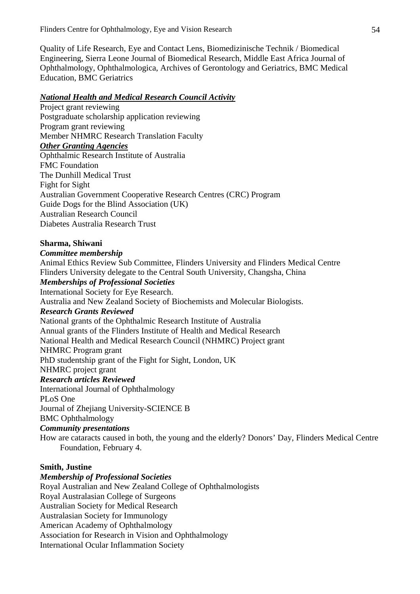Quality of Life Research, Eye and Contact Lens, Biomedizinische Technik / Biomedical Engineering, Sierra Leone Journal of Biomedical Research, Middle East Africa Journal of Ophthalmology, Ophthalmologica, Archives of Gerontology and Geriatrics, BMC Medical Education, BMC Geriatrics

#### *National Health and Medical Research Council Activity*

Project grant reviewing Postgraduate scholarship application reviewing Program grant reviewing Member NHMRC Research Translation Faculty *Other Granting Agencies* Ophthalmic Research Institute of Australia FMC Foundation The Dunhill Medical Trust Fight for Sight Australian Government Cooperative Research Centres (CRC) Program Guide Dogs for the Blind Association (UK) Australian Research Council Diabetes Australia Research Trust

#### **Sharma, Shiwani**

#### *Committee membership*

Animal Ethics Review Sub Committee, Flinders University and Flinders Medical Centre Flinders University delegate to the Central South University, Changsha, China *Memberships of Professional Societies* International Society for Eye Research. Australia and New Zealand Society of Biochemists and Molecular Biologists. *Research Grants Reviewed* National grants of the Ophthalmic Research Institute of Australia Annual grants of the Flinders Institute of Health and Medical Research National Health and Medical Research Council (NHMRC) Project grant NHMRC Program grant PhD studentship grant of the Fight for Sight, London, UK NHMRC project grant *Research articles Reviewed* International Journal of Ophthalmology PLoS One Journal of Zhejiang University-SCIENCE B BMC Ophthalmology *Community presentations* How are cataracts caused in both, the young and the elderly? Donors' Day, Flinders Medical Centre

Foundation, February 4.

#### **Smith, Justine**

#### *Membership of Professional Societies*

Royal Australian and New Zealand College of Ophthalmologists Royal Australasian College of Surgeons Australian Society for Medical Research Australasian Society for Immunology American Academy of Ophthalmology Association for Research in Vision and Ophthalmology International Ocular Inflammation Society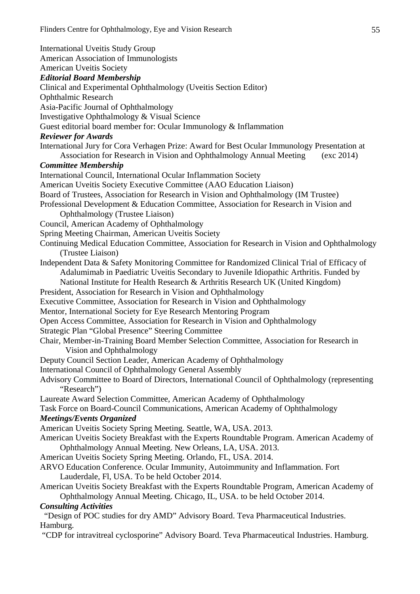International Uveitis Study Group American Association of Immunologists American Uveitis Society *Editorial Board Membership* Clinical and Experimental Ophthalmology (Uveitis Section Editor) Ophthalmic Research Asia-Pacific Journal of Ophthalmology Investigative Ophthalmology & Visual Science Guest editorial board member for: Ocular Immunology & Inflammation *Reviewer for Awards* International Jury for Cora Verhagen Prize: Award for Best Ocular Immunology Presentation at Association for Research in Vision and Ophthalmology Annual Meeting (exc 2014) *Committee Membership*  International Council, International Ocular Inflammation Society American Uveitis Society Executive Committee (AAO Education Liaison) Board of Trustees, Association for Research in Vision and Ophthalmology (IM Trustee) Professional Development & Education Committee, Association for Research in Vision and Ophthalmology (Trustee Liaison) Council, American Academy of Ophthalmology Spring Meeting Chairman, American Uveitis Society Continuing Medical Education Committee, Association for Research in Vision and Ophthalmology (Trustee Liaison) Independent Data & Safety Monitoring Committee for Randomized Clinical Trial of Efficacy of Adalumimab in Paediatric Uveitis Secondary to Juvenile Idiopathic Arthritis. Funded by National Institute for Health Research & Arthritis Research UK (United Kingdom) President, Association for Research in Vision and Ophthalmology Executive Committee, Association for Research in Vision and Ophthalmology Mentor, International Society for Eye Research Mentoring Program Open Access Committee, Association for Research in Vision and Ophthalmology Strategic Plan "Global Presence" Steering Committee Chair, Member-in-Training Board Member Selection Committee, Association for Research in Vision and Ophthalmology Deputy Council Section Leader, American Academy of Ophthalmology International Council of Ophthalmology General Assembly Advisory Committee to Board of Directors, International Council of Ophthalmology (representing "Research") Laureate Award Selection Committee, American Academy of Ophthalmology Task Force on Board-Council Communications, American Academy of Ophthalmology *Meetings/Events Organized* American Uveitis Society Spring Meeting. Seattle, WA, USA. 2013. American Uveitis Society Breakfast with the Experts Roundtable Program. American Academy of Ophthalmology Annual Meeting. New Orleans, LA, USA. 2013. American Uveitis Society Spring Meeting. Orlando, FL, USA. 2014. ARVO Education Conference. Ocular Immunity, Autoimmunity and Inflammation. Fort Lauderdale, Fl, USA. To be held October 2014. American Uveitis Society Breakfast with the Experts Roundtable Program, American Academy of Ophthalmology Annual Meeting. Chicago, IL, USA. to be held October 2014. *Consulting Activities*  "Design of POC studies for dry AMD" Advisory Board. Teva Pharmaceutical Industries. Hamburg.

"CDP for intravitreal cyclosporine" Advisory Board. Teva Pharmaceutical Industries. Hamburg.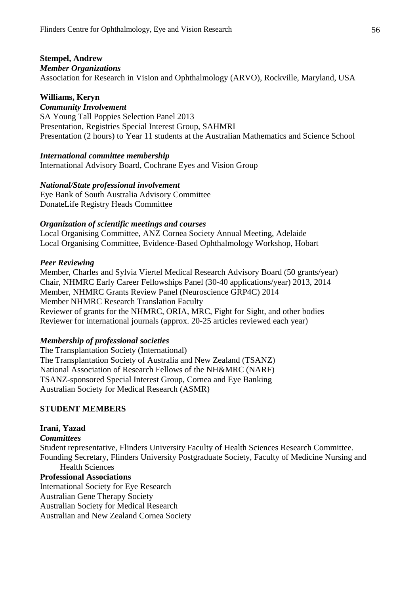#### **Stempel, Andrew**

#### *Member Organizations*

Association for Research in Vision and Ophthalmology (ARVO), Rockville, Maryland, USA

#### **Williams, Keryn**

#### *Community Involvement*

SA Young Tall Poppies Selection Panel 2013 Presentation, Registries Special Interest Group, SAHMRI Presentation (2 hours) to Year 11 students at the Australian Mathematics and Science School

#### *International committee membership*

International Advisory Board, Cochrane Eyes and Vision Group

#### *National/State professional involvement*

Eye Bank of South Australia Advisory Committee DonateLife Registry Heads Committee

#### *Organization of scientific meetings and courses*

Local Organising Committee, ANZ Cornea Society Annual Meeting, Adelaide Local Organising Committee, Evidence-Based Ophthalmology Workshop, Hobart

#### *Peer Reviewing*

Member, Charles and Sylvia Viertel Medical Research Advisory Board (50 grants/year) Chair, NHMRC Early Career Fellowships Panel (30-40 applications/year) 2013, 2014 Member, NHMRC Grants Review Panel (Neuroscience GRP4C) 2014 Member NHMRC Research Translation Faculty Reviewer of grants for the NHMRC, ORIA, MRC, Fight for Sight, and other bodies Reviewer for international journals (approx. 20-25 articles reviewed each year)

#### *Membership of professional societies*

The Transplantation Society (International) The Transplantation Society of Australia and New Zealand (TSANZ) National Association of Research Fellows of the NH&MRC (NARF) TSANZ-sponsored Special Interest Group, Cornea and Eye Banking Australian Society for Medical Research (ASMR)

#### **STUDENT MEMBERS**

#### **Irani, Yazad** *Committees* Student representative, Flinders University Faculty of Health Sciences Research Committee. Founding Secretary, Flinders University Postgraduate Society, Faculty of Medicine Nursing and Health Sciences **Professional Associations** International Society for Eye Research

Australian Gene Therapy Society

Australian Society for Medical Research

Australian and New Zealand Cornea Society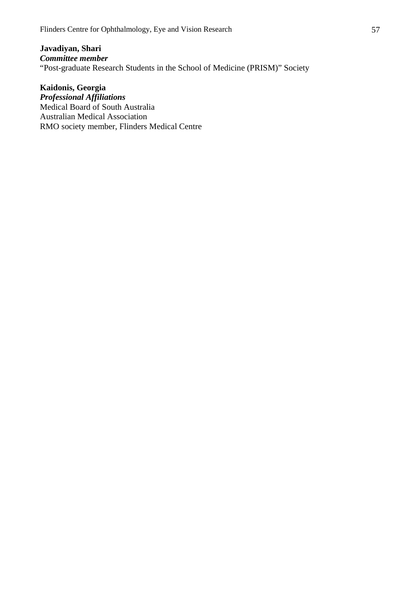**Javadiyan, Shari** *Committee member* "Post-graduate Research Students in the School of Medicine (PRISM)" Society

**Kaidonis, Georgia** *Professional Affiliations* Medical Board of South Australia Australian Medical Association RMO society member, Flinders Medical Centre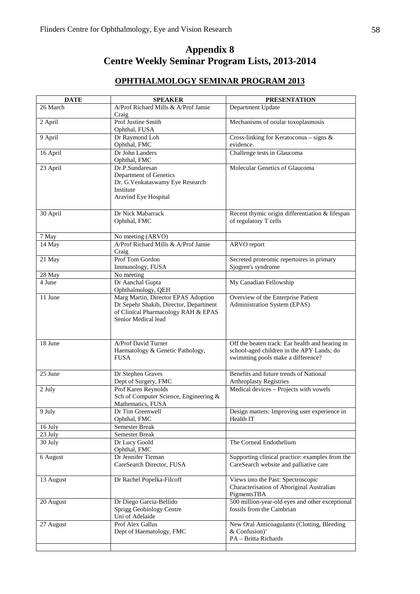# **Appendix 8 Centre Weekly Seminar Program Lists, 2013-2014**

#### **OPHTHALMOLOGY SEMINAR PROGRAM 2013**

| <b>DATE</b> | <b>SPEAKER</b>                                                                                                                              | <b>PRESENTATION</b>                                                                                                               |
|-------------|---------------------------------------------------------------------------------------------------------------------------------------------|-----------------------------------------------------------------------------------------------------------------------------------|
| 26 March    | A/Prof Richard Mills & A/Prof Jamie<br>Craig                                                                                                | Department Update                                                                                                                 |
| 2 April     | Prof Justine Smith<br>Ophthal, FUSA                                                                                                         | Mechanisms of ocular toxoplasmosis                                                                                                |
| 9 April     | Dr Raymond Loh<br>Ophthal, FMC                                                                                                              | Cross-linking for Keratoconus - signs &<br>evidence.                                                                              |
| 16 April    | Dr John Landers<br>Ophthal, FMC                                                                                                             | Challenge tests in Glaucoma                                                                                                       |
| 23 April    | Dr.P.Sundaresan<br>Department of Genetics<br>Dr. G.Venkataswamy Eye Research<br>Institute<br>Aravind Eye Hospital                           | Molecular Genetics of Glaucoma                                                                                                    |
| 30 April    | Dr Nick Mabarrack<br>Ophthal, FMC                                                                                                           | Recent thymic origin differentiation & lifespan<br>of regulatory T cells                                                          |
| 7 May       | No meeting (ARVO)                                                                                                                           |                                                                                                                                   |
| 14 May      | A/Prof Richard Mills & A/Prof Jamie<br>Craig                                                                                                | ARVO report                                                                                                                       |
| 21 May      | Prof Tom Gordon<br>Immunology, FUSA                                                                                                         | Secreted proteomic repertoires in primary<br>Sjogren's syndrome                                                                   |
| 28 May      | No meeting                                                                                                                                  |                                                                                                                                   |
| 4 June      | Dr Aanchal Gupta<br>Ophthalmology, QEH                                                                                                      | My Canadian Fellowship                                                                                                            |
| 11 June     | Marg Martin, Director EPAS Adoption<br>Dr Sepehr Shakib, Director, Department<br>of Clinical Pharmacology RAH & EPAS<br>Senior Medical lead | Overview of the Enterprise Patient<br>Administration System (EPAS)                                                                |
| 18 June     | A/Prof David Turner<br>Haematology & Genetic Pathology,<br><b>FUSA</b>                                                                      | Off the beaten track: Ear health and hearing in<br>school-aged children in the APY Lands; do<br>swimming pools make a difference? |
| 25 June     | Dr Stephen Graves<br>Dept of Surgery, FMC                                                                                                   | Benefits and future trends of National<br><b>Arthroplasty Registries</b>                                                          |
| 2 July      | Prof Karen Reynolds<br>Sch of Computer Science, Engineering &<br>Mathematics, FUSA                                                          | Medical devices - Projects with vowels                                                                                            |
| 9 July      | Dr Tim Greenwell<br>Ophthal, FMC                                                                                                            | Design matters: Improving user experience in<br>Health IT                                                                         |
| 16 July     | Semester Break                                                                                                                              |                                                                                                                                   |
| 23 July     | Semester Break                                                                                                                              |                                                                                                                                   |
| 30 July     | Dr Lucy Goold<br>Ophthal, FMC                                                                                                               | The Corneal Endothelium                                                                                                           |
| 6 August    | Dr Jennifer Tieman<br>CareSearch Director, FUSA                                                                                             | Supporting clinical practice: examples from the<br>CareSearch website and palliative care                                         |
| 13 August   | Dr Rachel Popelka-Filcoff                                                                                                                   | Views into the Past: Spectroscopic<br>Characterisation of Aboriginal Australian<br>PigmentsTBA                                    |
| 20 August   | Dr Diego Garcia-Bellido<br>Sprigg Geobiology Centre<br>Uni of Adelaide                                                                      | 500 million-year-old eyes and other exceptional<br>fossils from the Cambrian                                                      |
| 27 August   | Prof Alex Gallus<br>Dept of Haematology, FMC                                                                                                | New Oral Anticoagulants (Clotting, Bleeding<br>& Confusion)'<br>PA - Britta Richards                                              |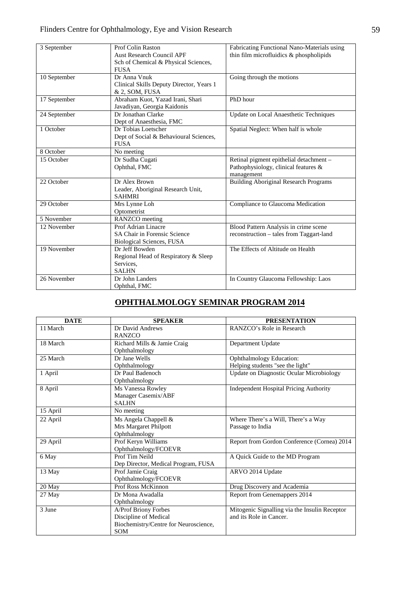| 3 September   | Prof Colin Raston                        | Fabricating Functional Nano-Materials using  |
|---------------|------------------------------------------|----------------------------------------------|
|               | <b>Aust Research Council APF</b>         | thin film microfluidics & phospholipids      |
|               | Sch of Chemical & Physical Sciences,     |                                              |
|               | <b>FUSA</b>                              |                                              |
| 10 September  | Dr Anna Vnuk                             | Going through the motions                    |
|               | Clinical Skills Deputy Director, Years 1 |                                              |
|               | & 2, SOM, FUSA                           |                                              |
| 17 September  | Abraham Kuot, Yazad Irani, Shari         | PhD hour                                     |
|               | Javadiyan, Georgia Kaidonis              |                                              |
| 24 September  | Dr Jonathan Clarke                       | Update on Local Anaesthetic Techniques       |
|               | Dept of Anaesthesia, FMC                 |                                              |
| 1 October     | Dr Tobias Loetscher                      | Spatial Neglect: When half is whole          |
|               | Dept of Social & Behavioural Sciences,   |                                              |
|               | <b>FUSA</b>                              |                                              |
| 8 October     | No meeting                               |                                              |
| 15 October    | Dr Sudha Cugati                          | Retinal pigment epithelial detachment -      |
|               | Ophthal, FMC                             | Pathophysiology, clinical features &         |
|               |                                          | management                                   |
| 22 October    | Dr Alex Brown                            | <b>Building Aboriginal Research Programs</b> |
|               | Leader, Aboriginal Research Unit,        |                                              |
|               | <b>SAHMRI</b>                            |                                              |
| 29 October    | Mrs Lynne Loh                            | Compliance to Glaucoma Medication            |
|               | Optometrist                              |                                              |
| 5 November    | RANZCO meeting                           |                                              |
| $12$ November | Prof Adrian Linacre                      | Blood Pattern Analysis in crime scene        |
|               | SA Chair in Forensic Science             | reconstruction – tales from Taggart-land     |
|               | Biological Sciences, FUSA                |                                              |
| 19 November   | Dr Jeff Bowden                           | The Effects of Altitude on Health            |
|               | Regional Head of Respiratory & Sleep     |                                              |
|               | Services.                                |                                              |
|               | <b>SALHN</b>                             |                                              |
| 26 November   | Dr John Landers                          | In Country Glaucoma Fellowship: Laos         |
|               | Ophthal, FMC                             |                                              |

# **OPHTHALMOLOGY SEMINAR PROGRAM 2014**

| <b>DATE</b> | <b>SPEAKER</b>                                                                                       | <b>PRESENTATION</b>                                                      |
|-------------|------------------------------------------------------------------------------------------------------|--------------------------------------------------------------------------|
| 11 March    | Dr David Andrews<br><b>RANZCO</b>                                                                    | RANZCO's Role in Research                                                |
| 18 March    | Richard Mills & Jamie Craig<br>Ophthalmology                                                         | Department Update                                                        |
| 25 March    | Dr Jane Wells<br>Ophthalmology                                                                       | <b>Ophthalmology Education:</b><br>Helping students "see the light"      |
| 1 April     | Dr Paul Badenoch<br>Ophthalmology                                                                    | <b>Update on Diagnostic Ocular Microbiology</b>                          |
| 8 April     | Ms Vanessa Rowley<br>Manager Casemix/ABF<br><b>SALHN</b>                                             | <b>Independent Hospital Pricing Authority</b>                            |
| 15 April    | No meeting                                                                                           |                                                                          |
| 22 April    | Ms Angela Chappell &<br>Mrs Margaret Philpott<br>Ophthalmology                                       | Where There's a Will, There's a Way<br>Passage to India                  |
| 29 April    | Prof Keryn Williams<br>Ophthalmology/FCOEVR                                                          | Report from Gordon Conference (Cornea) 2014                              |
| 6 May       | Prof Tim Neild<br>Dep Director, Medical Program, FUSA                                                | A Quick Guide to the MD Program                                          |
| 13 May      | Prof Jamie Craig<br>Ophthalmology/FCOEVR                                                             | ARVO 2014 Update                                                         |
| 20 May      | Prof Ross McKinnon                                                                                   | Drug Discovery and Academia                                              |
| 27 May      | Dr Mona Awadalla<br>Ophthalmology                                                                    | Report from Genemappers 2014                                             |
| 3 June      | A/Prof Briony Forbes<br>Discipline of Medical<br>Biochemistry/Centre for Neuroscience,<br><b>SOM</b> | Mitogenic Signalling via the Insulin Receptor<br>and its Role in Cancer. |